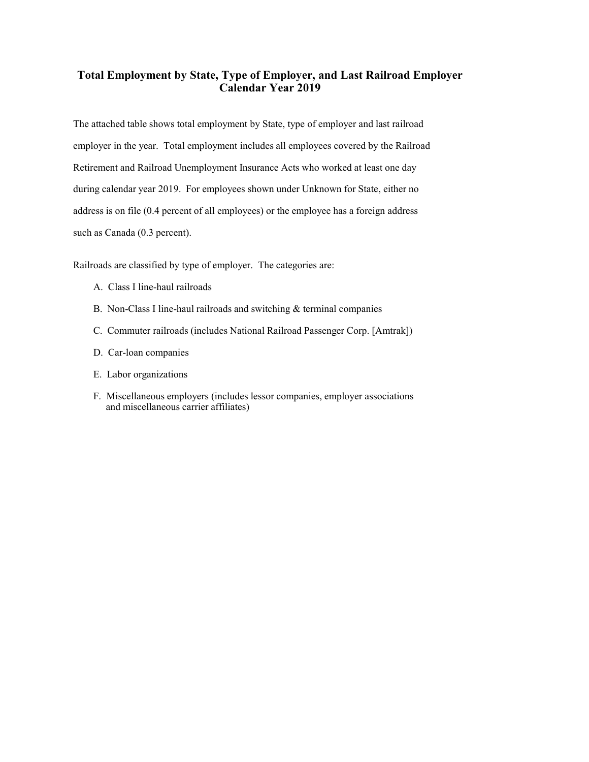# **Total Employment by State, Type of Employer, and Last Railroad Employer Calendar Year 2019**

The attached table shows total employment by State, type of employer and last railroad employer in the year. Total employment includes all employees covered by the Railroad Retirement and Railroad Unemployment Insurance Acts who worked at least one day during calendar year 2019. For employees shown under Unknown for State, either no address is on file (0.4 percent of all employees) or the employee has a foreign address such as Canada (0.3 percent).

Railroads are classified by type of employer. The categories are:

- A. Class I line-haul railroads
- B. Non-Class I line-haul railroads and switching & terminal companies
- C. Commuter railroads (includes National Railroad Passenger Corp. [Amtrak])
- D. Car-loan companies
- E. Labor organizations
- F. Miscellaneous employers (includes lessor companies, employer associations and miscellaneous carrier affiliates)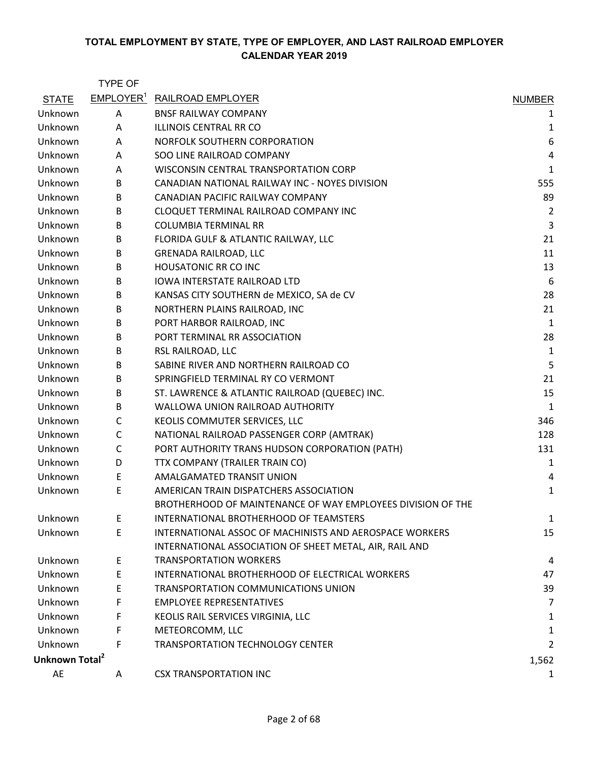|                            | <b>TYPE OF</b>        |                                                             |                |
|----------------------------|-----------------------|-------------------------------------------------------------|----------------|
| <b>STATE</b>               | EMPLOYER <sup>1</sup> | <b>RAILROAD EMPLOYER</b>                                    | <b>NUMBER</b>  |
| Unknown                    | Α                     | <b>BNSF RAILWAY COMPANY</b>                                 | 1              |
| Unknown                    | Α                     | ILLINOIS CENTRAL RR CO                                      | 1              |
| Unknown                    | Α                     | NORFOLK SOUTHERN CORPORATION                                | 6              |
| Unknown                    | A                     | SOO LINE RAILROAD COMPANY                                   | $\overline{4}$ |
| Unknown                    | A                     | WISCONSIN CENTRAL TRANSPORTATION CORP                       | $\mathbf{1}$   |
| Unknown                    | В                     | CANADIAN NATIONAL RAILWAY INC - NOYES DIVISION              | 555            |
| Unknown                    | B                     | CANADIAN PACIFIC RAILWAY COMPANY                            | 89             |
| Unknown                    | B                     | CLOQUET TERMINAL RAILROAD COMPANY INC                       | $\overline{2}$ |
| Unknown                    | В                     | <b>COLUMBIA TERMINAL RR</b>                                 | 3              |
| Unknown                    | B                     | FLORIDA GULF & ATLANTIC RAILWAY, LLC                        | 21             |
| Unknown                    | В                     | <b>GRENADA RAILROAD, LLC</b>                                | 11             |
| Unknown                    | B                     | <b>HOUSATONIC RR CO INC</b>                                 | 13             |
| Unknown                    | B                     | IOWA INTERSTATE RAILROAD LTD                                | 6              |
| Unknown                    | В                     | KANSAS CITY SOUTHERN de MEXICO, SA de CV                    | 28             |
| Unknown                    | B                     | NORTHERN PLAINS RAILROAD, INC                               | 21             |
| Unknown                    | В                     | PORT HARBOR RAILROAD, INC                                   | 1              |
| Unknown                    | B                     | PORT TERMINAL RR ASSOCIATION                                | 28             |
| Unknown                    | B                     | RSL RAILROAD, LLC                                           | 1              |
| Unknown                    | B                     | SABINE RIVER AND NORTHERN RAILROAD CO                       | 5              |
| Unknown                    | B                     | SPRINGFIELD TERMINAL RY CO VERMONT                          | 21             |
| Unknown                    | В                     | ST. LAWRENCE & ATLANTIC RAILROAD (QUEBEC) INC.              | 15             |
| Unknown                    | B                     | WALLOWA UNION RAILROAD AUTHORITY                            | 1              |
| Unknown                    | C                     | KEOLIS COMMUTER SERVICES, LLC                               | 346            |
| Unknown                    | $\mathsf C$           | NATIONAL RAILROAD PASSENGER CORP (AMTRAK)                   | 128            |
| Unknown                    | $\mathsf{C}$          | PORT AUTHORITY TRANS HUDSON CORPORATION (PATH)              | 131            |
| Unknown                    | D                     | TTX COMPANY (TRAILER TRAIN CO)                              | 1              |
| Unknown                    | Ε                     | AMALGAMATED TRANSIT UNION                                   | 4              |
| Unknown                    | E                     | AMERICAN TRAIN DISPATCHERS ASSOCIATION                      | 1              |
|                            |                       | BROTHERHOOD OF MAINTENANCE OF WAY EMPLOYEES DIVISION OF THE |                |
| Unknown                    | E                     | INTERNATIONAL BROTHERHOOD OF TEAMSTERS                      | 1              |
| Unknown                    | $\mathsf E$           | INTERNATIONAL ASSOC OF MACHINISTS AND AEROSPACE WORKERS     | 15             |
|                            |                       | INTERNATIONAL ASSOCIATION OF SHEET METAL, AIR, RAIL AND     |                |
| Unknown                    | E                     | <b>TRANSPORTATION WORKERS</b>                               | 4              |
| Unknown                    | E                     | INTERNATIONAL BROTHERHOOD OF ELECTRICAL WORKERS             | 47             |
| Unknown                    | Ε                     | TRANSPORTATION COMMUNICATIONS UNION                         | 39             |
| Unknown                    | F                     | <b>EMPLOYEE REPRESENTATIVES</b>                             | 7              |
| Unknown                    | F                     | KEOLIS RAIL SERVICES VIRGINIA, LLC                          | 1              |
| Unknown                    | F                     | METEORCOMM, LLC                                             | 1              |
| Unknown                    | F                     | <b>TRANSPORTATION TECHNOLOGY CENTER</b>                     | 2              |
| Unknown Total <sup>2</sup> |                       |                                                             | 1,562          |
| AE                         | A                     | <b>CSX TRANSPORTATION INC</b>                               | 1              |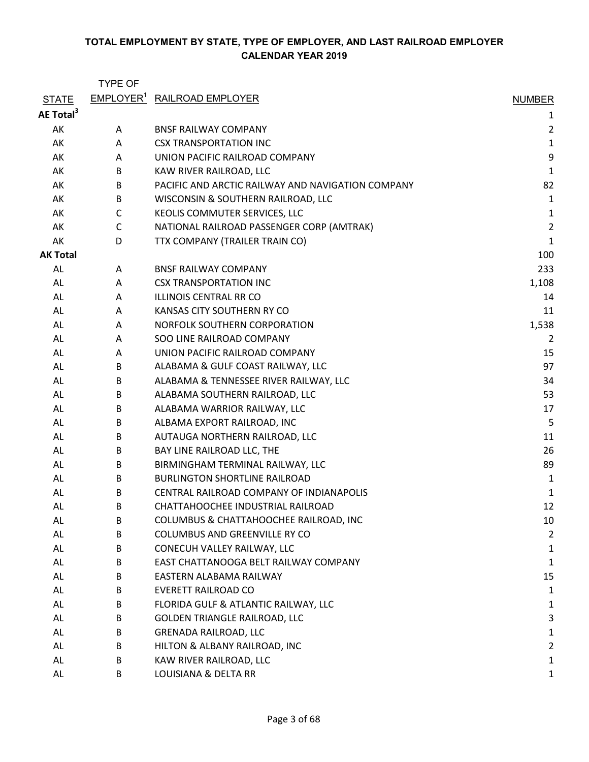|                       | <b>TYPE OF</b> |                                                   |                         |
|-----------------------|----------------|---------------------------------------------------|-------------------------|
| <b>STATE</b>          |                | <b>EMPLOYER<sup>1</sup> RAILROAD EMPLOYER</b>     | <b>NUMBER</b>           |
| AE Total <sup>3</sup> |                |                                                   | 1                       |
| AK                    | A              | <b>BNSF RAILWAY COMPANY</b>                       | $\overline{\mathbf{c}}$ |
| AK                    | A              | <b>CSX TRANSPORTATION INC</b>                     | $\mathbf 1$             |
| AK                    | A              | UNION PACIFIC RAILROAD COMPANY                    | 9                       |
| AK                    | B              | KAW RIVER RAILROAD, LLC                           | 1                       |
| AK                    | B              | PACIFIC AND ARCTIC RAILWAY AND NAVIGATION COMPANY | 82                      |
| AK                    | B              | WISCONSIN & SOUTHERN RAILROAD, LLC                | 1                       |
| AK                    | C              | KEOLIS COMMUTER SERVICES, LLC                     | 1                       |
| AK                    | $\mathsf{C}$   | NATIONAL RAILROAD PASSENGER CORP (AMTRAK)         | $\overline{c}$          |
| AK                    | D              | TTX COMPANY (TRAILER TRAIN CO)                    | $\mathbf{1}$            |
| <b>AK Total</b>       |                |                                                   | 100                     |
| AL                    | A              | <b>BNSF RAILWAY COMPANY</b>                       | 233                     |
| AL                    | A              | <b>CSX TRANSPORTATION INC</b>                     | 1,108                   |
| AL                    | A              | <b>ILLINOIS CENTRAL RR CO</b>                     | 14                      |
| AL                    | A              | KANSAS CITY SOUTHERN RY CO                        | 11                      |
| AL                    | A              | NORFOLK SOUTHERN CORPORATION                      | 1,538                   |
| AL                    | A              | SOO LINE RAILROAD COMPANY                         | 2                       |
| AL                    | A              | UNION PACIFIC RAILROAD COMPANY                    | 15                      |
| AL                    | B              | ALABAMA & GULF COAST RAILWAY, LLC                 | 97                      |
| AL                    | B              | ALABAMA & TENNESSEE RIVER RAILWAY, LLC            | 34                      |
| AL                    | B              | ALABAMA SOUTHERN RAILROAD, LLC                    | 53                      |
| AL                    | B              | ALABAMA WARRIOR RAILWAY, LLC                      | 17                      |
| AL                    | B              | ALBAMA EXPORT RAILROAD, INC                       | 5                       |
| AL                    | B              | AUTAUGA NORTHERN RAILROAD, LLC                    | 11                      |
| AL                    | B              | BAY LINE RAILROAD LLC, THE                        | 26                      |
| AL                    | B              | BIRMINGHAM TERMINAL RAILWAY, LLC                  | 89                      |
| AL                    | B              | <b>BURLINGTON SHORTLINE RAILROAD</b>              | 1                       |
| AL                    | B              | CENTRAL RAILROAD COMPANY OF INDIANAPOLIS          | 1                       |
| AL                    | В              | CHATTAHOOCHEE INDUSTRIAL RAILROAD                 | 12                      |
| AL                    | B              | COLUMBUS & CHATTAHOOCHEE RAILROAD, INC            | 10                      |
| AL                    | B              | <b>COLUMBUS AND GREENVILLE RY CO</b>              | $\overline{2}$          |
| AL                    | B              | CONECUH VALLEY RAILWAY, LLC                       | 1                       |
| AL                    | B              | EAST CHATTANOOGA BELT RAILWAY COMPANY             | 1                       |
| AL                    | B              | EASTERN ALABAMA RAILWAY                           | 15                      |
| AL                    | B              | EVERETT RAILROAD CO                               | 1                       |
| AL                    | B              | FLORIDA GULF & ATLANTIC RAILWAY, LLC              | 1                       |
| AL                    | B              | GOLDEN TRIANGLE RAILROAD, LLC                     | 3                       |
| AL                    | B              | <b>GRENADA RAILROAD, LLC</b>                      | 1                       |
| AL                    | B              | HILTON & ALBANY RAILROAD, INC                     | $\overline{2}$          |
| AL                    | B              | KAW RIVER RAILROAD, LLC                           | 1                       |
| AL                    | B              | LOUISIANA & DELTA RR                              | 1                       |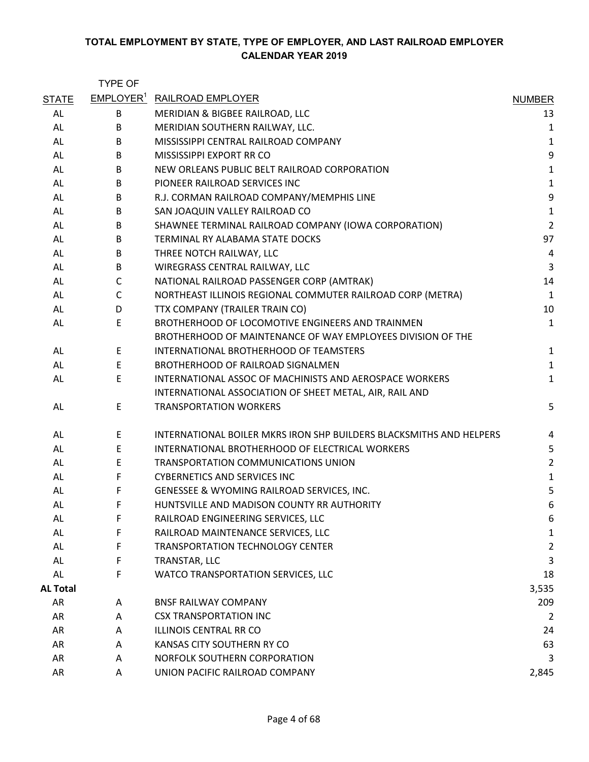|                 | <b>TYPE OF</b> |                                                                     |                |
|-----------------|----------------|---------------------------------------------------------------------|----------------|
| <b>STATE</b>    |                | <b>EMPLOYER<sup>1</sup></b> RAILROAD EMPLOYER                       | <b>NUMBER</b>  |
| AL              | B              | MERIDIAN & BIGBEE RAILROAD, LLC                                     | 13             |
| AL              | B              | MERIDIAN SOUTHERN RAILWAY, LLC.                                     | 1              |
| AL              | B              | MISSISSIPPI CENTRAL RAILROAD COMPANY                                | $\mathbf 1$    |
| AL              | B              | MISSISSIPPI EXPORT RR CO                                            | 9              |
| AL              | B              | NEW ORLEANS PUBLIC BELT RAILROAD CORPORATION                        | $\mathbf 1$    |
| AL              | B              | PIONEER RAILROAD SERVICES INC                                       | $\mathbf 1$    |
| AL              | B              | R.J. CORMAN RAILROAD COMPANY/MEMPHIS LINE                           | 9              |
| AL              | B              | SAN JOAQUIN VALLEY RAILROAD CO                                      | $\mathbf 1$    |
| AL              | B              | SHAWNEE TERMINAL RAILROAD COMPANY (IOWA CORPORATION)                | $\overline{2}$ |
| AL              | B              | TERMINAL RY ALABAMA STATE DOCKS                                     | 97             |
| AL              | B              | THREE NOTCH RAILWAY, LLC                                            | $\overline{4}$ |
| AL              | B              | WIREGRASS CENTRAL RAILWAY, LLC                                      | 3              |
| AL              | $\mathsf{C}$   | NATIONAL RAILROAD PASSENGER CORP (AMTRAK)                           | 14             |
| AL              | $\mathsf{C}$   | NORTHEAST ILLINOIS REGIONAL COMMUTER RAILROAD CORP (METRA)          | $\mathbf{1}$   |
| AL              | D              | TTX COMPANY (TRAILER TRAIN CO)                                      | 10             |
| AL              | E              | BROTHERHOOD OF LOCOMOTIVE ENGINEERS AND TRAINMEN                    | $\mathbf 1$    |
|                 |                | BROTHERHOOD OF MAINTENANCE OF WAY EMPLOYEES DIVISION OF THE         |                |
| AL              | E              | INTERNATIONAL BROTHERHOOD OF TEAMSTERS                              | $\mathbf{1}$   |
| AL              | E              | BROTHERHOOD OF RAILROAD SIGNALMEN                                   | $\mathbf 1$    |
| AL              | E              | INTERNATIONAL ASSOC OF MACHINISTS AND AEROSPACE WORKERS             | $\mathbf 1$    |
|                 |                | INTERNATIONAL ASSOCIATION OF SHEET METAL, AIR, RAIL AND             |                |
| AL              | $\mathsf E$    | <b>TRANSPORTATION WORKERS</b>                                       | 5              |
| AL              | E              | INTERNATIONAL BOILER MKRS IRON SHP BUILDERS BLACKSMITHS AND HELPERS | 4              |
| AL              | $\mathsf E$    | INTERNATIONAL BROTHERHOOD OF ELECTRICAL WORKERS                     | 5              |
| AL              | E              | <b>TRANSPORTATION COMMUNICATIONS UNION</b>                          | $\overline{2}$ |
| AL              | F              | <b>CYBERNETICS AND SERVICES INC</b>                                 | $\mathbf 1$    |
| AL              | F              | GENESSEE & WYOMING RAILROAD SERVICES, INC.                          | 5              |
| AL              | F              | HUNTSVILLE AND MADISON COUNTY RR AUTHORITY                          | 6              |
| AL              | F              | RAILROAD ENGINEERING SERVICES, LLC                                  | 6              |
| AL              | F              | RAILROAD MAINTENANCE SERVICES, LLC                                  | 1              |
| AL              | F              | <b>TRANSPORTATION TECHNOLOGY CENTER</b>                             | 2              |
| AL              | F              | TRANSTAR, LLC                                                       | 3              |
| AL              | F              | WATCO TRANSPORTATION SERVICES, LLC                                  | 18             |
| <b>AL Total</b> |                |                                                                     | 3,535          |
| AR              | A              | <b>BNSF RAILWAY COMPANY</b>                                         | 209            |
| AR              | Α              | <b>CSX TRANSPORTATION INC</b>                                       | 2              |
| AR              | A              | ILLINOIS CENTRAL RR CO                                              | 24             |
| AR              | Α              | KANSAS CITY SOUTHERN RY CO                                          | 63             |
| AR              | Α              | NORFOLK SOUTHERN CORPORATION                                        | 3              |
| AR              | A              | UNION PACIFIC RAILROAD COMPANY                                      | 2,845          |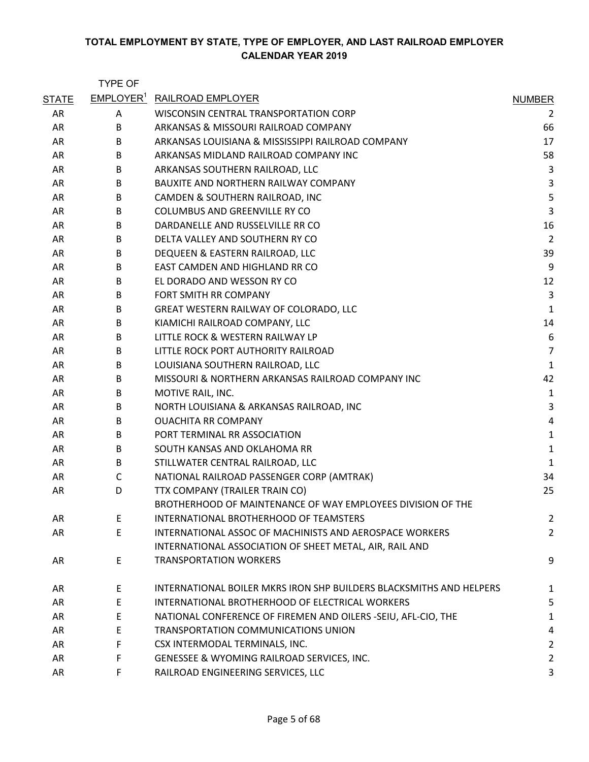|              | <b>TYPE OF</b>               |                                                                     |                |
|--------------|------------------------------|---------------------------------------------------------------------|----------------|
| <b>STATE</b> | <b>EMPLOYER</b> <sup>1</sup> | <b>RAILROAD EMPLOYER</b>                                            | <b>NUMBER</b>  |
| AR           | Α                            | WISCONSIN CENTRAL TRANSPORTATION CORP                               | 2              |
| AR           | B                            | ARKANSAS & MISSOURI RAILROAD COMPANY                                | 66             |
| AR           | B                            | ARKANSAS LOUISIANA & MISSISSIPPI RAILROAD COMPANY                   | 17             |
| AR           | B                            | ARKANSAS MIDLAND RAILROAD COMPANY INC                               | 58             |
| AR           | B                            | ARKANSAS SOUTHERN RAILROAD, LLC                                     | 3              |
| AR           | B                            | <b>BAUXITE AND NORTHERN RAILWAY COMPANY</b>                         | 3              |
| AR           | B                            | CAMDEN & SOUTHERN RAILROAD, INC                                     | 5              |
| AR           | B                            | COLUMBUS AND GREENVILLE RY CO                                       | 3              |
| AR           | B                            | DARDANELLE AND RUSSELVILLE RR CO                                    | 16             |
| AR           | B                            | DELTA VALLEY AND SOUTHERN RY CO                                     | $\overline{2}$ |
| AR           | B                            | DEQUEEN & EASTERN RAILROAD, LLC                                     | 39             |
| AR           | B                            | EAST CAMDEN AND HIGHLAND RR CO                                      | 9              |
| AR           | B                            | EL DORADO AND WESSON RY CO                                          | 12             |
| AR           | B                            | FORT SMITH RR COMPANY                                               | 3              |
| AR           | B                            | GREAT WESTERN RAILWAY OF COLORADO, LLC                              | $\mathbf{1}$   |
| AR           | B                            | KIAMICHI RAILROAD COMPANY, LLC                                      | 14             |
| AR           | B                            | LITTLE ROCK & WESTERN RAILWAY LP                                    | 6              |
| AR           | B                            | LITTLE ROCK PORT AUTHORITY RAILROAD                                 | $\overline{7}$ |
| AR           | B                            | LOUISIANA SOUTHERN RAILROAD, LLC                                    | $\mathbf{1}$   |
| AR           | B                            | MISSOURI & NORTHERN ARKANSAS RAILROAD COMPANY INC                   | 42             |
| AR           | B                            | MOTIVE RAIL, INC.                                                   | 1              |
| AR           | B                            | NORTH LOUISIANA & ARKANSAS RAILROAD, INC                            | 3              |
| AR           | B                            | <b>OUACHITA RR COMPANY</b>                                          | 4              |
| AR           | B                            | PORT TERMINAL RR ASSOCIATION                                        | $\mathbf 1$    |
| AR           | B                            | SOUTH KANSAS AND OKLAHOMA RR                                        | $\mathbf{1}$   |
| AR           | B                            | STILLWATER CENTRAL RAILROAD, LLC                                    | $\mathbf{1}$   |
| AR           | $\mathsf{C}$                 | NATIONAL RAILROAD PASSENGER CORP (AMTRAK)                           | 34             |
| AR           | D                            | TTX COMPANY (TRAILER TRAIN CO)                                      | 25             |
|              |                              | BROTHERHOOD OF MAINTENANCE OF WAY EMPLOYEES DIVISION OF THE         |                |
| AR           | Е                            | INTERNATIONAL BROTHERHOOD OF TEAMSTERS                              | 2              |
| AR           | E                            | INTERNATIONAL ASSOC OF MACHINISTS AND AEROSPACE WORKERS             | $\overline{2}$ |
|              |                              | INTERNATIONAL ASSOCIATION OF SHEET METAL, AIR, RAIL AND             |                |
| AR           | E                            | <b>TRANSPORTATION WORKERS</b>                                       | 9              |
| AR           | E                            | INTERNATIONAL BOILER MKRS IRON SHP BUILDERS BLACKSMITHS AND HELPERS | 1              |
| AR           | E                            | INTERNATIONAL BROTHERHOOD OF ELECTRICAL WORKERS                     | 5              |
| AR           | Е                            | NATIONAL CONFERENCE OF FIREMEN AND OILERS -SEIU, AFL-CIO, THE       | 1              |
| AR           | E                            | TRANSPORTATION COMMUNICATIONS UNION                                 | 4              |
| AR           | F                            | CSX INTERMODAL TERMINALS, INC.                                      | $\overline{2}$ |
| AR           | F.                           | GENESSEE & WYOMING RAILROAD SERVICES, INC.                          | $\overline{2}$ |
| AR           | F.                           | RAILROAD ENGINEERING SERVICES, LLC                                  | 3              |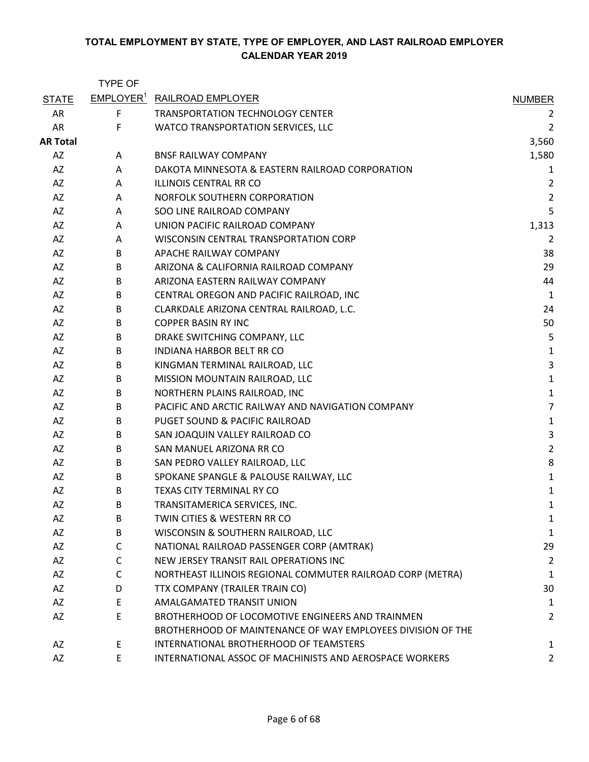|                 | <b>TYPE OF</b> |                                                             |                         |
|-----------------|----------------|-------------------------------------------------------------|-------------------------|
| <b>STATE</b>    |                | EMPLOYER <sup>1</sup> RAILROAD EMPLOYER                     | <b>NUMBER</b>           |
| AR              | $\mathsf F$    | <b>TRANSPORTATION TECHNOLOGY CENTER</b>                     | 2                       |
| <b>AR</b>       | F              | WATCO TRANSPORTATION SERVICES, LLC                          | $\overline{c}$          |
| <b>AR Total</b> |                |                                                             | 3,560                   |
| AZ              | A              | <b>BNSF RAILWAY COMPANY</b>                                 | 1,580                   |
| AZ              | A              | DAKOTA MINNESOTA & EASTERN RAILROAD CORPORATION             | 1                       |
| AZ              | A              | ILLINOIS CENTRAL RR CO                                      | $\overline{\mathbf{c}}$ |
| AZ              | A              | NORFOLK SOUTHERN CORPORATION                                | $\overline{\mathbf{c}}$ |
| AZ              | A              | SOO LINE RAILROAD COMPANY                                   | 5                       |
| AZ              | A              | UNION PACIFIC RAILROAD COMPANY                              | 1,313                   |
| AZ              | A              | WISCONSIN CENTRAL TRANSPORTATION CORP                       | 2                       |
| AZ              | B              | APACHE RAILWAY COMPANY                                      | 38                      |
| AZ              | B              | ARIZONA & CALIFORNIA RAILROAD COMPANY                       | 29                      |
| AZ              | B              | ARIZONA EASTERN RAILWAY COMPANY                             | 44                      |
| AZ              | B              | CENTRAL OREGON AND PACIFIC RAILROAD, INC                    | 1                       |
| AZ              | B              | CLARKDALE ARIZONA CENTRAL RAILROAD, L.C.                    | 24                      |
| AZ              | B              | <b>COPPER BASIN RY INC</b>                                  | 50                      |
| AZ              | B              | DRAKE SWITCHING COMPANY, LLC                                | 5                       |
| AZ              | B              | <b>INDIANA HARBOR BELT RR CO</b>                            | 1                       |
| AZ              | B              | KINGMAN TERMINAL RAILROAD, LLC                              | 3                       |
| AZ              | B              | MISSION MOUNTAIN RAILROAD, LLC                              | $\mathbf{1}$            |
| AZ              | B              | NORTHERN PLAINS RAILROAD, INC                               | $\mathbf{1}$            |
| AZ              | B              | PACIFIC AND ARCTIC RAILWAY AND NAVIGATION COMPANY           | 7                       |
| AZ              | B              | PUGET SOUND & PACIFIC RAILROAD                              | $\mathbf{1}$            |
| AZ              | B              | SAN JOAQUIN VALLEY RAILROAD CO                              | 3                       |
| AZ              | B              | SAN MANUEL ARIZONA RR CO                                    | $\overline{c}$          |
| AZ              | B              | SAN PEDRO VALLEY RAILROAD, LLC                              | 8                       |
| AZ              | B              | SPOKANE SPANGLE & PALOUSE RAILWAY, LLC                      | $\mathbf{1}$            |
| AZ              | B              | TEXAS CITY TERMINAL RY CO                                   | 1                       |
| AZ              | B              | TRANSITAMERICA SERVICES, INC.                               | 1                       |
| AZ              | B              | TWIN CITIES & WESTERN RR CO                                 | 1                       |
| AZ              | B              | WISCONSIN & SOUTHERN RAILROAD, LLC                          | 1                       |
| AZ              | C              | NATIONAL RAILROAD PASSENGER CORP (AMTRAK)                   | 29                      |
| AZ              | C              | NEW JERSEY TRANSIT RAIL OPERATIONS INC                      | 2                       |
| AZ              | $\mathsf{C}$   | NORTHEAST ILLINOIS REGIONAL COMMUTER RAILROAD CORP (METRA)  | 1                       |
| AZ              | D              | TTX COMPANY (TRAILER TRAIN CO)                              | 30                      |
| AZ              | E              | <b>AMALGAMATED TRANSIT UNION</b>                            | 1                       |
| AZ              | E              | BROTHERHOOD OF LOCOMOTIVE ENGINEERS AND TRAINMEN            | $\overline{c}$          |
|                 |                | BROTHERHOOD OF MAINTENANCE OF WAY EMPLOYEES DIVISION OF THE |                         |
| AZ              | E              | INTERNATIONAL BROTHERHOOD OF TEAMSTERS                      | 1                       |
| AZ              | E              | INTERNATIONAL ASSOC OF MACHINISTS AND AEROSPACE WORKERS     | 2                       |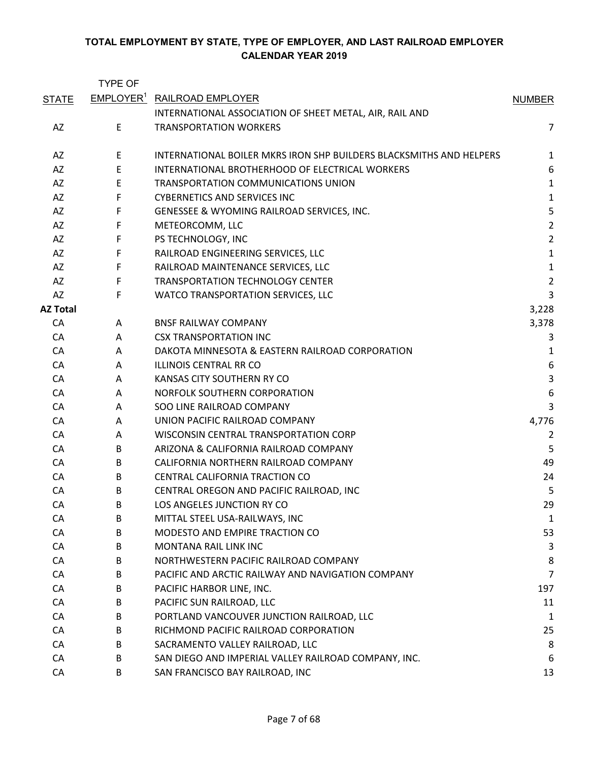|                 | <b>TYPE OF</b> |                                                                     |                         |
|-----------------|----------------|---------------------------------------------------------------------|-------------------------|
| <b>STATE</b>    |                | <b>EMPLOYER<sup>1</sup></b> RAILROAD EMPLOYER                       | <b>NUMBER</b>           |
|                 |                | INTERNATIONAL ASSOCIATION OF SHEET METAL, AIR, RAIL AND             |                         |
| AZ              | E              | <b>TRANSPORTATION WORKERS</b>                                       | 7                       |
| AZ              | E              | INTERNATIONAL BOILER MKRS IRON SHP BUILDERS BLACKSMITHS AND HELPERS | 1                       |
| AZ              | E              | INTERNATIONAL BROTHERHOOD OF ELECTRICAL WORKERS                     | 6                       |
| AZ              | E              | TRANSPORTATION COMMUNICATIONS UNION                                 | $\mathbf{1}$            |
| AZ              | F              | <b>CYBERNETICS AND SERVICES INC</b>                                 | $\mathbf{1}$            |
| AZ              | F              | GENESSEE & WYOMING RAILROAD SERVICES, INC.                          | 5                       |
| AZ              | F              | METEORCOMM, LLC                                                     | $\overline{2}$          |
| AZ              | F              | PS TECHNOLOGY, INC                                                  | $\overline{2}$          |
| AZ              | F              | RAILROAD ENGINEERING SERVICES, LLC                                  | $\mathbf{1}$            |
| AZ              | F              | RAILROAD MAINTENANCE SERVICES, LLC                                  | $\mathbf{1}$            |
| AZ              | F              | <b>TRANSPORTATION TECHNOLOGY CENTER</b>                             | $\overline{2}$          |
| AZ              | F              | WATCO TRANSPORTATION SERVICES, LLC                                  | 3                       |
| <b>AZ Total</b> |                |                                                                     | 3,228                   |
| CA              | A              | <b>BNSF RAILWAY COMPANY</b>                                         | 3,378                   |
| CA              | A              | <b>CSX TRANSPORTATION INC</b>                                       | 3                       |
| CA              | Α              | DAKOTA MINNESOTA & EASTERN RAILROAD CORPORATION                     | 1                       |
| CA              | A              | <b>ILLINOIS CENTRAL RR CO</b>                                       | 6                       |
| CA              | A              | KANSAS CITY SOUTHERN RY CO                                          | $\overline{\mathbf{3}}$ |
| CA              | A              | NORFOLK SOUTHERN CORPORATION                                        | 6                       |
| CA              | A              | SOO LINE RAILROAD COMPANY                                           | 3                       |
| CA              | A              | UNION PACIFIC RAILROAD COMPANY                                      | 4,776                   |
| CA              | A              | WISCONSIN CENTRAL TRANSPORTATION CORP                               | 2                       |
| CA              | B              | ARIZONA & CALIFORNIA RAILROAD COMPANY                               | 5                       |
| CA              | B              | CALIFORNIA NORTHERN RAILROAD COMPANY                                | 49                      |
| CA              | B              | CENTRAL CALIFORNIA TRACTION CO                                      | 24                      |
| CA              | B              | CENTRAL OREGON AND PACIFIC RAILROAD, INC                            | 5                       |
| CA              | B              | LOS ANGELES JUNCTION RY CO                                          | 29                      |
| CA              | B              | MITTAL STEEL USA-RAILWAYS, INC                                      | 1                       |
| CA              | B              | MODESTO AND EMPIRE TRACTION CO                                      | 53                      |
| CA              | B              | MONTANA RAIL LINK INC                                               | 3                       |
| CA              | B              | NORTHWESTERN PACIFIC RAILROAD COMPANY                               | 8                       |
| CA              | B              | PACIFIC AND ARCTIC RAILWAY AND NAVIGATION COMPANY                   | $\overline{7}$          |
| CA              | B              | PACIFIC HARBOR LINE, INC.                                           | 197                     |
| CA              | B              | PACIFIC SUN RAILROAD, LLC                                           | 11                      |
| CA              | B              | PORTLAND VANCOUVER JUNCTION RAILROAD, LLC                           | 1                       |
| CA              | B              | RICHMOND PACIFIC RAILROAD CORPORATION                               | 25                      |
| CA              | B              | SACRAMENTO VALLEY RAILROAD, LLC                                     | 8                       |
| CA              | B              | SAN DIEGO AND IMPERIAL VALLEY RAILROAD COMPANY, INC.                | 6                       |
| CA              | B              | SAN FRANCISCO BAY RAILROAD, INC                                     | 13                      |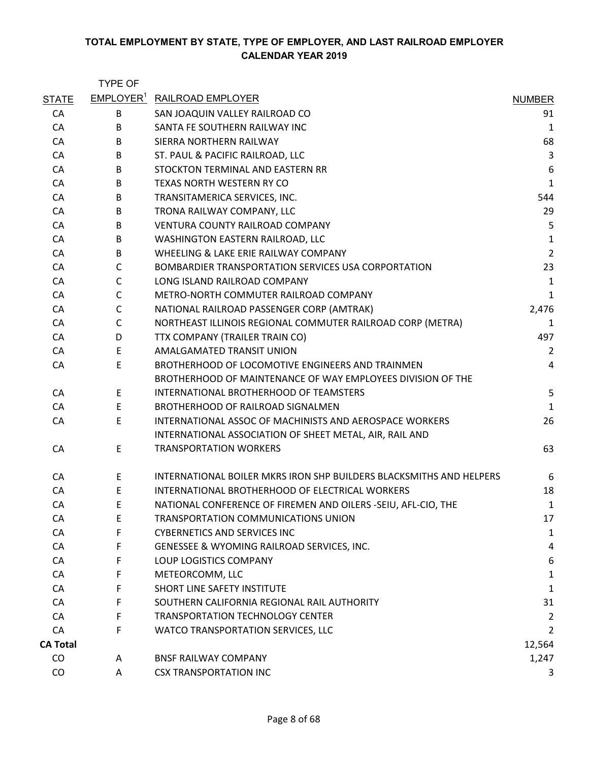|                 | <b>TYPE OF</b> |                                                                     |                |
|-----------------|----------------|---------------------------------------------------------------------|----------------|
| <b>STATE</b>    |                | EMPLOYER <sup>1</sup> RAILROAD EMPLOYER                             | <b>NUMBER</b>  |
| CA              | В              | SAN JOAQUIN VALLEY RAILROAD CO                                      | 91             |
| CA              | B              | SANTA FE SOUTHERN RAILWAY INC                                       | $\mathbf{1}$   |
| CA              | B              | SIERRA NORTHERN RAILWAY                                             | 68             |
| CA              | B              | ST. PAUL & PACIFIC RAILROAD, LLC                                    | $\overline{3}$ |
| CA              | B              | STOCKTON TERMINAL AND EASTERN RR                                    | 6              |
| CA              | B              | TEXAS NORTH WESTERN RY CO                                           | 1              |
| CA              | B              | TRANSITAMERICA SERVICES, INC.                                       | 544            |
| CA              | B              | TRONA RAILWAY COMPANY, LLC                                          | 29             |
| CA              | B              | VENTURA COUNTY RAILROAD COMPANY                                     | 5              |
| CA              | B              | WASHINGTON EASTERN RAILROAD, LLC                                    | $\mathbf{1}$   |
| CA              | B              | WHEELING & LAKE ERIE RAILWAY COMPANY                                | $\overline{2}$ |
| CA              | $\mathsf{C}$   | BOMBARDIER TRANSPORTATION SERVICES USA CORPORTATION                 | 23             |
| CA              | $\mathsf{C}$   | LONG ISLAND RAILROAD COMPANY                                        | 1              |
| CA              | C              | METRO-NORTH COMMUTER RAILROAD COMPANY                               | $\mathbf{1}$   |
| CA              | $\mathsf{C}$   | NATIONAL RAILROAD PASSENGER CORP (AMTRAK)                           | 2,476          |
| CA              | $\mathsf{C}$   | NORTHEAST ILLINOIS REGIONAL COMMUTER RAILROAD CORP (METRA)          | 1              |
| CA              | D              | TTX COMPANY (TRAILER TRAIN CO)                                      | 497            |
| CA              | E              | AMALGAMATED TRANSIT UNION                                           | $\overline{2}$ |
| CA              | E              | BROTHERHOOD OF LOCOMOTIVE ENGINEERS AND TRAINMEN                    | $\overline{4}$ |
|                 |                | BROTHERHOOD OF MAINTENANCE OF WAY EMPLOYEES DIVISION OF THE         |                |
| CA              | E              | INTERNATIONAL BROTHERHOOD OF TEAMSTERS                              | 5              |
| CA              | E              | BROTHERHOOD OF RAILROAD SIGNALMEN                                   | $\mathbf{1}$   |
| CA              | E              | INTERNATIONAL ASSOC OF MACHINISTS AND AEROSPACE WORKERS             | 26             |
|                 |                | INTERNATIONAL ASSOCIATION OF SHEET METAL, AIR, RAIL AND             |                |
| CA              | E              | <b>TRANSPORTATION WORKERS</b>                                       | 63             |
| CA              | E              | INTERNATIONAL BOILER MKRS IRON SHP BUILDERS BLACKSMITHS AND HELPERS | 6              |
| CA              | E              | INTERNATIONAL BROTHERHOOD OF ELECTRICAL WORKERS                     | 18             |
| CA              | E              | NATIONAL CONFERENCE OF FIREMEN AND OILERS -SEIU, AFL-CIO, THE       | 1              |
| CA              | E              | TRANSPORTATION COMMUNICATIONS UNION                                 | 17             |
| CA              | F              | <b>CYBERNETICS AND SERVICES INC</b>                                 | 1              |
| CA              | F              | GENESSEE & WYOMING RAILROAD SERVICES, INC.                          | 4              |
| CA              | F              | LOUP LOGISTICS COMPANY                                              | 6              |
| CA              | F              | METEORCOMM, LLC                                                     | $\mathbf{1}$   |
| CA              | F              | SHORT LINE SAFETY INSTITUTE                                         | $\mathbf{1}$   |
| CA              | F              | SOUTHERN CALIFORNIA REGIONAL RAIL AUTHORITY                         | 31             |
| CA              | F              | <b>TRANSPORTATION TECHNOLOGY CENTER</b>                             | 2              |
| CA              | F              | WATCO TRANSPORTATION SERVICES, LLC                                  | 2              |
| <b>CA Total</b> |                |                                                                     | 12,564         |
| CO              | A              | <b>BNSF RAILWAY COMPANY</b>                                         | 1,247          |
| CO              | A              | <b>CSX TRANSPORTATION INC</b>                                       | 3              |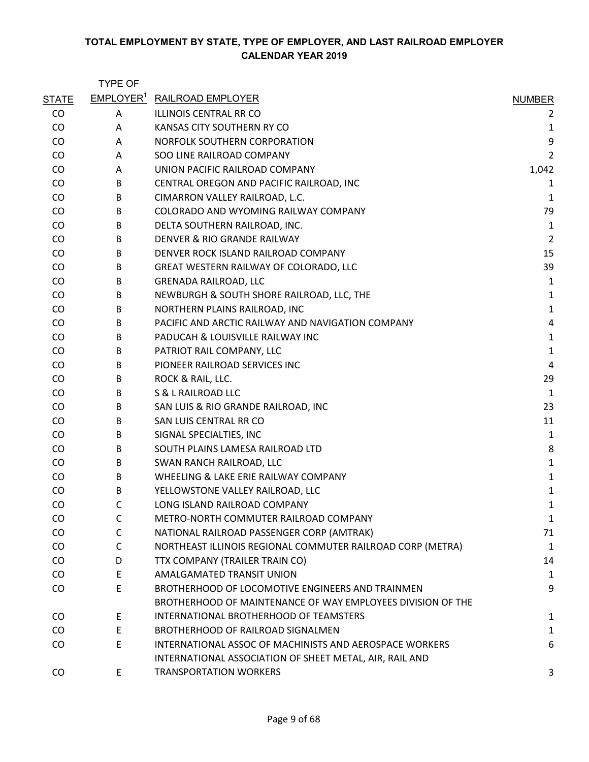|              | <b>TYPE OF</b> |                                                                                                                 |                |
|--------------|----------------|-----------------------------------------------------------------------------------------------------------------|----------------|
| <b>STATE</b> |                | <b>EMPLOYER<sup>1</sup> RAILROAD EMPLOYER</b>                                                                   | <b>NUMBER</b>  |
| CO           | A              | <b>ILLINOIS CENTRAL RR CO</b>                                                                                   | 2              |
| CO           | A              | KANSAS CITY SOUTHERN RY CO                                                                                      | $\mathbf{1}$   |
| CO           | A              | NORFOLK SOUTHERN CORPORATION                                                                                    | 9              |
| CO           | A              | SOO LINE RAILROAD COMPANY                                                                                       | 2              |
| CO           | A              | UNION PACIFIC RAILROAD COMPANY                                                                                  | 1,042          |
| CO           | B              | CENTRAL OREGON AND PACIFIC RAILROAD, INC                                                                        | 1              |
| CO           | B              | CIMARRON VALLEY RAILROAD, L.C.                                                                                  | 1              |
| CO           | B              | COLORADO AND WYOMING RAILWAY COMPANY                                                                            | 79             |
| CO           | B              | DELTA SOUTHERN RAILROAD, INC.                                                                                   | 1              |
| CO           | B              | DENVER & RIO GRANDE RAILWAY                                                                                     | $\overline{c}$ |
| CO           | B              | DENVER ROCK ISLAND RAILROAD COMPANY                                                                             | 15             |
| CO           | B              | GREAT WESTERN RAILWAY OF COLORADO, LLC                                                                          | 39             |
| CO           | B              | <b>GRENADA RAILROAD, LLC</b>                                                                                    | 1              |
| CO           | B              | NEWBURGH & SOUTH SHORE RAILROAD, LLC, THE                                                                       | 1              |
| CO           | B              | NORTHERN PLAINS RAILROAD, INC                                                                                   | $\mathbf{1}$   |
| CO           | B              | PACIFIC AND ARCTIC RAILWAY AND NAVIGATION COMPANY                                                               | 4              |
| CO           | B              | PADUCAH & LOUISVILLE RAILWAY INC                                                                                | $\mathbf{1}$   |
| CO           | B              | PATRIOT RAIL COMPANY, LLC                                                                                       | $\mathbf{1}$   |
| CO           | B              | PIONEER RAILROAD SERVICES INC                                                                                   | 4              |
| CO           | B              | ROCK & RAIL, LLC.                                                                                               | 29             |
| CO           | B              | S & L RAILROAD LLC                                                                                              | 1              |
| CO           | B              | SAN LUIS & RIO GRANDE RAILROAD, INC                                                                             | 23             |
| CO           | B              | SAN LUIS CENTRAL RR CO                                                                                          | 11             |
| CO           | B              | SIGNAL SPECIALTIES, INC                                                                                         | $\mathbf{1}$   |
| CO           | B              | SOUTH PLAINS LAMESA RAILROAD LTD                                                                                | 8              |
| CO           | B              | SWAN RANCH RAILROAD, LLC                                                                                        | $\mathbf{1}$   |
| CO           | B              | WHEELING & LAKE ERIE RAILWAY COMPANY                                                                            | $\mathbf{1}$   |
| CO           | B              | YELLOWSTONE VALLEY RAILROAD, LLC                                                                                | 1              |
| CO           | $\mathsf{C}$   | LONG ISLAND RAILROAD COMPANY                                                                                    | $\mathbf{1}$   |
| CO           | C              | METRO-NORTH COMMUTER RAILROAD COMPANY                                                                           | 1              |
| CO           | C              | NATIONAL RAILROAD PASSENGER CORP (AMTRAK)                                                                       | 71             |
| CO           | C              | NORTHEAST ILLINOIS REGIONAL COMMUTER RAILROAD CORP (METRA)                                                      | 1              |
| CO           | D              | TTX COMPANY (TRAILER TRAIN CO)                                                                                  | 14             |
| CO           | E              | AMALGAMATED TRANSIT UNION                                                                                       | 1              |
| CO           | E              | BROTHERHOOD OF LOCOMOTIVE ENGINEERS AND TRAINMEN<br>BROTHERHOOD OF MAINTENANCE OF WAY EMPLOYEES DIVISION OF THE | 9              |
| CO           | Е              | INTERNATIONAL BROTHERHOOD OF TEAMSTERS                                                                          | 1              |
| CO           | E              | <b>BROTHERHOOD OF RAILROAD SIGNALMEN</b>                                                                        | 1              |
| CO           | E              | INTERNATIONAL ASSOC OF MACHINISTS AND AEROSPACE WORKERS                                                         | 6              |
| CO           | E              | INTERNATIONAL ASSOCIATION OF SHEET METAL, AIR, RAIL AND<br><b>TRANSPORTATION WORKERS</b>                        | 3              |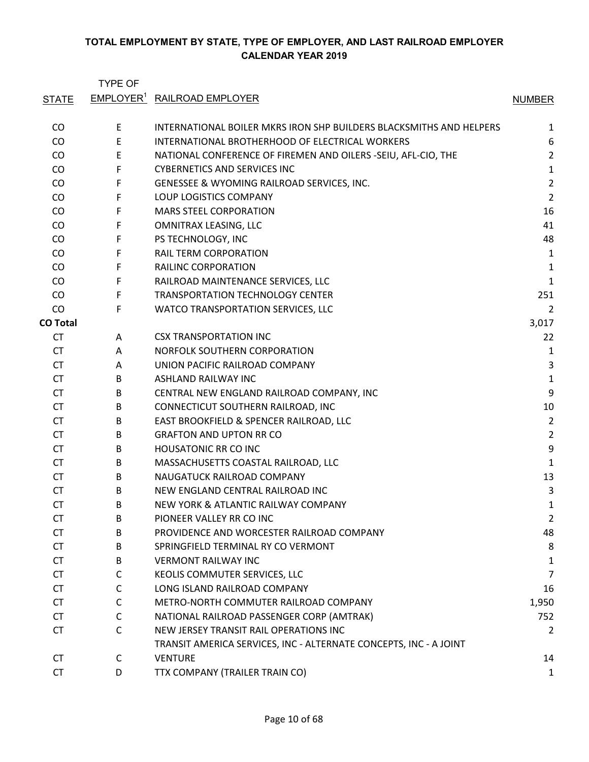TYPE OF STATE EMPLOYER<sup>1</sup> RAILROAD EMPLOYER NUMBER CO E INTERNATIONAL BOILER MKRS IRON SHP BUILDERS BLACKSMITHS AND HELPERS 1 CO E INTERNATIONAL BROTHERHOOD OF ELECTRICAL WORKERS 6 CO E NATIONAL CONFERENCE OF FIREMEN AND OILERS -SEIU, AFL-CIO, THE 2 CO F CYBERNETICS AND SERVICES INC 1 CO F GENESSEE & WYOMING RAILROAD SERVICES, INC. 2 CO F LOUP LOGISTICS COMPANY 2 CO F MARS STEEL CORPORATION 16 CO F OMNITRAX LEASING, LLC 41 CO F PS TECHNOLOGY, INC 48 CO FRAIL TERM CORPORATION CONSIDERED A SERVER AND THE RAIL TERM CORPORATION CONSIDERED ASSESS TO A LIMIT ASSESS TO A LIMIT A LIMIT ASSESS TO A LIMIT A LIMIT AND RELATION CONSIDERED ASSESS TO A LIMIT A LIMIT AND RELATION CO CO F RAILINC CORPORATION 1 CO F RAILROAD MAINTENANCE SERVICES, LLC 1 CO F TRANSPORTATION TECHNOLOGY CENTER 251 CO F WATCO TRANSPORTATION SERVICES, LLC 2 **CO Total** 3,017 CT A CSX TRANSPORTATION INC 22 CT A NORFOLK SOUTHERN CORPORATION **1** CT A UNION PACIFIC RAILROAD COMPANY **1996 120 AUGUST 2018** CT B ASHLAND RAILWAY INC 1 CT B CENTRAL NEW ENGLAND RAILROAD COMPANY, INC 9 CT B CONNECTICUT SOUTHERN RAILROAD, INC 10 CT B EAST BROOKFIELD & SPENCER RAILROAD, LLC 2 CT B GRAFTON AND UPTON RR CO 2 CT B HOUSATONIC RR CO INC 9 CT B MASSACHUSETTS COASTAL RAILROAD, LLC 1 CT B NAUGATUCK RAILROAD COMPANY 13 CT B NEW ENGLAND CENTRAL RAILROAD INC 33 CT B NEW YORK & ATLANTIC RAILWAY COMPANY 1 CT B PIONEER VALLEY RR CO INC 2 CT B PROVIDENCE AND WORCESTER RAILROAD COMPANY 48 CT B SPRINGFIELD TERMINAL RY CO VERMONT 8 CT B VERMONT RAILWAY INC 1 CT C KEOLIS COMMUTER SERVICES, LLC 7 C<sub>LONG</sub> ISLAND RAILROAD COMPANY **COMPANY** 16 CT C METRO-NORTH COMMUTER RAILROAD COMPANY 1,950 CT C NATIONAL RAILROAD PASSENGER CORP (AMTRAK) 752 CT C NEW JERSEY TRANSIT RAIL OPERATIONS INC 2 CT C TRANSIT AMERICA SERVICES, INC - ALTERNATE CONCEPTS, INC - A JOINT VENTURE 2008 2009 14 CT D TTX COMPANY (TRAILER TRAIN CO) 1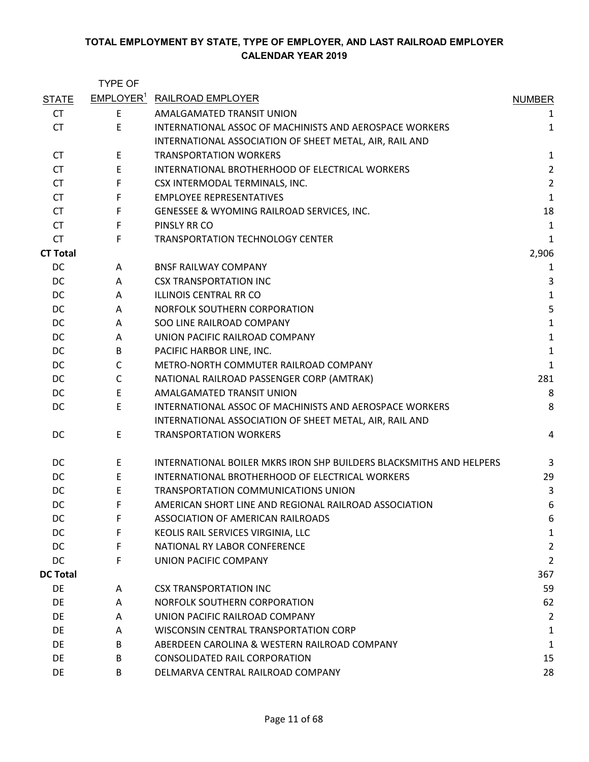|                 | <b>TYPE OF</b> |                                                                     |                |
|-----------------|----------------|---------------------------------------------------------------------|----------------|
| <b>STATE</b>    |                | EMPLOYER <sup>1</sup> RAILROAD EMPLOYER                             | <b>NUMBER</b>  |
| <b>CT</b>       | E              | AMALGAMATED TRANSIT UNION                                           | 1              |
| <b>CT</b>       | E              | INTERNATIONAL ASSOC OF MACHINISTS AND AEROSPACE WORKERS             | $\mathbf{1}$   |
|                 |                | INTERNATIONAL ASSOCIATION OF SHEET METAL, AIR, RAIL AND             |                |
| CT.             | E.             | <b>TRANSPORTATION WORKERS</b>                                       | 1              |
| <b>CT</b>       | E              | INTERNATIONAL BROTHERHOOD OF ELECTRICAL WORKERS                     | $\overline{2}$ |
| <b>CT</b>       | F              | CSX INTERMODAL TERMINALS, INC.                                      | $\overline{2}$ |
| <b>CT</b>       | F.             | <b>EMPLOYEE REPRESENTATIVES</b>                                     | $\mathbf{1}$   |
| <b>CT</b>       | F              | GENESSEE & WYOMING RAILROAD SERVICES, INC.                          | 18             |
| <b>CT</b>       | F              | PINSLY RR CO                                                        | $\mathbf{1}$   |
| <b>CT</b>       | F              | TRANSPORTATION TECHNOLOGY CENTER                                    | $\mathbf{1}$   |
| <b>CT Total</b> |                |                                                                     | 2,906          |
| DC              | A              | <b>BNSF RAILWAY COMPANY</b>                                         | $\mathbf{1}$   |
| DC              | A              | <b>CSX TRANSPORTATION INC</b>                                       | 3              |
| DC              | A              | ILLINOIS CENTRAL RR CO                                              | $\mathbf{1}$   |
| DC              | Α              | NORFOLK SOUTHERN CORPORATION                                        | 5              |
| DC              | A              | SOO LINE RAILROAD COMPANY                                           | $\mathbf{1}$   |
| DC              | Α              | UNION PACIFIC RAILROAD COMPANY                                      | $\mathbf{1}$   |
| DC              | B              | PACIFIC HARBOR LINE, INC.                                           | $\mathbf{1}$   |
| DC              | $\mathsf{C}$   | METRO-NORTH COMMUTER RAILROAD COMPANY                               | $\mathbf{1}$   |
| DC              | $\mathsf{C}$   | NATIONAL RAILROAD PASSENGER CORP (AMTRAK)                           | 281            |
| DC              | E              | AMALGAMATED TRANSIT UNION                                           | 8              |
| DC              | E              | INTERNATIONAL ASSOC OF MACHINISTS AND AEROSPACE WORKERS             | 8              |
|                 |                | INTERNATIONAL ASSOCIATION OF SHEET METAL, AIR, RAIL AND             |                |
| DC              | E              | <b>TRANSPORTATION WORKERS</b>                                       | 4              |
| DC              | E              | INTERNATIONAL BOILER MKRS IRON SHP BUILDERS BLACKSMITHS AND HELPERS | 3              |
| DC              | E              | INTERNATIONAL BROTHERHOOD OF ELECTRICAL WORKERS                     | 29             |
| DC              | E              | TRANSPORTATION COMMUNICATIONS UNION                                 | 3              |
| DC              | F              | AMERICAN SHORT LINE AND REGIONAL RAILROAD ASSOCIATION               | 6              |
| DC              | F              | ASSOCIATION OF AMERICAN RAILROADS                                   | 6              |
| DC              | F.             | KEOLIS RAIL SERVICES VIRGINIA, LLC                                  | 1              |
| DC              | F.             | NATIONAL RY LABOR CONFERENCE                                        | $\overline{2}$ |
| DC              | F.             | UNION PACIFIC COMPANY                                               | $\overline{2}$ |
| <b>DC Total</b> |                |                                                                     | 367            |
| DE              | A              | <b>CSX TRANSPORTATION INC</b>                                       | 59             |
| DE              | A              | NORFOLK SOUTHERN CORPORATION                                        | 62             |
| DE              | A              | UNION PACIFIC RAILROAD COMPANY                                      | $\overline{2}$ |
| DE              | A              | WISCONSIN CENTRAL TRANSPORTATION CORP                               | 1              |
| DE              | B              | ABERDEEN CAROLINA & WESTERN RAILROAD COMPANY                        | $\mathbf{1}$   |
| DE              | B              | <b>CONSOLIDATED RAIL CORPORATION</b>                                | 15             |
| DE              | B              | DELMARVA CENTRAL RAILROAD COMPANY                                   | 28             |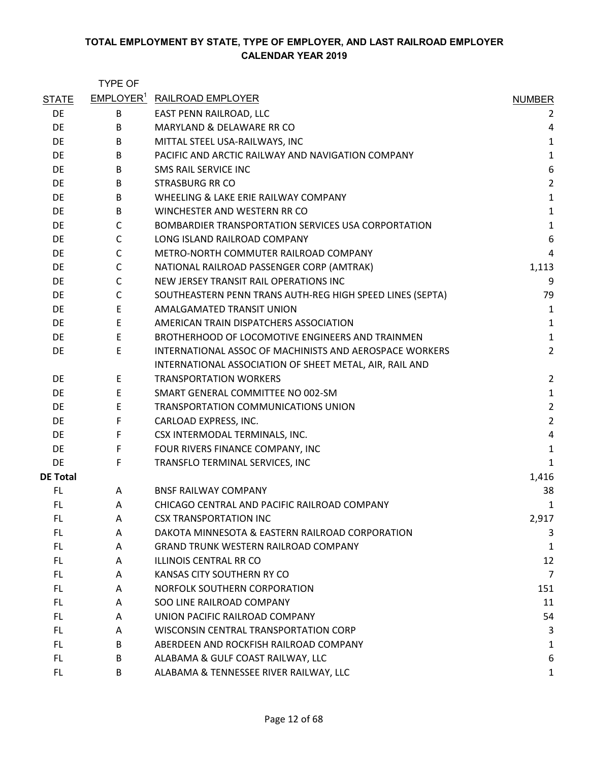|                 | <b>TYPE OF</b> |                                                           |                  |
|-----------------|----------------|-----------------------------------------------------------|------------------|
| <b>STATE</b>    |                | <b>EMPLOYER<sup>1</sup></b> RAILROAD EMPLOYER             | <b>NUMBER</b>    |
| <b>DE</b>       | B              | EAST PENN RAILROAD, LLC                                   | 2                |
| DE              | B              | MARYLAND & DELAWARE RR CO                                 | 4                |
| DE              | B              | MITTAL STEEL USA-RAILWAYS, INC                            | $\mathbf{1}$     |
| DE              | B              | PACIFIC AND ARCTIC RAILWAY AND NAVIGATION COMPANY         | $\mathbf{1}$     |
| DE              | B              | SMS RAIL SERVICE INC                                      | $\boldsymbol{6}$ |
| DE              | B              | <b>STRASBURG RR CO</b>                                    | $\overline{2}$   |
| DE              | B              | WHEELING & LAKE ERIE RAILWAY COMPANY                      | $\mathbf{1}$     |
| DE              | B              | WINCHESTER AND WESTERN RR CO                              | $\mathbf{1}$     |
| DE              | C              | BOMBARDIER TRANSPORTATION SERVICES USA CORPORTATION       | $\mathbf{1}$     |
| DE              | $\mathsf{C}$   | LONG ISLAND RAILROAD COMPANY                              | 6                |
| DE              | $\mathsf{C}$   | METRO-NORTH COMMUTER RAILROAD COMPANY                     | 4                |
| DE              | $\mathsf C$    | NATIONAL RAILROAD PASSENGER CORP (AMTRAK)                 | 1,113            |
| DE              | $\mathsf{C}$   | NEW JERSEY TRANSIT RAIL OPERATIONS INC                    | 9                |
| DE              | $\mathsf{C}$   | SOUTHEASTERN PENN TRANS AUTH-REG HIGH SPEED LINES (SEPTA) | 79               |
| DE              | $\mathsf E$    | AMALGAMATED TRANSIT UNION                                 | 1                |
| DE              | E              | AMERICAN TRAIN DISPATCHERS ASSOCIATION                    | $\mathbf{1}$     |
| DE              | E              | BROTHERHOOD OF LOCOMOTIVE ENGINEERS AND TRAINMEN          | $\mathbf{1}$     |
| DE              | E              | INTERNATIONAL ASSOC OF MACHINISTS AND AEROSPACE WORKERS   | $\overline{2}$   |
|                 |                | INTERNATIONAL ASSOCIATION OF SHEET METAL, AIR, RAIL AND   |                  |
| DE              | E              | <b>TRANSPORTATION WORKERS</b>                             | $\overline{2}$   |
| DE              | E              | SMART GENERAL COMMITTEE NO 002-SM                         | $\mathbf{1}$     |
| DE              | E              | TRANSPORTATION COMMUNICATIONS UNION                       | $\overline{2}$   |
| DE              | F              | CARLOAD EXPRESS, INC.                                     | $\overline{2}$   |
| DE              | F              | CSX INTERMODAL TERMINALS, INC.                            | $\sqrt{4}$       |
| DE              | F              | FOUR RIVERS FINANCE COMPANY, INC                          | $\mathbf{1}$     |
| DE              | F              | TRANSFLO TERMINAL SERVICES, INC                           | $\mathbf{1}$     |
| <b>DE Total</b> |                |                                                           | 1,416            |
| FL.             | A              | <b>BNSF RAILWAY COMPANY</b>                               | 38               |
| FL              | A              | CHICAGO CENTRAL AND PACIFIC RAILROAD COMPANY              | 1                |
| FL.             | A              | <b>CSX TRANSPORTATION INC</b>                             | 2,917            |
| FL.             | A              | DAKOTA MINNESOTA & EASTERN RAILROAD CORPORATION           | 3                |
| FL.             | A              | <b>GRAND TRUNK WESTERN RAILROAD COMPANY</b>               | 1                |
| FL.             | A              | <b>ILLINOIS CENTRAL RR CO</b>                             | 12               |
| FL.             | A              | KANSAS CITY SOUTHERN RY CO                                | $\overline{7}$   |
| FL.             | A              | NORFOLK SOUTHERN CORPORATION                              | 151              |
| FL.             | A              | SOO LINE RAILROAD COMPANY                                 | 11               |
| FL.             | A              | UNION PACIFIC RAILROAD COMPANY                            | 54               |
| FL.             | A              | <b>WISCONSIN CENTRAL TRANSPORTATION CORP</b>              | 3                |
| FL.             | B              | ABERDEEN AND ROCKFISH RAILROAD COMPANY                    | 1                |
| FL.             | B              | ALABAMA & GULF COAST RAILWAY, LLC                         | 6                |
| FL.             | B              | ALABAMA & TENNESSEE RIVER RAILWAY, LLC                    | 1                |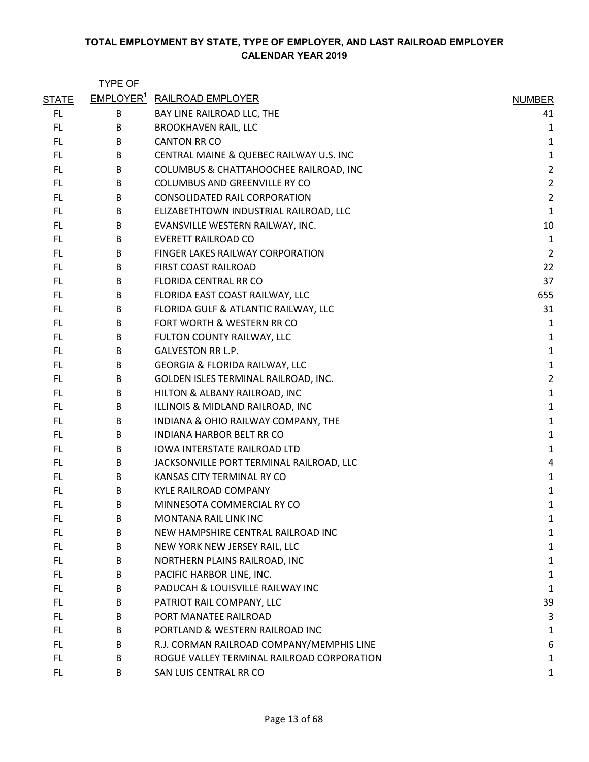|              | <b>TYPE OF</b> |                                               |                |
|--------------|----------------|-----------------------------------------------|----------------|
| <b>STATE</b> |                | <b>EMPLOYER<sup>1</sup></b> RAILROAD EMPLOYER | <b>NUMBER</b>  |
| FL.          | B              | BAY LINE RAILROAD LLC, THE                    | 41             |
| FL           | B              | <b>BROOKHAVEN RAIL, LLC</b>                   | 1              |
| FL.          | B              | <b>CANTON RR CO</b>                           | 1              |
| FL.          | B              | CENTRAL MAINE & QUEBEC RAILWAY U.S. INC       | $\mathbf{1}$   |
| FL.          | B              | COLUMBUS & CHATTAHOOCHEE RAILROAD, INC        | $\overline{2}$ |
| FL.          | B              | COLUMBUS AND GREENVILLE RY CO                 | $\mathbf 2$    |
| FL.          | B              | <b>CONSOLIDATED RAIL CORPORATION</b>          | $\overline{2}$ |
| FL.          | B              | ELIZABETHTOWN INDUSTRIAL RAILROAD, LLC        | $\mathbf 1$    |
| FL.          | B              | EVANSVILLE WESTERN RAILWAY, INC.              | 10             |
| FL.          | B              | <b>EVERETT RAILROAD CO</b>                    | $\mathbf 1$    |
| FL.          | B              | FINGER LAKES RAILWAY CORPORATION              | $\overline{2}$ |
| FL.          | B              | FIRST COAST RAILROAD                          | 22             |
| FL.          | B              | <b>FLORIDA CENTRAL RR CO</b>                  | 37             |
| FL.          | B              | FLORIDA EAST COAST RAILWAY, LLC               | 655            |
| FL.          | B              | FLORIDA GULF & ATLANTIC RAILWAY, LLC          | 31             |
| FL           | B              | FORT WORTH & WESTERN RR CO                    | 1              |
| FL.          | B              | FULTON COUNTY RAILWAY, LLC                    | $\mathbf 1$    |
| FL.          | B              | <b>GALVESTON RR L.P.</b>                      | $\mathbf 1$    |
| FL.          | B              | <b>GEORGIA &amp; FLORIDA RAILWAY, LLC</b>     | $\mathbf 1$    |
| FL.          | B              | GOLDEN ISLES TERMINAL RAILROAD, INC.          | $\overline{2}$ |
| FL           | B              | HILTON & ALBANY RAILROAD, INC                 | $\mathbf{1}$   |
| FL.          | B              | ILLINOIS & MIDLAND RAILROAD, INC              | $\mathbf 1$    |
| FL.          | B              | INDIANA & OHIO RAILWAY COMPANY, THE           | $\mathbf 1$    |
| FL.          | B              | <b>INDIANA HARBOR BELT RR CO</b>              | $\mathbf 1$    |
| FL.          | B              | <b>IOWA INTERSTATE RAILROAD LTD</b>           | $\mathbf{1}$   |
| FL.          | B              | JACKSONVILLE PORT TERMINAL RAILROAD, LLC      | 4              |
| FL.          | B              | KANSAS CITY TERMINAL RY CO                    | 1              |
| FL           | B              | <b>KYLE RAILROAD COMPANY</b>                  | 1              |
| FL           | В              | MINNESOTA COMMERCIAL RY CO                    | 1              |
| FL.          | B              | <b>MONTANA RAIL LINK INC</b>                  | 1              |
| FL.          | B              | NEW HAMPSHIRE CENTRAL RAILROAD INC            | 1              |
| FL.          | В              | NEW YORK NEW JERSEY RAIL, LLC                 | 1              |
| FL           | В              | NORTHERN PLAINS RAILROAD, INC                 | 1              |
| FL.          | B              | PACIFIC HARBOR LINE, INC.                     | 1              |
| FL.          | B              | PADUCAH & LOUISVILLE RAILWAY INC              | $\mathbf{1}$   |
| FL.          | B              | PATRIOT RAIL COMPANY, LLC                     | 39             |
| FL           | B              | PORT MANATEE RAILROAD                         | 3              |
| FL.          | B              | PORTLAND & WESTERN RAILROAD INC               | 1              |
| FL.          | B              | R.J. CORMAN RAILROAD COMPANY/MEMPHIS LINE     | 6              |
| FL.          | B              | ROGUE VALLEY TERMINAL RAILROAD CORPORATION    | 1              |
| FL.          | В              | SAN LUIS CENTRAL RR CO                        | 1              |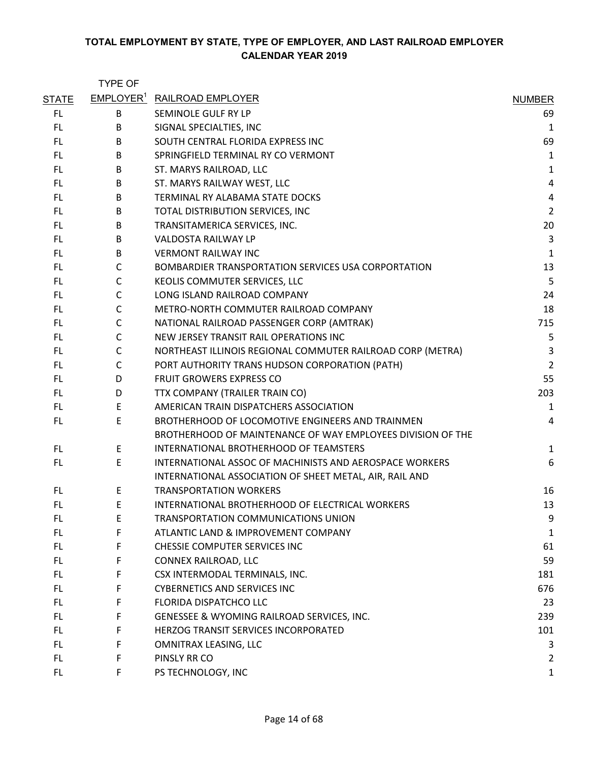|              | <b>TYPE OF</b> |                                                             |                |
|--------------|----------------|-------------------------------------------------------------|----------------|
| <b>STATE</b> |                | <b>EMPLOYER<sup>1</sup> RAILROAD EMPLOYER</b>               | <b>NUMBER</b>  |
| FL.          | B              | SEMINOLE GULF RY LP                                         | 69             |
| FL.          | B              | SIGNAL SPECIALTIES, INC                                     | $\mathbf{1}$   |
| FL.          | B              | SOUTH CENTRAL FLORIDA EXPRESS INC                           | 69             |
| FL.          | B              | SPRINGFIELD TERMINAL RY CO VERMONT                          | $\mathbf 1$    |
| FL.          | B              | ST. MARYS RAILROAD, LLC                                     | $\mathbf 1$    |
| FL.          | B              | ST. MARYS RAILWAY WEST, LLC                                 | 4              |
| FL.          | B              | TERMINAL RY ALABAMA STATE DOCKS                             | 4              |
| FL.          | B              | TOTAL DISTRIBUTION SERVICES, INC                            | $\overline{2}$ |
| FL.          | B              | TRANSITAMERICA SERVICES, INC.                               | 20             |
| FL.          | B              | VALDOSTA RAILWAY LP                                         | 3              |
| FL.          | B              | <b>VERMONT RAILWAY INC</b>                                  | $\mathbf{1}$   |
| FL.          | $\mathsf{C}$   | BOMBARDIER TRANSPORTATION SERVICES USA CORPORTATION         | 13             |
| FL.          | C              | KEOLIS COMMUTER SERVICES, LLC                               | 5              |
| FL.          | $\mathsf{C}$   | LONG ISLAND RAILROAD COMPANY                                | 24             |
| FL.          | $\mathsf{C}$   | METRO-NORTH COMMUTER RAILROAD COMPANY                       | 18             |
| FL.          | $\mathsf{C}$   | NATIONAL RAILROAD PASSENGER CORP (AMTRAK)                   | 715            |
| FL.          | $\mathsf{C}$   | NEW JERSEY TRANSIT RAIL OPERATIONS INC                      | 5              |
| FL.          | C              | NORTHEAST ILLINOIS REGIONAL COMMUTER RAILROAD CORP (METRA)  | 3              |
| FL.          | $\mathsf{C}$   | PORT AUTHORITY TRANS HUDSON CORPORATION (PATH)              | $\overline{2}$ |
| FL.          | D              | <b>FRUIT GROWERS EXPRESS CO</b>                             | 55             |
| FL.          | D              | TTX COMPANY (TRAILER TRAIN CO)                              | 203            |
| FL.          | E              | AMERICAN TRAIN DISPATCHERS ASSOCIATION                      | $\mathbf{1}$   |
| FL.          | E              | BROTHERHOOD OF LOCOMOTIVE ENGINEERS AND TRAINMEN            | 4              |
|              |                | BROTHERHOOD OF MAINTENANCE OF WAY EMPLOYEES DIVISION OF THE |                |
| FL.          | E              | INTERNATIONAL BROTHERHOOD OF TEAMSTERS                      | $\mathbf{1}$   |
| FL.          | E              | INTERNATIONAL ASSOC OF MACHINISTS AND AEROSPACE WORKERS     | 6              |
|              |                | INTERNATIONAL ASSOCIATION OF SHEET METAL, AIR, RAIL AND     |                |
| FL           | F.             | <b>TRANSPORTATION WORKERS</b>                               | 16             |
| FL           | E              | INTERNATIONAL BROTHERHOOD OF ELECTRICAL WORKERS             | 13             |
| FL.          | E.             | TRANSPORTATION COMMUNICATIONS UNION                         | 9              |
| FL.          | F              | ATLANTIC LAND & IMPROVEMENT COMPANY                         | 1              |
| FL.          | F              | CHESSIE COMPUTER SERVICES INC                               | 61             |
| FL.          | F              | CONNEX RAILROAD, LLC                                        | 59             |
| FL.          | F              | CSX INTERMODAL TERMINALS, INC.                              | 181            |
| FL.          | F.             | <b>CYBERNETICS AND SERVICES INC</b>                         | 676            |
| FL.          | F              | FLORIDA DISPATCHCO LLC                                      | 23             |
| FL.          | F              | GENESSEE & WYOMING RAILROAD SERVICES, INC.                  | 239            |
| FL.          | F              | HERZOG TRANSIT SERVICES INCORPORATED                        | 101            |
| FL.          | F              | OMNITRAX LEASING, LLC                                       | 3              |
| FL.          | F              | PINSLY RR CO                                                | $\overline{2}$ |
| FL.          | F              | PS TECHNOLOGY, INC                                          | 1              |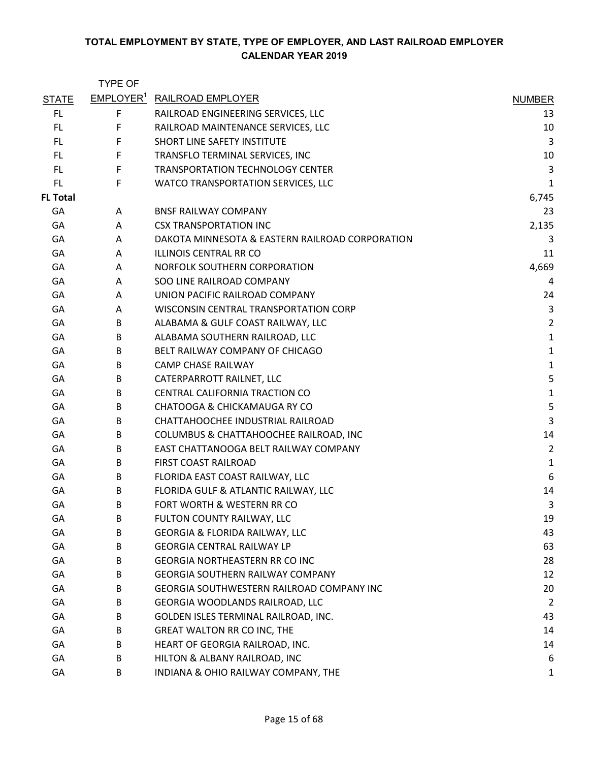|                 | <b>TYPE OF</b>        |                                                 |                |
|-----------------|-----------------------|-------------------------------------------------|----------------|
| <b>STATE</b>    | EMPLOYER <sup>1</sup> | <b>RAILROAD EMPLOYER</b>                        | <b>NUMBER</b>  |
| FL.             | F                     | RAILROAD ENGINEERING SERVICES, LLC              | 13             |
| FL.             | F                     | RAILROAD MAINTENANCE SERVICES, LLC              | 10             |
| <b>FL</b>       | F                     | <b>SHORT LINE SAFETY INSTITUTE</b>              | 3              |
| FL.             | F                     | TRANSFLO TERMINAL SERVICES, INC                 | 10             |
| FL              | F                     | TRANSPORTATION TECHNOLOGY CENTER                | 3              |
| FL.             | F                     | WATCO TRANSPORTATION SERVICES, LLC              | $\mathbf{1}$   |
| <b>FL Total</b> |                       |                                                 | 6,745          |
| GA              | A                     | <b>BNSF RAILWAY COMPANY</b>                     | 23             |
| GA              | Α                     | <b>CSX TRANSPORTATION INC</b>                   | 2,135          |
| GA              | A                     | DAKOTA MINNESOTA & EASTERN RAILROAD CORPORATION | 3              |
| GA              | A                     | ILLINOIS CENTRAL RR CO                          | 11             |
| GA              | A                     | NORFOLK SOUTHERN CORPORATION                    | 4,669          |
| GA              | A                     | SOO LINE RAILROAD COMPANY                       | 4              |
| GA              | A                     | UNION PACIFIC RAILROAD COMPANY                  | 24             |
| GA              | A                     | WISCONSIN CENTRAL TRANSPORTATION CORP           | $\mathsf 3$    |
| GA              | B                     | ALABAMA & GULF COAST RAILWAY, LLC               | $\overline{2}$ |
| GA              | B                     | ALABAMA SOUTHERN RAILROAD, LLC                  | $\mathbf 1$    |
| GA              | B                     | BELT RAILWAY COMPANY OF CHICAGO                 | $\mathbf 1$    |
| GA              | B                     | <b>CAMP CHASE RAILWAY</b>                       | $\mathbf 1$    |
| GA              | B                     | CATERPARROTT RAILNET, LLC                       | 5              |
| GA              | B                     | CENTRAL CALIFORNIA TRACTION CO                  | $\mathbf 1$    |
| GA              | B                     | CHATOOGA & CHICKAMAUGA RY CO                    | 5              |
| GA              | B                     | CHATTAHOOCHEE INDUSTRIAL RAILROAD               | 3              |
| GA              | B                     | COLUMBUS & CHATTAHOOCHEE RAILROAD, INC          | 14             |
| GA              | B                     | EAST CHATTANOOGA BELT RAILWAY COMPANY           | $\overline{2}$ |
| GA              | B                     | FIRST COAST RAILROAD                            | $\mathbf 1$    |
| GA              | B                     | FLORIDA EAST COAST RAILWAY, LLC                 | 6              |
| GA              | B                     | FLORIDA GULF & ATLANTIC RAILWAY, LLC            | 14             |
| GA              | B                     | FORT WORTH & WESTERN RR CO                      | 3              |
| GA              | B                     | FULTON COUNTY RAILWAY, LLC                      | 19             |
| GA              | B                     | <b>GEORGIA &amp; FLORIDA RAILWAY, LLC</b>       | 43             |
| GA              | В                     | <b>GEORGIA CENTRAL RAILWAY LP</b>               | 63             |
| GA              | B                     | <b>GEORGIA NORTHEASTERN RR CO INC</b>           | 28             |
| GA              | В                     | <b>GEORGIA SOUTHERN RAILWAY COMPANY</b>         | 12             |
| GA              | B                     | GEORGIA SOUTHWESTERN RAILROAD COMPANY INC       | 20             |
| GA              | B                     | GEORGIA WOODLANDS RAILROAD, LLC                 | $\overline{2}$ |
| GA              | B                     | GOLDEN ISLES TERMINAL RAILROAD, INC.            | 43             |
| GA              | В                     | <b>GREAT WALTON RR CO INC, THE</b>              | 14             |
| GA              | B                     | HEART OF GEORGIA RAILROAD, INC.                 | 14             |
| GA              | B                     | HILTON & ALBANY RAILROAD, INC                   | 6              |
| GA              | B                     | INDIANA & OHIO RAILWAY COMPANY, THE             | 1              |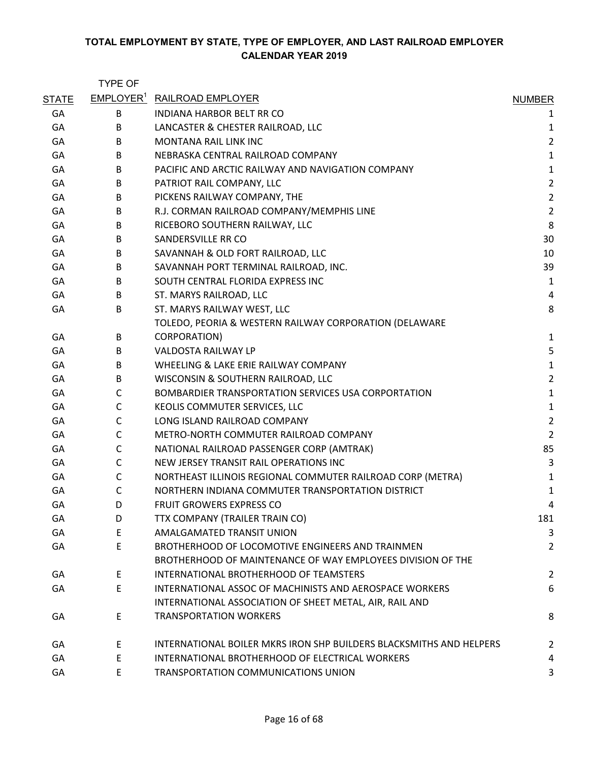|              | <b>TYPE OF</b> |                                                                     |                |
|--------------|----------------|---------------------------------------------------------------------|----------------|
| <b>STATE</b> |                | EMPLOYER <sup>1</sup> RAILROAD EMPLOYER                             | <b>NUMBER</b>  |
| GA           | B              | INDIANA HARBOR BELT RR CO                                           | 1              |
| GA           | B              | LANCASTER & CHESTER RAILROAD, LLC                                   | 1              |
| GA           | B              | <b>MONTANA RAIL LINK INC</b>                                        | $\overline{2}$ |
| GA           | B              | NEBRASKA CENTRAL RAILROAD COMPANY                                   | $\mathbf 1$    |
| GA           | B              | PACIFIC AND ARCTIC RAILWAY AND NAVIGATION COMPANY                   | $\mathbf 1$    |
| GA           | В              | PATRIOT RAIL COMPANY, LLC                                           | $\overline{2}$ |
| GA           | B              | PICKENS RAILWAY COMPANY, THE                                        | $\overline{2}$ |
| GA           | B              | R.J. CORMAN RAILROAD COMPANY/MEMPHIS LINE                           | $\overline{2}$ |
| GA           | B              | RICEBORO SOUTHERN RAILWAY, LLC                                      | 8              |
| GA           | B              | SANDERSVILLE RR CO                                                  | 30             |
| GA           | В              | SAVANNAH & OLD FORT RAILROAD, LLC                                   | 10             |
| GA           | B              | SAVANNAH PORT TERMINAL RAILROAD, INC.                               | 39             |
| GA           | B              | SOUTH CENTRAL FLORIDA EXPRESS INC                                   | 1              |
| GA           | B              | ST. MARYS RAILROAD, LLC                                             | 4              |
| GA           | B              | ST. MARYS RAILWAY WEST, LLC                                         | 8              |
|              |                | TOLEDO, PEORIA & WESTERN RAILWAY CORPORATION (DELAWARE              |                |
| GA           | В              | CORPORATION)                                                        | 1              |
| GA           | B              | VALDOSTA RAILWAY LP                                                 | 5              |
| GA           | B              | WHEELING & LAKE ERIE RAILWAY COMPANY                                | $\mathbf 1$    |
| GA           | B              | WISCONSIN & SOUTHERN RAILROAD, LLC                                  | $\overline{2}$ |
| GA           | C              | BOMBARDIER TRANSPORTATION SERVICES USA CORPORTATION                 | $\mathbf 1$    |
| GA           | C              | KEOLIS COMMUTER SERVICES, LLC                                       | $\mathbf 1$    |
| GA           | C              | LONG ISLAND RAILROAD COMPANY                                        | $\overline{2}$ |
| GA           | $\mathsf{C}$   | METRO-NORTH COMMUTER RAILROAD COMPANY                               | $\overline{2}$ |
| GA           | C              | NATIONAL RAILROAD PASSENGER CORP (AMTRAK)                           | 85             |
| GA           | $\mathsf{C}$   | NEW JERSEY TRANSIT RAIL OPERATIONS INC                              | 3              |
| GA           | C              | NORTHEAST ILLINOIS REGIONAL COMMUTER RAILROAD CORP (METRA)          | $\mathbf{1}$   |
| GA           | $\mathsf{C}$   | NORTHERN INDIANA COMMUTER TRANSPORTATION DISTRICT                   | $\mathbf 1$    |
| GA           | D              | FRUIT GROWERS EXPRESS CO                                            | 4              |
| GA           | D              | TTX COMPANY (TRAILER TRAIN CO)                                      | 181            |
| GA           | E              | AMALGAMATED TRANSIT UNION                                           | 3              |
| GA           | E              | BROTHERHOOD OF LOCOMOTIVE ENGINEERS AND TRAINMEN                    | $\overline{2}$ |
|              |                | BROTHERHOOD OF MAINTENANCE OF WAY EMPLOYEES DIVISION OF THE         |                |
| GA           | E              | INTERNATIONAL BROTHERHOOD OF TEAMSTERS                              | $\overline{2}$ |
| GA           | E              | INTERNATIONAL ASSOC OF MACHINISTS AND AEROSPACE WORKERS             | 6              |
|              |                | INTERNATIONAL ASSOCIATION OF SHEET METAL, AIR, RAIL AND             |                |
| GA           | Ε              | <b>TRANSPORTATION WORKERS</b>                                       | 8              |
| GA           | E              | INTERNATIONAL BOILER MKRS IRON SHP BUILDERS BLACKSMITHS AND HELPERS | 2              |
| GA           | E              | INTERNATIONAL BROTHERHOOD OF ELECTRICAL WORKERS                     | 4              |
| GA           | E              | TRANSPORTATION COMMUNICATIONS UNION                                 | 3              |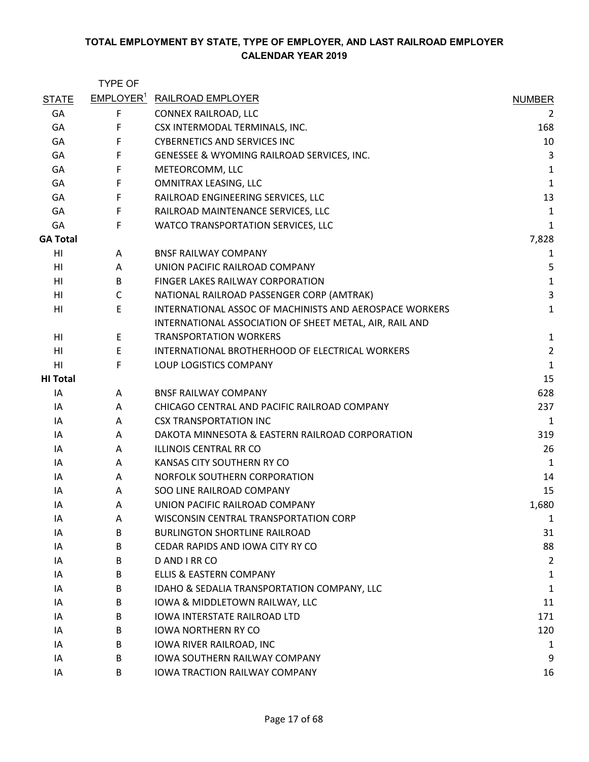|                 | <b>TYPE OF</b>        |                                                         |                |
|-----------------|-----------------------|---------------------------------------------------------|----------------|
| <b>STATE</b>    | EMPLOYER <sup>1</sup> | <b>RAILROAD EMPLOYER</b>                                | <b>NUMBER</b>  |
| GA              | F                     | CONNEX RAILROAD, LLC                                    | 2              |
| GA              | F                     | CSX INTERMODAL TERMINALS, INC.                          | 168            |
| GA              | F                     | <b>CYBERNETICS AND SERVICES INC</b>                     | 10             |
| GA              | F                     | GENESSEE & WYOMING RAILROAD SERVICES, INC.              | 3              |
| GA              | F                     | METEORCOMM, LLC                                         | 1              |
| GA              | F                     | OMNITRAX LEASING, LLC                                   | $\mathbf{1}$   |
| GA              | F                     | RAILROAD ENGINEERING SERVICES, LLC                      | 13             |
| GA              | $\mathsf F$           | RAILROAD MAINTENANCE SERVICES, LLC                      | 1              |
| GA              | $\mathsf F$           | WATCO TRANSPORTATION SERVICES, LLC                      | 1              |
| <b>GA Total</b> |                       |                                                         | 7,828          |
| HI              | A                     | <b>BNSF RAILWAY COMPANY</b>                             | 1              |
| HI              | A                     | UNION PACIFIC RAILROAD COMPANY                          | 5              |
| HI              | B                     | FINGER LAKES RAILWAY CORPORATION                        | $\mathbf 1$    |
| HI              | C                     | NATIONAL RAILROAD PASSENGER CORP (AMTRAK)               | 3              |
| HI              | E                     | INTERNATIONAL ASSOC OF MACHINISTS AND AEROSPACE WORKERS | $\mathbf{1}$   |
|                 |                       | INTERNATIONAL ASSOCIATION OF SHEET METAL, AIR, RAIL AND |                |
| HI              | E                     | <b>TRANSPORTATION WORKERS</b>                           | $\mathbf 1$    |
| HI              | E                     | INTERNATIONAL BROTHERHOOD OF ELECTRICAL WORKERS         | $\overline{2}$ |
| HI              | F                     | LOUP LOGISTICS COMPANY                                  | $\mathbf{1}$   |
| <b>HI Total</b> |                       |                                                         | 15             |
| IA              | A                     | <b>BNSF RAILWAY COMPANY</b>                             | 628            |
| IA              | A                     | CHICAGO CENTRAL AND PACIFIC RAILROAD COMPANY            | 237            |
| ΙA              | A                     | <b>CSX TRANSPORTATION INC</b>                           | $\mathbf{1}$   |
| IA              | A                     | DAKOTA MINNESOTA & EASTERN RAILROAD CORPORATION         | 319            |
| IA              | A                     | <b>ILLINOIS CENTRAL RR CO</b>                           | 26             |
| ΙA              | A                     | KANSAS CITY SOUTHERN RY CO                              | 1              |
| IA              | A                     | NORFOLK SOUTHERN CORPORATION                            | 14             |
| IA              | A                     | SOO LINE RAILROAD COMPANY                               | 15             |
| ΙA              | A                     | UNION PACIFIC RAILROAD COMPANY                          | 1,680          |
| IA              | Α                     | WISCONSIN CENTRAL TRANSPORTATION CORP                   | $\mathbf 1$    |
| IA              | B                     | <b>BURLINGTON SHORTLINE RAILROAD</b>                    | 31             |
| IA              | B                     | CEDAR RAPIDS AND IOWA CITY RY CO                        | 88             |
| IA              | B                     | D AND I RR CO                                           | $\overline{2}$ |
| IA              | B                     | <b>ELLIS &amp; EASTERN COMPANY</b>                      | 1              |
| IA              | B                     | IDAHO & SEDALIA TRANSPORTATION COMPANY, LLC             | 1              |
| IA              | B                     | IOWA & MIDDLETOWN RAILWAY, LLC                          | 11             |
| IA              | B                     | <b>IOWA INTERSTATE RAILROAD LTD</b>                     | 171            |
| IA              | B                     | <b>IOWA NORTHERN RY CO</b>                              | 120            |
| IA              | B                     | IOWA RIVER RAILROAD, INC                                | 1              |
| IA              | B                     | <b>IOWA SOUTHERN RAILWAY COMPANY</b>                    | 9              |
| IA              | B                     | IOWA TRACTION RAILWAY COMPANY                           | 16             |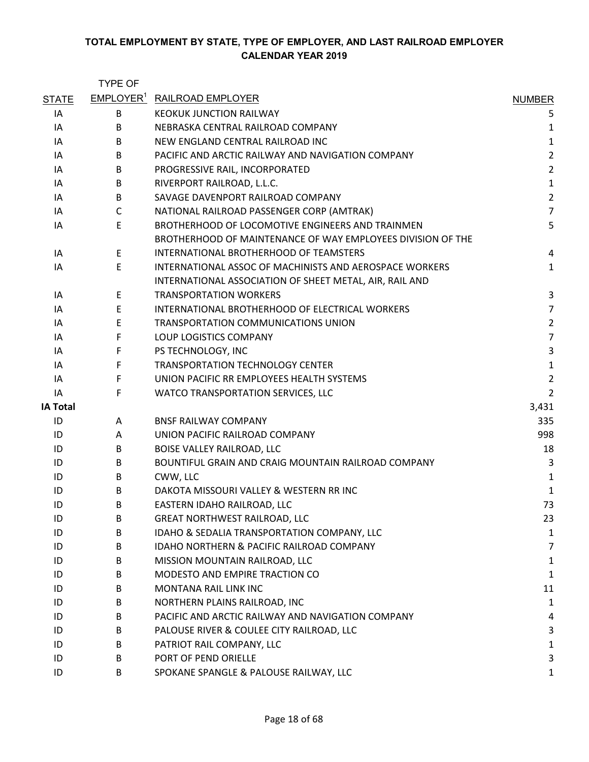|                 | <b>TYPE OF</b> |                                                             |                |
|-----------------|----------------|-------------------------------------------------------------|----------------|
| <b>STATE</b>    |                | EMPLOYER <sup>1</sup> RAILROAD EMPLOYER                     | <b>NUMBER</b>  |
| IA              | B              | <b>KEOKUK JUNCTION RAILWAY</b>                              | 5              |
| IA              | B              | NEBRASKA CENTRAL RAILROAD COMPANY                           | 1              |
| IA              | B              | NEW ENGLAND CENTRAL RAILROAD INC                            | $\mathbf{1}$   |
| IA              | B              | PACIFIC AND ARCTIC RAILWAY AND NAVIGATION COMPANY           | $\overline{2}$ |
| IA              | B              | PROGRESSIVE RAIL, INCORPORATED                              | $\overline{2}$ |
| ΙA              | B              | RIVERPORT RAILROAD, L.L.C.                                  | $\mathbf{1}$   |
| IA              | B              | SAVAGE DAVENPORT RAILROAD COMPANY                           | $\overline{2}$ |
| IA              | C              | NATIONAL RAILROAD PASSENGER CORP (AMTRAK)                   | $\overline{7}$ |
| IA              | E              | BROTHERHOOD OF LOCOMOTIVE ENGINEERS AND TRAINMEN            | 5              |
|                 |                | BROTHERHOOD OF MAINTENANCE OF WAY EMPLOYEES DIVISION OF THE |                |
| IA              | E              | INTERNATIONAL BROTHERHOOD OF TEAMSTERS                      | 4              |
| IA              | E              | INTERNATIONAL ASSOC OF MACHINISTS AND AEROSPACE WORKERS     | $\mathbf{1}$   |
|                 |                | INTERNATIONAL ASSOCIATION OF SHEET METAL, AIR, RAIL AND     |                |
| IA              | E              | <b>TRANSPORTATION WORKERS</b>                               | 3              |
| ΙA              | E              | INTERNATIONAL BROTHERHOOD OF ELECTRICAL WORKERS             | $\overline{7}$ |
| ΙA              | E              | TRANSPORTATION COMMUNICATIONS UNION                         | $\overline{2}$ |
| IA              | F              | LOUP LOGISTICS COMPANY                                      | $\overline{7}$ |
| IA              | F              | PS TECHNOLOGY, INC                                          | $\overline{3}$ |
| ΙA              | F              | <b>TRANSPORTATION TECHNOLOGY CENTER</b>                     | $\mathbf{1}$   |
| IA              | F              | UNION PACIFIC RR EMPLOYEES HEALTH SYSTEMS                   | $\overline{2}$ |
| IA              | F              | WATCO TRANSPORTATION SERVICES, LLC                          | $\overline{2}$ |
| <b>IA Total</b> |                |                                                             | 3,431          |
| ID              | A              | <b>BNSF RAILWAY COMPANY</b>                                 | 335            |
| ID              | A              | UNION PACIFIC RAILROAD COMPANY                              | 998            |
| ID              | B              | BOISE VALLEY RAILROAD, LLC                                  | 18             |
| ID              | B              | BOUNTIFUL GRAIN AND CRAIG MOUNTAIN RAILROAD COMPANY         | 3              |
| ID              | B              | CWW, LLC                                                    | 1              |
| ID              | B.             | DAKOTA MISSOURI VALLEY & WESTERN RR INC                     | $\mathbf{1}$   |
| ID              | B              | EASTERN IDAHO RAILROAD, LLC                                 | 73             |
| ID              | В              | <b>GREAT NORTHWEST RAILROAD, LLC</b>                        | 23             |
| ID              | B              | IDAHO & SEDALIA TRANSPORTATION COMPANY, LLC                 | 1              |
| ID              | B              | <b>IDAHO NORTHERN &amp; PACIFIC RAILROAD COMPANY</b>        | 7              |
| ID              | B              | MISSION MOUNTAIN RAILROAD, LLC                              | 1              |
| ID              | B              | MODESTO AND EMPIRE TRACTION CO                              | 1              |
| ID              | B              | <b>MONTANA RAIL LINK INC</b>                                | 11             |
| ID              | B              | NORTHERN PLAINS RAILROAD, INC                               | $\mathbf{1}$   |
| ID              | B              | PACIFIC AND ARCTIC RAILWAY AND NAVIGATION COMPANY           | 4              |
| ID              | B              | PALOUSE RIVER & COULEE CITY RAILROAD, LLC                   | 3              |
| ID              | B              | PATRIOT RAIL COMPANY, LLC                                   | 1              |
| ID              | B              | PORT OF PEND ORIELLE                                        | 3              |
| ID              | B              | SPOKANE SPANGLE & PALOUSE RAILWAY, LLC                      | 1              |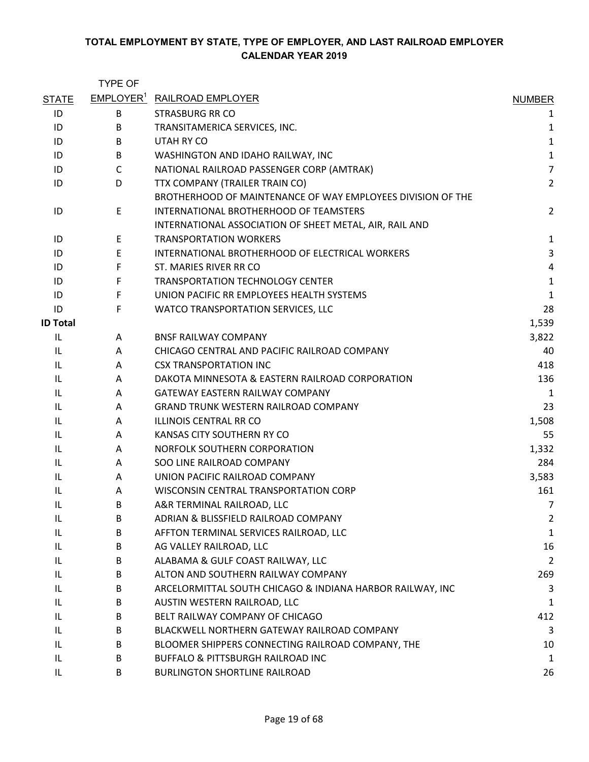|                 | <b>TYPE OF</b> |                                                             |                |
|-----------------|----------------|-------------------------------------------------------------|----------------|
| <b>STATE</b>    |                | <b>EMPLOYER<sup>1</sup> RAILROAD EMPLOYER</b>               | <b>NUMBER</b>  |
| ID              | B              | STRASBURG RR CO                                             | 1              |
| ID              | B              | TRANSITAMERICA SERVICES, INC.                               | 1              |
| ID              | B              | UTAH RY CO                                                  | $\mathbf{1}$   |
| ID              | B              | WASHINGTON AND IDAHO RAILWAY, INC                           | $\mathbf{1}$   |
| ID              | $\mathsf{C}$   | NATIONAL RAILROAD PASSENGER CORP (AMTRAK)                   | $\overline{7}$ |
| ID              | D              | TTX COMPANY (TRAILER TRAIN CO)                              | $\overline{2}$ |
|                 |                | BROTHERHOOD OF MAINTENANCE OF WAY EMPLOYEES DIVISION OF THE |                |
| ID              | Е              | INTERNATIONAL BROTHERHOOD OF TEAMSTERS                      | $\overline{2}$ |
|                 |                | INTERNATIONAL ASSOCIATION OF SHEET METAL, AIR, RAIL AND     |                |
| ID              | E              | <b>TRANSPORTATION WORKERS</b>                               | $\mathbf{1}$   |
| ID              | E              | INTERNATIONAL BROTHERHOOD OF ELECTRICAL WORKERS             | $\mathbf{3}$   |
| ID              | F              | ST. MARIES RIVER RR CO                                      | $\sqrt{4}$     |
| ID              | F              | <b>TRANSPORTATION TECHNOLOGY CENTER</b>                     | $\mathbf{1}$   |
| ID              | F              | UNION PACIFIC RR EMPLOYEES HEALTH SYSTEMS                   | $\mathbf{1}$   |
| ID              | F              | WATCO TRANSPORTATION SERVICES, LLC                          | 28             |
| <b>ID Total</b> |                |                                                             | 1,539          |
| IL              | A              | <b>BNSF RAILWAY COMPANY</b>                                 | 3,822          |
| IL              | A              | CHICAGO CENTRAL AND PACIFIC RAILROAD COMPANY                | 40             |
| IL              | A              | <b>CSX TRANSPORTATION INC</b>                               | 418            |
| IL              | A              | DAKOTA MINNESOTA & EASTERN RAILROAD CORPORATION             | 136            |
| IL              | A              | <b>GATEWAY EASTERN RAILWAY COMPANY</b>                      | 1              |
| IL              | A              | GRAND TRUNK WESTERN RAILROAD COMPANY                        | 23             |
| IL              | A              | <b>ILLINOIS CENTRAL RR CO</b>                               | 1,508          |
| IL              | A              | KANSAS CITY SOUTHERN RY CO                                  | 55             |
| IL              | A              | NORFOLK SOUTHERN CORPORATION                                | 1,332          |
| IL              | A              | SOO LINE RAILROAD COMPANY                                   | 284            |
| IL              | A              | UNION PACIFIC RAILROAD COMPANY                              | 3,583          |
| IL              | A              | WISCONSIN CENTRAL TRANSPORTATION CORP                       | 161            |
| IL              | B              | A&R TERMINAL RAILROAD, LLC                                  | $\overline{7}$ |
| IL              | B              | ADRIAN & BLISSFIELD RAILROAD COMPANY                        | 2              |
| IL              | B              | AFFTON TERMINAL SERVICES RAILROAD, LLC                      | $\mathbf{1}$   |
| IL              | B              | AG VALLEY RAILROAD, LLC                                     | 16             |
| IL              | B              | ALABAMA & GULF COAST RAILWAY, LLC                           | $\overline{2}$ |
| IL              | B              | ALTON AND SOUTHERN RAILWAY COMPANY                          | 269            |
| IL              | B              | ARCELORMITTAL SOUTH CHICAGO & INDIANA HARBOR RAILWAY, INC   | 3              |
| IL              | B              | AUSTIN WESTERN RAILROAD, LLC                                | $\mathbf{1}$   |
| IL              | B              | BELT RAILWAY COMPANY OF CHICAGO                             | 412            |
| IL              | B              | BLACKWELL NORTHERN GATEWAY RAILROAD COMPANY                 | 3              |
| IL              | B              | BLOOMER SHIPPERS CONNECTING RAILROAD COMPANY, THE           | 10             |
| IL              | B              | BUFFALO & PITTSBURGH RAILROAD INC                           | $\mathbf{1}$   |
| IL              | B              | <b>BURLINGTON SHORTLINE RAILROAD</b>                        | 26             |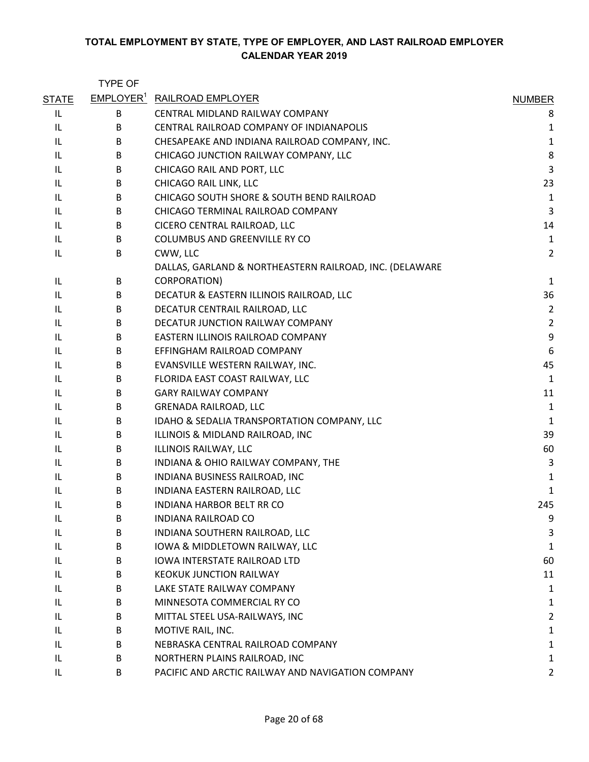|              | <b>TYPE OF</b> |                                                         |                |
|--------------|----------------|---------------------------------------------------------|----------------|
| <b>STATE</b> |                | <b>EMPLOYER<sup>1</sup> RAILROAD EMPLOYER</b>           | <b>NUMBER</b>  |
| IL           | B              | CENTRAL MIDLAND RAILWAY COMPANY                         | 8              |
| IL           | B              | CENTRAL RAILROAD COMPANY OF INDIANAPOLIS                | 1              |
| IL           | B              | CHESAPEAKE AND INDIANA RAILROAD COMPANY, INC.           | $\mathbf{1}$   |
| IL           | B              | CHICAGO JUNCTION RAILWAY COMPANY, LLC                   | 8              |
| IL           | В              | CHICAGO RAIL AND PORT, LLC                              | 3              |
| IL           | B              | CHICAGO RAIL LINK, LLC                                  | 23             |
| IL           | B              | CHICAGO SOUTH SHORE & SOUTH BEND RAILROAD               | $\mathbf{1}$   |
| IL           | B              | CHICAGO TERMINAL RAILROAD COMPANY                       | $\overline{3}$ |
| IL           | B              | CICERO CENTRAL RAILROAD, LLC                            | 14             |
| IL           | B              | COLUMBUS AND GREENVILLE RY CO                           | $\mathbf{1}$   |
| IL           | B              | CWW, LLC                                                | $\overline{2}$ |
|              |                | DALLAS, GARLAND & NORTHEASTERN RAILROAD, INC. (DELAWARE |                |
| IL           | B              | CORPORATION)                                            | 1              |
| IL           | В              | DECATUR & EASTERN ILLINOIS RAILROAD, LLC                | 36             |
| IL           | B              | DECATUR CENTRAIL RAILROAD, LLC                          | $\overline{2}$ |
| IL           | B              | DECATUR JUNCTION RAILWAY COMPANY                        | $\overline{2}$ |
| IL           | B              | EASTERN ILLINOIS RAILROAD COMPANY                       | 9              |
| IL           | B              | EFFINGHAM RAILROAD COMPANY                              | 6              |
| IL           | B              | EVANSVILLE WESTERN RAILWAY, INC.                        | 45             |
| IL           | B              | FLORIDA EAST COAST RAILWAY, LLC                         | $\mathbf{1}$   |
| IL           | B              | <b>GARY RAILWAY COMPANY</b>                             | 11             |
| IL           | B              | <b>GRENADA RAILROAD, LLC</b>                            | $\mathbf{1}$   |
| IL           | B              | IDAHO & SEDALIA TRANSPORTATION COMPANY, LLC             | $\mathbf{1}$   |
| IL           | В              | ILLINOIS & MIDLAND RAILROAD, INC                        | 39             |
| IL           | B              | ILLINOIS RAILWAY, LLC                                   | 60             |
| IL           | B              | INDIANA & OHIO RAILWAY COMPANY, THE                     | 3              |
| IL           | B              | INDIANA BUSINESS RAILROAD, INC                          | 1              |
| IL           | B              | INDIANA EASTERN RAILROAD, LLC                           | $\mathbf{1}$   |
| IL           | B              | INDIANA HARBOR BELT RR CO                               | 245            |
| IL           | B              | <b>INDIANA RAILROAD CO</b>                              | 9              |
| IL           | B              | INDIANA SOUTHERN RAILROAD, LLC                          | 3              |
| IL           | В              | IOWA & MIDDLETOWN RAILWAY, LLC                          | 1              |
| IL           | B              | <b>IOWA INTERSTATE RAILROAD LTD</b>                     | 60             |
| IL           | B              | <b>KEOKUK JUNCTION RAILWAY</b>                          | 11             |
| IL           | B              | LAKE STATE RAILWAY COMPANY                              | $\mathbf{1}$   |
| IL           | B              | MINNESOTA COMMERCIAL RY CO                              | $\mathbf{1}$   |
| IL           | B              | MITTAL STEEL USA-RAILWAYS, INC                          | $\overline{2}$ |
| IL           | B              | MOTIVE RAIL, INC.                                       | $\mathbf{1}$   |
| IL           | B              | NEBRASKA CENTRAL RAILROAD COMPANY                       | 1              |
| IL           | B              | NORTHERN PLAINS RAILROAD, INC                           | $\mathbf{1}$   |
| IL           | B              | PACIFIC AND ARCTIC RAILWAY AND NAVIGATION COMPANY       | $\overline{2}$ |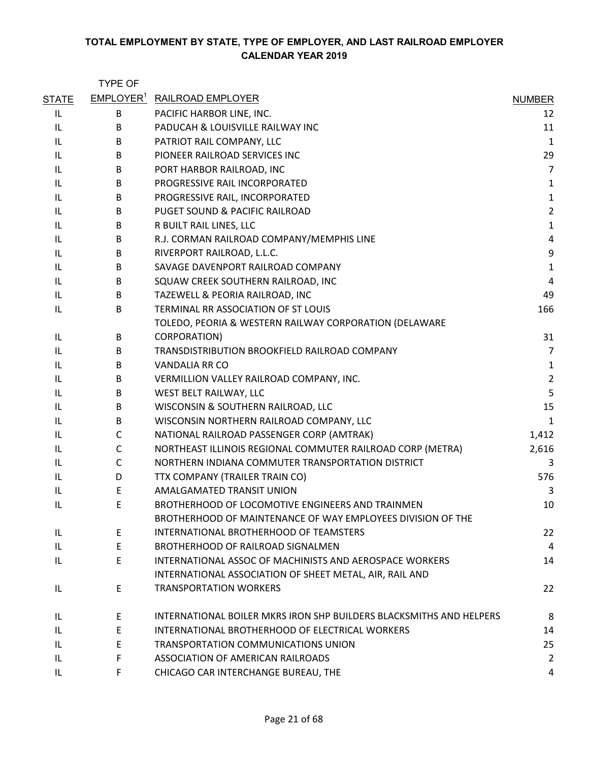|              | <b>TYPE OF</b> |                                                                     |                |
|--------------|----------------|---------------------------------------------------------------------|----------------|
| <b>STATE</b> |                | <b>EMPLOYER<sup>1</sup> RAILROAD EMPLOYER</b>                       | <b>NUMBER</b>  |
| IL           | В              | PACIFIC HARBOR LINE, INC.                                           | 12             |
| IL           | B              | PADUCAH & LOUISVILLE RAILWAY INC                                    | 11             |
| IL           | B              | PATRIOT RAIL COMPANY, LLC                                           | $\mathbf 1$    |
| IL           | B              | PIONEER RAILROAD SERVICES INC                                       | 29             |
| IL           | B              | PORT HARBOR RAILROAD, INC                                           | $\overline{7}$ |
| IL           | B              | PROGRESSIVE RAIL INCORPORATED                                       | $\mathbf{1}$   |
| IL           | B              | PROGRESSIVE RAIL, INCORPORATED                                      | $\mathbf 1$    |
| IL.          | B              | PUGET SOUND & PACIFIC RAILROAD                                      | $\overline{2}$ |
| IL.          | B              | R BUILT RAIL LINES, LLC                                             | $\mathbf 1$    |
| IL           | B              | R.J. CORMAN RAILROAD COMPANY/MEMPHIS LINE                           | $\overline{4}$ |
| IL           | B              | RIVERPORT RAILROAD, L.L.C.                                          | 9              |
| IL           | B              | SAVAGE DAVENPORT RAILROAD COMPANY                                   | $\mathbf 1$    |
| IL           | B              | SQUAW CREEK SOUTHERN RAILROAD, INC                                  | $\overline{4}$ |
| IL           | B              | TAZEWELL & PEORIA RAILROAD, INC                                     | 49             |
| IL           | B              | TERMINAL RR ASSOCIATION OF ST LOUIS                                 | 166            |
|              |                | TOLEDO, PEORIA & WESTERN RAILWAY CORPORATION (DELAWARE              |                |
| IL           | B              | CORPORATION)                                                        | 31             |
| IL           | B              | TRANSDISTRIBUTION BROOKFIELD RAILROAD COMPANY                       | $\overline{7}$ |
| IL           | B              | <b>VANDALIA RR CO</b>                                               | $\mathbf{1}$   |
| IL           | B              | VERMILLION VALLEY RAILROAD COMPANY, INC.                            | $\overline{2}$ |
| IL           | B              | WEST BELT RAILWAY, LLC                                              | 5              |
| IL           | B              | WISCONSIN & SOUTHERN RAILROAD, LLC                                  | 15             |
| IL.          | B              | WISCONSIN NORTHERN RAILROAD COMPANY, LLC                            | $\mathbf{1}$   |
| IL           | C              | NATIONAL RAILROAD PASSENGER CORP (AMTRAK)                           | 1,412          |
| IL           | C              | NORTHEAST ILLINOIS REGIONAL COMMUTER RAILROAD CORP (METRA)          | 2,616          |
| IL           | C              | NORTHERN INDIANA COMMUTER TRANSPORTATION DISTRICT                   | 3              |
| IL.          | D              | TTX COMPANY (TRAILER TRAIN CO)                                      | 576            |
| IL           | E              | AMALGAMATED TRANSIT UNION                                           | 3              |
| IL           | E              | BROTHERHOOD OF LOCOMOTIVE ENGINEERS AND TRAINMEN                    | 10             |
|              |                | BROTHERHOOD OF MAINTENANCE OF WAY EMPLOYEES DIVISION OF THE         |                |
| IL           | E              | INTERNATIONAL BROTHERHOOD OF TEAMSTERS                              | 22             |
| IL           | E              | BROTHERHOOD OF RAILROAD SIGNALMEN                                   | $\overline{4}$ |
| IL           | E              | INTERNATIONAL ASSOC OF MACHINISTS AND AEROSPACE WORKERS             | 14             |
|              |                | INTERNATIONAL ASSOCIATION OF SHEET METAL, AIR, RAIL AND             |                |
| IL           | E              | <b>TRANSPORTATION WORKERS</b>                                       | 22             |
| IL           | E              | INTERNATIONAL BOILER MKRS IRON SHP BUILDERS BLACKSMITHS AND HELPERS | 8              |
| IL           | E              | INTERNATIONAL BROTHERHOOD OF ELECTRICAL WORKERS                     | 14             |
| IL           | E              | TRANSPORTATION COMMUNICATIONS UNION                                 | 25             |
| IL           | F              | ASSOCIATION OF AMERICAN RAILROADS                                   | $\overline{2}$ |
| IL           | F              | CHICAGO CAR INTERCHANGE BUREAU, THE                                 | 4              |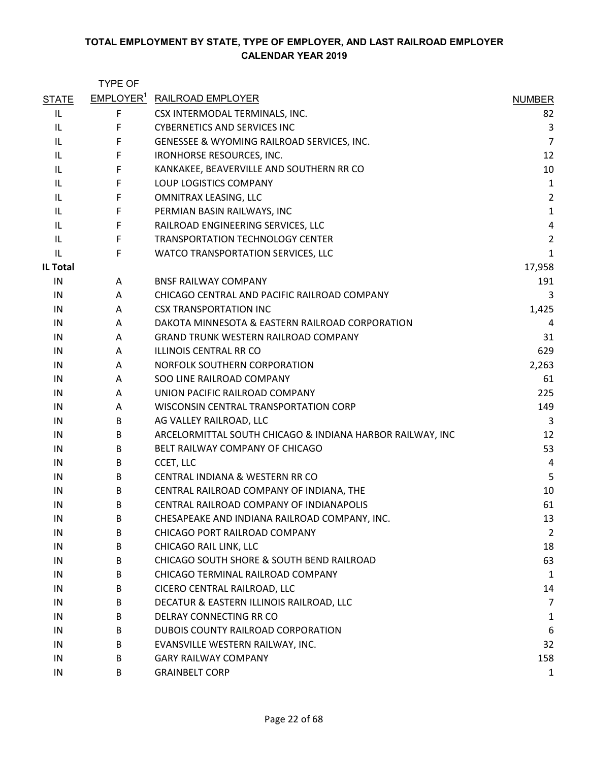|                 | <b>TYPE OF</b> |                                                           |                         |
|-----------------|----------------|-----------------------------------------------------------|-------------------------|
| <b>STATE</b>    |                | <b>EMPLOYER<sup>1</sup></b> RAILROAD EMPLOYER             | <b>NUMBER</b>           |
| IL              | F              | CSX INTERMODAL TERMINALS, INC.                            | 82                      |
| IL              | F              | <b>CYBERNETICS AND SERVICES INC</b>                       | 3                       |
| IL              | F              | GENESSEE & WYOMING RAILROAD SERVICES, INC.                | $\overline{7}$          |
| IL.             | F              | IRONHORSE RESOURCES, INC.                                 | 12                      |
| IL.             | F              | KANKAKEE, BEAVERVILLE AND SOUTHERN RR CO                  | 10                      |
| IL              | F              | LOUP LOGISTICS COMPANY                                    | $\mathbf 1$             |
| IL              | F              | OMNITRAX LEASING, LLC                                     | $\overline{2}$          |
| IL              | F              | PERMIAN BASIN RAILWAYS, INC                               | $\mathbf 1$             |
| IL.             | F              | RAILROAD ENGINEERING SERVICES, LLC                        | $\overline{\mathbf{r}}$ |
| IL              | F              | TRANSPORTATION TECHNOLOGY CENTER                          | $\overline{2}$          |
| IL              | F              | WATCO TRANSPORTATION SERVICES, LLC                        | $\mathbf{1}$            |
| <b>IL Total</b> |                |                                                           | 17,958                  |
| IN              | A              | <b>BNSF RAILWAY COMPANY</b>                               | 191                     |
| IN              | A              | CHICAGO CENTRAL AND PACIFIC RAILROAD COMPANY              | 3                       |
| IN              | A              | <b>CSX TRANSPORTATION INC</b>                             | 1,425                   |
| IN              | A              | DAKOTA MINNESOTA & EASTERN RAILROAD CORPORATION           | 4                       |
| IN              | A              | <b>GRAND TRUNK WESTERN RAILROAD COMPANY</b>               | 31                      |
| IN              | Α              | <b>ILLINOIS CENTRAL RR CO</b>                             | 629                     |
| IN              | A              | NORFOLK SOUTHERN CORPORATION                              | 2,263                   |
| IN              | A              | SOO LINE RAILROAD COMPANY                                 | 61                      |
| IN              | A              | UNION PACIFIC RAILROAD COMPANY                            | 225                     |
| IN              | A              | WISCONSIN CENTRAL TRANSPORTATION CORP                     | 149                     |
| IN              | B              | AG VALLEY RAILROAD, LLC                                   | 3                       |
| IN              | B              | ARCELORMITTAL SOUTH CHICAGO & INDIANA HARBOR RAILWAY, INC | 12                      |
| IN              | B              | BELT RAILWAY COMPANY OF CHICAGO                           | 53                      |
| IN              | B              | CCET, LLC                                                 | 4                       |
| IN              | B              | CENTRAL INDIANA & WESTERN RR CO                           | 5                       |
| IN              | B              | CENTRAL RAILROAD COMPANY OF INDIANA, THE                  | 10                      |
| IN              | B              | CENTRAL RAILROAD COMPANY OF INDIANAPOLIS                  | 61                      |
| IN              | B              | CHESAPEAKE AND INDIANA RAILROAD COMPANY, INC.             | 13                      |
| IN              | B              | CHICAGO PORT RAILROAD COMPANY                             | $\overline{2}$          |
| IN              | В              | CHICAGO RAIL LINK, LLC                                    | 18                      |
| IN              | B              | CHICAGO SOUTH SHORE & SOUTH BEND RAILROAD                 | 63                      |
| IN              | B              | CHICAGO TERMINAL RAILROAD COMPANY                         | $\mathbf 1$             |
| IN              | B              | CICERO CENTRAL RAILROAD, LLC                              | 14                      |
| IN              | B              | DECATUR & EASTERN ILLINOIS RAILROAD, LLC                  | $\overline{7}$          |
| IN              | B              | DELRAY CONNECTING RR CO                                   | 1                       |
| IN              | B              | DUBOIS COUNTY RAILROAD CORPORATION                        | 6                       |
| IN              | В              | EVANSVILLE WESTERN RAILWAY, INC.                          | 32                      |
| IN              | B              | <b>GARY RAILWAY COMPANY</b>                               | 158                     |
| IN              | B              | <b>GRAINBELT CORP</b>                                     | $\mathbf{1}$            |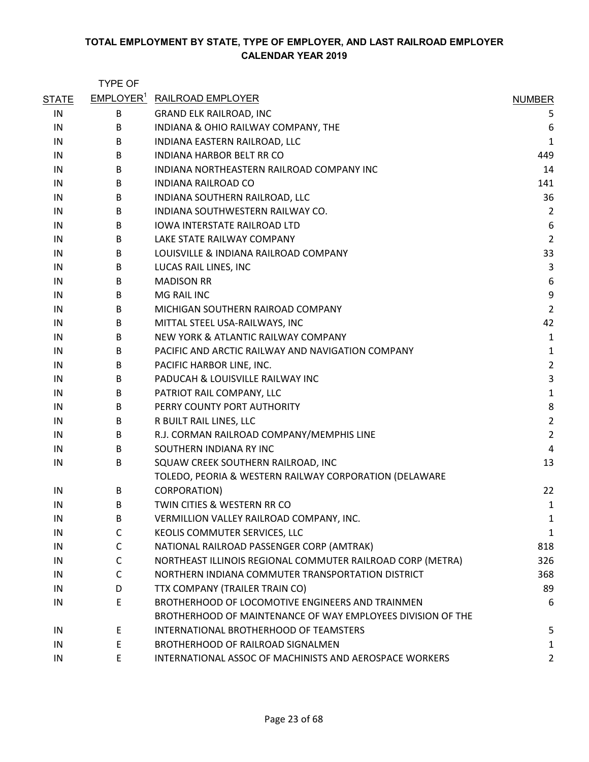|              | <b>TYPE OF</b> |                                                             |                         |
|--------------|----------------|-------------------------------------------------------------|-------------------------|
| <b>STATE</b> |                | <b>EMPLOYER<sup>1</sup></b> RAILROAD EMPLOYER               | <b>NUMBER</b>           |
| IN           | B              | <b>GRAND ELK RAILROAD, INC</b>                              | 5                       |
| IN           | В              | INDIANA & OHIO RAILWAY COMPANY, THE                         | 6                       |
| IN           | B              | INDIANA EASTERN RAILROAD, LLC                               | $\mathbf 1$             |
| IN           | B              | <b>INDIANA HARBOR BELT RR CO</b>                            | 449                     |
| IN           | B              | INDIANA NORTHEASTERN RAILROAD COMPANY INC                   | 14                      |
| IN           | B              | INDIANA RAILROAD CO                                         | 141                     |
| IN           | B              | INDIANA SOUTHERN RAILROAD, LLC                              | 36                      |
| IN           | B              | INDIANA SOUTHWESTERN RAILWAY CO.                            | $\overline{c}$          |
| IN           | B              | <b>IOWA INTERSTATE RAILROAD LTD</b>                         | 6                       |
| IN           | B              | LAKE STATE RAILWAY COMPANY                                  | $\overline{2}$          |
| IN           | B              | LOUISVILLE & INDIANA RAILROAD COMPANY                       | 33                      |
| IN           | B              | LUCAS RAIL LINES, INC                                       | 3                       |
| IN           | B              | <b>MADISON RR</b>                                           | 6                       |
| IN           | B              | <b>MG RAIL INC</b>                                          | 9                       |
| IN           | B              | MICHIGAN SOUTHERN RAIROAD COMPANY                           | $\overline{2}$          |
| IN           | B              | MITTAL STEEL USA-RAILWAYS, INC                              | 42                      |
| IN           | B              | NEW YORK & ATLANTIC RAILWAY COMPANY                         | 1                       |
| IN           | B              | PACIFIC AND ARCTIC RAILWAY AND NAVIGATION COMPANY           | 1                       |
| IN           | B              | PACIFIC HARBOR LINE, INC.                                   | $\overline{\mathbf{c}}$ |
| IN           | B              | PADUCAH & LOUISVILLE RAILWAY INC                            | 3                       |
| IN           | В              | PATRIOT RAIL COMPANY, LLC                                   | 1                       |
| IN           | B              | PERRY COUNTY PORT AUTHORITY                                 | 8                       |
| IN           | B              | R BUILT RAIL LINES, LLC                                     | $\overline{2}$          |
| IN           | B              | R.J. CORMAN RAILROAD COMPANY/MEMPHIS LINE                   | $\overline{2}$          |
| IN           | B              | SOUTHERN INDIANA RY INC                                     | 4                       |
| IN           | B              | SQUAW CREEK SOUTHERN RAILROAD, INC                          | 13                      |
|              |                | TOLEDO, PEORIA & WESTERN RAILWAY CORPORATION (DELAWARE      |                         |
| IN           | B              | CORPORATION)                                                | 22                      |
| IN           | B              | TWIN CITIES & WESTERN RR CO                                 | 1                       |
| IN           | В              | VERMILLION VALLEY RAILROAD COMPANY, INC.                    | 1                       |
| IN           | C              | KEOLIS COMMUTER SERVICES, LLC                               | 1                       |
| IN           | C              | NATIONAL RAILROAD PASSENGER CORP (AMTRAK)                   | 818                     |
| IN           | C              | NORTHEAST ILLINOIS REGIONAL COMMUTER RAILROAD CORP (METRA)  | 326                     |
| IN           | C              | NORTHERN INDIANA COMMUTER TRANSPORTATION DISTRICT           | 368                     |
| IN           | D              | TTX COMPANY (TRAILER TRAIN CO)                              | 89                      |
| IN           | E              | BROTHERHOOD OF LOCOMOTIVE ENGINEERS AND TRAINMEN            | 6                       |
|              |                | BROTHERHOOD OF MAINTENANCE OF WAY EMPLOYEES DIVISION OF THE |                         |
| IN           | E.             | INTERNATIONAL BROTHERHOOD OF TEAMSTERS                      | 5                       |
| IN           | E              | BROTHERHOOD OF RAILROAD SIGNALMEN                           | 1                       |
| IN           | E              | INTERNATIONAL ASSOC OF MACHINISTS AND AEROSPACE WORKERS     | 2                       |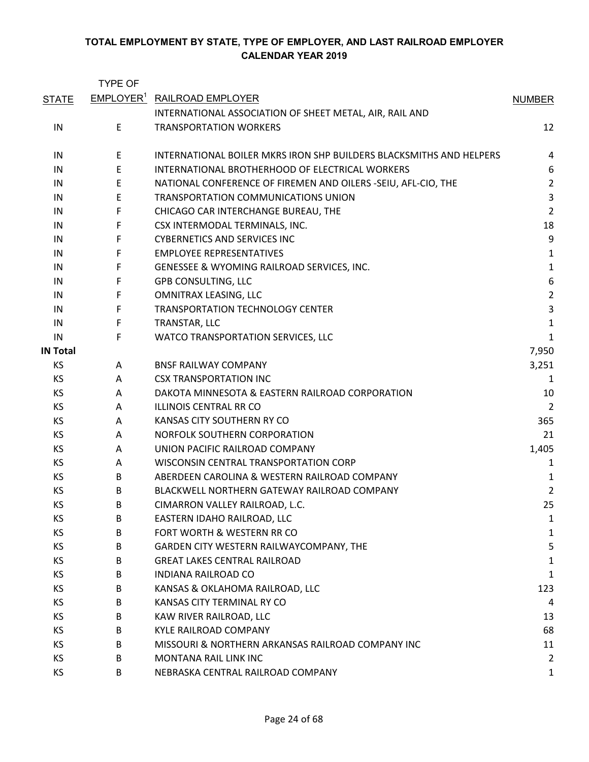|                 | <b>TYPE OF</b>        |                                                                     |                |
|-----------------|-----------------------|---------------------------------------------------------------------|----------------|
| <b>STATE</b>    | EMPLOYER <sup>1</sup> | <b>RAILROAD EMPLOYER</b>                                            | <b>NUMBER</b>  |
|                 |                       | INTERNATIONAL ASSOCIATION OF SHEET METAL, AIR, RAIL AND             |                |
| IN              | E                     | <b>TRANSPORTATION WORKERS</b>                                       | 12             |
| IN              | Е                     | INTERNATIONAL BOILER MKRS IRON SHP BUILDERS BLACKSMITHS AND HELPERS | 4              |
| IN              | $\mathsf E$           | INTERNATIONAL BROTHERHOOD OF ELECTRICAL WORKERS                     | 6              |
| IN              | E                     | NATIONAL CONFERENCE OF FIREMEN AND OILERS -SEIU, AFL-CIO, THE       | $\overline{2}$ |
| IN              | Ε                     | TRANSPORTATION COMMUNICATIONS UNION                                 | 3              |
| IN              | F                     | CHICAGO CAR INTERCHANGE BUREAU, THE                                 | $\overline{2}$ |
| IN              | F                     | CSX INTERMODAL TERMINALS, INC.                                      | 18             |
| IN              | F                     | <b>CYBERNETICS AND SERVICES INC</b>                                 | 9              |
| IN              | F                     | <b>EMPLOYEE REPRESENTATIVES</b>                                     | $\mathbf{1}$   |
| IN              | F                     | GENESSEE & WYOMING RAILROAD SERVICES, INC.                          | $\mathbf{1}$   |
| IN              | F                     | <b>GPB CONSULTING, LLC</b>                                          | 6              |
| IN              | F                     | OMNITRAX LEASING, LLC                                               | $\overline{2}$ |
| IN              | F                     | TRANSPORTATION TECHNOLOGY CENTER                                    | $\overline{3}$ |
| IN              | F                     | TRANSTAR, LLC                                                       | $\mathbf 1$    |
| IN              | F                     | WATCO TRANSPORTATION SERVICES, LLC                                  | $\mathbf{1}$   |
| <b>IN Total</b> |                       |                                                                     | 7,950          |
| KS              | A                     | <b>BNSF RAILWAY COMPANY</b>                                         | 3,251          |
| KS              | Α                     | <b>CSX TRANSPORTATION INC</b>                                       | 1              |
| KS              | A                     | DAKOTA MINNESOTA & EASTERN RAILROAD CORPORATION                     | 10             |
| KS              | Α                     | <b>ILLINOIS CENTRAL RR CO</b>                                       | 2              |
| КS              | A                     | KANSAS CITY SOUTHERN RY CO                                          | 365            |
| KS              | Α                     | NORFOLK SOUTHERN CORPORATION                                        | 21             |
| KS              | A                     | UNION PACIFIC RAILROAD COMPANY                                      | 1,405          |
| KS              | A                     | WISCONSIN CENTRAL TRANSPORTATION CORP                               | 1              |
| КS              | B                     | ABERDEEN CAROLINA & WESTERN RAILROAD COMPANY                        | 1              |
| KS              | B                     | BLACKWELL NORTHERN GATEWAY RAILROAD COMPANY                         | $\overline{2}$ |
| KS              | B                     | CIMARRON VALLEY RAILROAD, L.C.                                      | 25             |
| КS              | B                     | EASTERN IDAHO RAILROAD, LLC                                         | 1              |
| KS              | B                     | FORT WORTH & WESTERN RR CO                                          | 1              |
| KS              | B                     | GARDEN CITY WESTERN RAILWAYCOMPANY, THE                             | 5              |
| KS              | B                     | <b>GREAT LAKES CENTRAL RAILROAD</b>                                 | 1              |
| KS              | B                     | <b>INDIANA RAILROAD CO</b>                                          | $\mathbf{1}$   |
| KS              | B                     | KANSAS & OKLAHOMA RAILROAD, LLC                                     | 123            |
| KS              | B                     | KANSAS CITY TERMINAL RY CO                                          | 4              |
| KS              | B                     | KAW RIVER RAILROAD, LLC                                             | 13             |
| KS              | B                     | <b>KYLE RAILROAD COMPANY</b>                                        | 68             |
| KS              | B                     | MISSOURI & NORTHERN ARKANSAS RAILROAD COMPANY INC                   | 11             |
| KS              | B                     | MONTANA RAIL LINK INC                                               | $\overline{2}$ |
| KS              | B                     | NEBRASKA CENTRAL RAILROAD COMPANY                                   | 1              |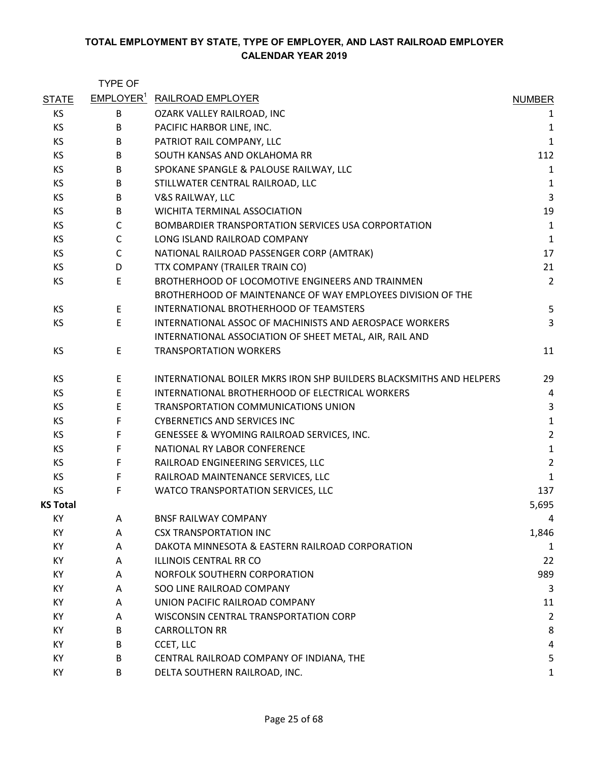|                 | <b>TYPE OF</b> |                                                                     |                         |
|-----------------|----------------|---------------------------------------------------------------------|-------------------------|
| <b>STATE</b>    |                | <b>EMPLOYER<sup>1</sup></b> RAILROAD EMPLOYER                       | <b>NUMBER</b>           |
| KS              | B              | OZARK VALLEY RAILROAD, INC                                          | 1                       |
| <b>KS</b>       | B              | PACIFIC HARBOR LINE, INC.                                           | $\mathbf{1}$            |
| <b>KS</b>       | B              | PATRIOT RAIL COMPANY, LLC                                           | $\mathbf{1}$            |
| <b>KS</b>       | B              | SOUTH KANSAS AND OKLAHOMA RR                                        | 112                     |
| <b>KS</b>       | B              | SPOKANE SPANGLE & PALOUSE RAILWAY, LLC                              | $\mathbf 1$             |
| KS              | B              | STILLWATER CENTRAL RAILROAD, LLC                                    | $\mathbf 1$             |
| KS              | B              | V&S RAILWAY, LLC                                                    | 3                       |
| KS              | B              | WICHITA TERMINAL ASSOCIATION                                        | 19                      |
| KS              | C              | BOMBARDIER TRANSPORTATION SERVICES USA CORPORTATION                 | $\mathbf{1}$            |
| KS              | $\mathsf C$    | LONG ISLAND RAILROAD COMPANY                                        | $\mathbf{1}$            |
| KS              | $\mathsf{C}$   | NATIONAL RAILROAD PASSENGER CORP (AMTRAK)                           | 17                      |
| KS              | D              | TTX COMPANY (TRAILER TRAIN CO)                                      | 21                      |
| KS              | E              | BROTHERHOOD OF LOCOMOTIVE ENGINEERS AND TRAINMEN                    | $\overline{2}$          |
|                 |                | BROTHERHOOD OF MAINTENANCE OF WAY EMPLOYEES DIVISION OF THE         |                         |
| KS              | E              | INTERNATIONAL BROTHERHOOD OF TEAMSTERS                              | 5                       |
| <b>KS</b>       | E              | INTERNATIONAL ASSOC OF MACHINISTS AND AEROSPACE WORKERS             | 3                       |
|                 |                | INTERNATIONAL ASSOCIATION OF SHEET METAL, AIR, RAIL AND             |                         |
| KS              | E              | <b>TRANSPORTATION WORKERS</b>                                       | 11                      |
| KS              | E              | INTERNATIONAL BOILER MKRS IRON SHP BUILDERS BLACKSMITHS AND HELPERS | 29                      |
| <b>KS</b>       | E              | INTERNATIONAL BROTHERHOOD OF ELECTRICAL WORKERS                     | 4                       |
| KS              | E              | TRANSPORTATION COMMUNICATIONS UNION                                 | 3                       |
| KS              | F.             | <b>CYBERNETICS AND SERVICES INC</b>                                 | $\mathbf{1}$            |
| <b>KS</b>       | F              | GENESSEE & WYOMING RAILROAD SERVICES, INC.                          | $\overline{c}$          |
| KS              | F              | NATIONAL RY LABOR CONFERENCE                                        | $\mathbf 1$             |
| KS              | F              | RAILROAD ENGINEERING SERVICES, LLC                                  | $\overline{2}$          |
| KS              | F              | RAILROAD MAINTENANCE SERVICES, LLC                                  | $\mathbf{1}$            |
| <b>KS</b>       | F              | WATCO TRANSPORTATION SERVICES, LLC                                  | 137                     |
| <b>KS Total</b> |                |                                                                     | 5,695                   |
| KY              | A              | <b>BNSF RAILWAY COMPANY</b>                                         | 4                       |
| KY              | A              | <b>CSX TRANSPORTATION INC</b>                                       | 1,846                   |
| KY              | A              | DAKOTA MINNESOTA & EASTERN RAILROAD CORPORATION                     | 1                       |
| KY              | A              | ILLINOIS CENTRAL RR CO                                              | 22                      |
| KY              | A              | NORFOLK SOUTHERN CORPORATION                                        | 989                     |
| КY              | A              | SOO LINE RAILROAD COMPANY                                           | 3                       |
| KY              | A              | UNION PACIFIC RAILROAD COMPANY                                      | 11                      |
| KY              | A              | WISCONSIN CENTRAL TRANSPORTATION CORP                               | $\overline{\mathbf{c}}$ |
| KY              | B              | <b>CARROLLTON RR</b>                                                | 8                       |
| KY              | B              | CCET, LLC                                                           | 4                       |
| KY              | B              | CENTRAL RAILROAD COMPANY OF INDIANA, THE                            | 5                       |
| KY              | B              | DELTA SOUTHERN RAILROAD, INC.                                       | 1                       |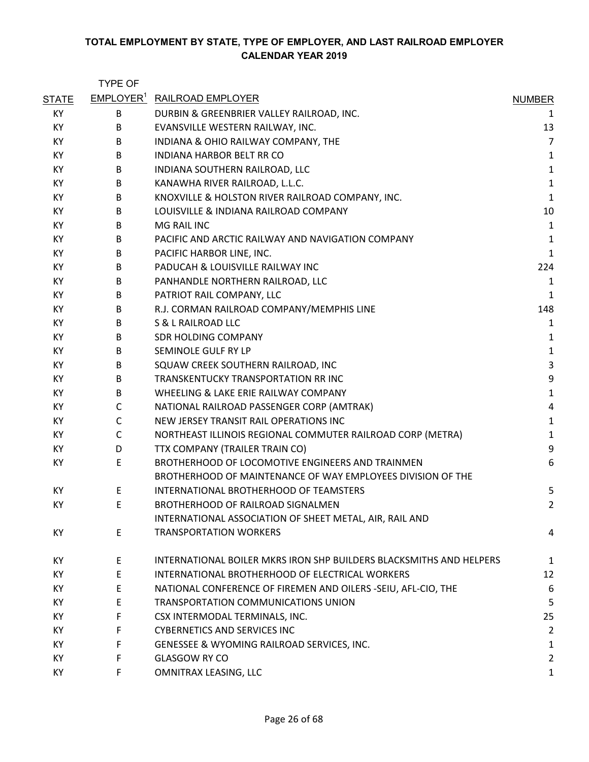|              | <b>TYPE OF</b>        |                                                                     |                         |
|--------------|-----------------------|---------------------------------------------------------------------|-------------------------|
| <b>STATE</b> | EMPLOYER <sup>1</sup> | <b>RAILROAD EMPLOYER</b>                                            | <b>NUMBER</b>           |
| KY           | B                     | DURBIN & GREENBRIER VALLEY RAILROAD, INC.                           | 1                       |
| KY           | B                     | EVANSVILLE WESTERN RAILWAY, INC.                                    | 13                      |
| KY           | B                     | INDIANA & OHIO RAILWAY COMPANY, THE                                 | $\overline{7}$          |
| KY           | B                     | INDIANA HARBOR BELT RR CO                                           | $\mathbf{1}$            |
| KY           | B                     | INDIANA SOUTHERN RAILROAD, LLC                                      | $\mathbf 1$             |
| KY           | B                     | KANAWHA RIVER RAILROAD, L.L.C.                                      | $\mathbf 1$             |
| KY           | B                     | KNOXVILLE & HOLSTON RIVER RAILROAD COMPANY, INC.                    | $\mathbf 1$             |
| KY           | B                     | LOUISVILLE & INDIANA RAILROAD COMPANY                               | 10                      |
| KY           | B                     | MG RAIL INC                                                         | $\mathbf 1$             |
| KY           | B                     | PACIFIC AND ARCTIC RAILWAY AND NAVIGATION COMPANY                   | $\mathbf 1$             |
| KY           | B                     | PACIFIC HARBOR LINE, INC.                                           | $\mathbf{1}$            |
| KY           | B                     | PADUCAH & LOUISVILLE RAILWAY INC                                    | 224                     |
| KY           | B                     | PANHANDLE NORTHERN RAILROAD, LLC                                    | 1                       |
| KY           | B                     | PATRIOT RAIL COMPANY, LLC                                           | $\mathbf 1$             |
| KY           | B                     | R.J. CORMAN RAILROAD COMPANY/MEMPHIS LINE                           | 148                     |
| KY           | B                     | S & L RAILROAD LLC                                                  | 1                       |
| KY           | B                     | <b>SDR HOLDING COMPANY</b>                                          | $\mathbf{1}$            |
| КY           | B                     | SEMINOLE GULF RY LP                                                 | $\mathbf 1$             |
| KY           | B                     | SQUAW CREEK SOUTHERN RAILROAD, INC                                  | $\mathsf{3}$            |
| KY           | B                     | TRANSKENTUCKY TRANSPORTATION RR INC                                 | 9                       |
| KY           | B                     | WHEELING & LAKE ERIE RAILWAY COMPANY                                | $\mathbf 1$             |
| KY.          | C                     | NATIONAL RAILROAD PASSENGER CORP (AMTRAK)                           | $\overline{\mathbf{4}}$ |
| KY           | C                     | NEW JERSEY TRANSIT RAIL OPERATIONS INC                              | $\mathbf 1$             |
| KY           | $\mathsf{C}$          | NORTHEAST ILLINOIS REGIONAL COMMUTER RAILROAD CORP (METRA)          | $\mathbf 1$             |
| KY           | D                     | TTX COMPANY (TRAILER TRAIN CO)                                      | 9                       |
| KY           | E                     | BROTHERHOOD OF LOCOMOTIVE ENGINEERS AND TRAINMEN                    | 6                       |
|              |                       | BROTHERHOOD OF MAINTENANCE OF WAY EMPLOYEES DIVISION OF THE         |                         |
| KY           | E                     | INTERNATIONAL BROTHERHOOD OF TEAMSTERS                              | 5                       |
| KY           | E                     | BROTHERHOOD OF RAILROAD SIGNALMEN                                   | 2                       |
|              |                       | INTERNATIONAL ASSOCIATION OF SHEET METAL, AIR, RAIL AND             |                         |
| KY           | E                     | <b>TRANSPORTATION WORKERS</b>                                       | 4                       |
| KY           | E                     | INTERNATIONAL BOILER MKRS IRON SHP BUILDERS BLACKSMITHS AND HELPERS | $\mathbf{1}$            |
| KY           | E                     | INTERNATIONAL BROTHERHOOD OF ELECTRICAL WORKERS                     | 12                      |
| KY           | E                     | NATIONAL CONFERENCE OF FIREMEN AND OILERS -SEIU, AFL-CIO, THE       | 6                       |
| КY           | E                     | TRANSPORTATION COMMUNICATIONS UNION                                 | 5                       |
| KY           | F                     | CSX INTERMODAL TERMINALS, INC.                                      | 25                      |
| KY           | F                     | <b>CYBERNETICS AND SERVICES INC</b>                                 | $\overline{2}$          |
| KY           | F                     | GENESSEE & WYOMING RAILROAD SERVICES, INC.                          | 1                       |
| KY           | F                     | <b>GLASGOW RY CO</b>                                                | $\overline{2}$          |
| KY           | F                     | OMNITRAX LEASING, LLC                                               | $\mathbf{1}$            |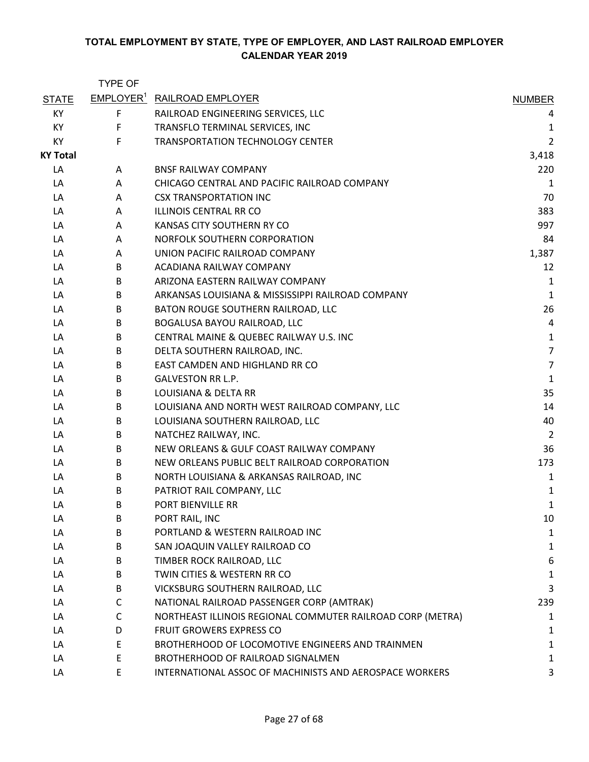|                 | <b>TYPE OF</b> |                                                            |                |
|-----------------|----------------|------------------------------------------------------------|----------------|
| <b>STATE</b>    |                | <b>EMPLOYER<sup>1</sup></b> RAILROAD EMPLOYER              | <b>NUMBER</b>  |
| KY              | F              | RAILROAD ENGINEERING SERVICES, LLC                         | 4              |
| KY              | F              | TRANSFLO TERMINAL SERVICES, INC                            | 1              |
| KY              | F.             | TRANSPORTATION TECHNOLOGY CENTER                           | $\overline{2}$ |
| <b>KY Total</b> |                |                                                            | 3,418          |
| LA              | A              | <b>BNSF RAILWAY COMPANY</b>                                | 220            |
| LA              | A              | CHICAGO CENTRAL AND PACIFIC RAILROAD COMPANY               | $\mathbf{1}$   |
| LA              | A              | <b>CSX TRANSPORTATION INC</b>                              | 70             |
| LA              | A              | <b>ILLINOIS CENTRAL RR CO</b>                              | 383            |
| LA              | A              | KANSAS CITY SOUTHERN RY CO                                 | 997            |
| LA              | A              | NORFOLK SOUTHERN CORPORATION                               | 84             |
| LA              | A              | UNION PACIFIC RAILROAD COMPANY                             | 1,387          |
| LA              | B              | ACADIANA RAILWAY COMPANY                                   | 12             |
| LA              | B              | ARIZONA EASTERN RAILWAY COMPANY                            | 1              |
| LA              | B              | ARKANSAS LOUISIANA & MISSISSIPPI RAILROAD COMPANY          | $\mathbf{1}$   |
| LA              | B              | BATON ROUGE SOUTHERN RAILROAD, LLC                         | 26             |
| LA              | B              | BOGALUSA BAYOU RAILROAD, LLC                               | 4              |
| LA              | B              | CENTRAL MAINE & QUEBEC RAILWAY U.S. INC                    | 1              |
| LA              | B              | DELTA SOUTHERN RAILROAD, INC.                              | $\overline{7}$ |
| LA              | B              | EAST CAMDEN AND HIGHLAND RR CO                             | $\overline{7}$ |
| LA              | B              | <b>GALVESTON RR L.P.</b>                                   | $\mathbf 1$    |
| LA              | B              | LOUISIANA & DELTA RR                                       | 35             |
| LA              | B              | LOUISIANA AND NORTH WEST RAILROAD COMPANY, LLC             | 14             |
| LA              | B              | LOUISIANA SOUTHERN RAILROAD, LLC                           | 40             |
| LA              | B              | NATCHEZ RAILWAY, INC.                                      | $\overline{2}$ |
| LA              | B              | NEW ORLEANS & GULF COAST RAILWAY COMPANY                   | 36             |
| LA              | В              | NEW ORLEANS PUBLIC BELT RAILROAD CORPORATION               | 173            |
| LA              | B              | NORTH LOUISIANA & ARKANSAS RAILROAD, INC                   | 1              |
| LA              | B              | PATRIOT RAIL COMPANY, LLC                                  | 1              |
| LA              | B              | PORT BIENVILLE RR                                          | 1              |
| LA              | B              | PORT RAIL, INC                                             | 10             |
| LA              | B              | PORTLAND & WESTERN RAILROAD INC                            | $\mathbf 1$    |
| LA              | B              | SAN JOAQUIN VALLEY RAILROAD CO                             | 1              |
| LA              | B              | TIMBER ROCK RAILROAD, LLC                                  | 6              |
| LA              | B              | TWIN CITIES & WESTERN RR CO                                | $\mathbf 1$    |
| LA              | B              | VICKSBURG SOUTHERN RAILROAD, LLC                           | 3              |
| LA              | C              | NATIONAL RAILROAD PASSENGER CORP (AMTRAK)                  | 239            |
| LA              | $\mathsf{C}$   | NORTHEAST ILLINOIS REGIONAL COMMUTER RAILROAD CORP (METRA) | 1              |
| LA              | D              | <b>FRUIT GROWERS EXPRESS CO</b>                            | 1              |
| LA              | E              | BROTHERHOOD OF LOCOMOTIVE ENGINEERS AND TRAINMEN           | 1              |
| LA              | E              | BROTHERHOOD OF RAILROAD SIGNALMEN                          | 1              |
| LA              | E              | INTERNATIONAL ASSOC OF MACHINISTS AND AEROSPACE WORKERS    | 3              |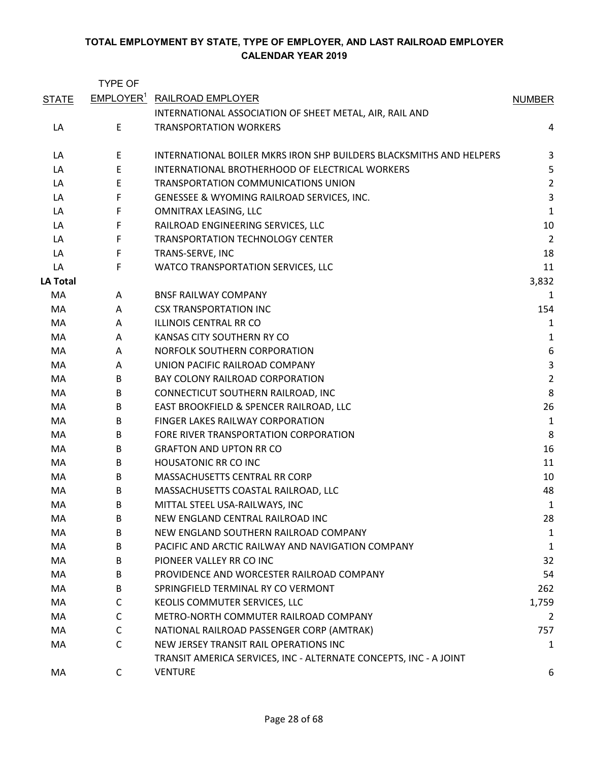|                 | <b>TYPE OF</b> |                                                                     |                  |
|-----------------|----------------|---------------------------------------------------------------------|------------------|
| <b>STATE</b>    |                | <b>EMPLOYER<sup>1</sup> RAILROAD EMPLOYER</b>                       | <b>NUMBER</b>    |
|                 |                | INTERNATIONAL ASSOCIATION OF SHEET METAL, AIR, RAIL AND             |                  |
| LA              | E              | <b>TRANSPORTATION WORKERS</b>                                       | 4                |
| LA              | E              | INTERNATIONAL BOILER MKRS IRON SHP BUILDERS BLACKSMITHS AND HELPERS | 3                |
| LA              | $\mathsf E$    | INTERNATIONAL BROTHERHOOD OF ELECTRICAL WORKERS                     | 5                |
| LA              | E              | TRANSPORTATION COMMUNICATIONS UNION                                 | $\overline{2}$   |
| LA              | F              | GENESSEE & WYOMING RAILROAD SERVICES, INC.                          | 3                |
| LA              | F              | OMNITRAX LEASING, LLC                                               | $\mathbf{1}$     |
| LA              | F              | RAILROAD ENGINEERING SERVICES, LLC                                  | 10               |
| LA              | F              | <b>TRANSPORTATION TECHNOLOGY CENTER</b>                             | $\overline{2}$   |
| LA              | F              | TRANS-SERVE, INC                                                    | 18               |
| LA              | F              | WATCO TRANSPORTATION SERVICES, LLC                                  | 11               |
| <b>LA Total</b> |                |                                                                     | 3,832            |
| MA              | A              | <b>BNSF RAILWAY COMPANY</b>                                         | 1                |
| MA              | A              | <b>CSX TRANSPORTATION INC</b>                                       | 154              |
| MA              | A              | <b>ILLINOIS CENTRAL RR CO</b>                                       | 1                |
| MA              | A              | KANSAS CITY SOUTHERN RY CO                                          | 1                |
| MA              | A              | NORFOLK SOUTHERN CORPORATION                                        | $\boldsymbol{6}$ |
| МA              | A              | UNION PACIFIC RAILROAD COMPANY                                      | $\mathsf{3}$     |
| МA              | B              | BAY COLONY RAILROAD CORPORATION                                     | $\overline{2}$   |
| MA              | B              | CONNECTICUT SOUTHERN RAILROAD, INC                                  | 8                |
| МA              | B              | EAST BROOKFIELD & SPENCER RAILROAD, LLC                             | 26               |
| МA              | B              | FINGER LAKES RAILWAY CORPORATION                                    | $\mathbf{1}$     |
| MA              | B              | FORE RIVER TRANSPORTATION CORPORATION                               | 8                |
| МA              | B              | <b>GRAFTON AND UPTON RR CO</b>                                      | 16               |
| MA              | B              | <b>HOUSATONIC RR CO INC</b>                                         | 11               |
| МA              | B              | MASSACHUSETTS CENTRAL RR CORP                                       | 10               |
| МA              | B              | MASSACHUSETTS COASTAL RAILROAD, LLC                                 | 48               |
| MA              | B              | MITTAL STEEL USA-RAILWAYS, INC                                      | 1                |
| MA              | B              | NEW ENGLAND CENTRAL RAILROAD INC                                    | 28               |
| MA              | B              | NEW ENGLAND SOUTHERN RAILROAD COMPANY                               | 1                |
| МA              | B              | PACIFIC AND ARCTIC RAILWAY AND NAVIGATION COMPANY                   | 1                |
| MA              | B              | PIONEER VALLEY RR CO INC                                            | 32               |
| MA              | B              | PROVIDENCE AND WORCESTER RAILROAD COMPANY                           | 54               |
| МA              | B              | SPRINGFIELD TERMINAL RY CO VERMONT                                  | 262              |
| МA              | C              | KEOLIS COMMUTER SERVICES, LLC                                       | 1,759            |
| МA              | C              | METRO-NORTH COMMUTER RAILROAD COMPANY                               | 2                |
| МA              | С              | NATIONAL RAILROAD PASSENGER CORP (AMTRAK)                           | 757              |
| МA              | C              | NEW JERSEY TRANSIT RAIL OPERATIONS INC                              | 1                |
|                 |                | TRANSIT AMERICA SERVICES, INC - ALTERNATE CONCEPTS, INC - A JOINT   |                  |
| МA              | C              | <b>VENTURE</b>                                                      | 6                |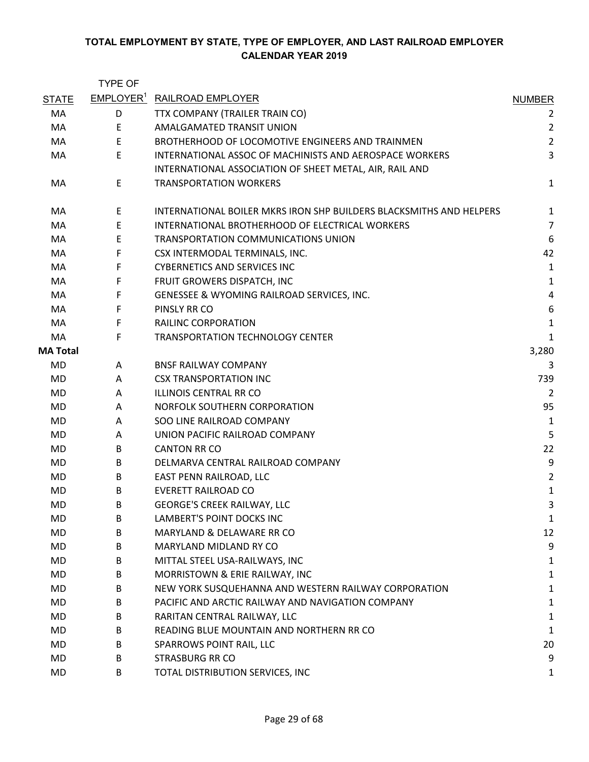|                 | <b>TYPE OF</b>        |                                                                     |                         |
|-----------------|-----------------------|---------------------------------------------------------------------|-------------------------|
| <b>STATE</b>    | EMPLOYER <sup>1</sup> | <b>RAILROAD EMPLOYER</b>                                            | <b>NUMBER</b>           |
| MA              | D                     | TTX COMPANY (TRAILER TRAIN CO)                                      | 2                       |
| MA              | E.                    | AMALGAMATED TRANSIT UNION                                           | $\overline{2}$          |
| MA              | E                     | BROTHERHOOD OF LOCOMOTIVE ENGINEERS AND TRAINMEN                    | $\overline{2}$          |
| MA              | E                     | <b>INTERNATIONAL ASSOC OF MACHINISTS AND AEROSPACE WORKERS</b>      | 3                       |
|                 |                       | INTERNATIONAL ASSOCIATION OF SHEET METAL, AIR, RAIL AND             |                         |
| MA              | E                     | <b>TRANSPORTATION WORKERS</b>                                       | $\mathbf{1}$            |
| MA              | E                     | INTERNATIONAL BOILER MKRS IRON SHP BUILDERS BLACKSMITHS AND HELPERS | 1                       |
| MA              | E                     | INTERNATIONAL BROTHERHOOD OF ELECTRICAL WORKERS                     | $\overline{7}$          |
| MA              | E                     | <b>TRANSPORTATION COMMUNICATIONS UNION</b>                          | 6                       |
| MA              | F                     | CSX INTERMODAL TERMINALS, INC.                                      | 42                      |
| MA              | F                     | <b>CYBERNETICS AND SERVICES INC</b>                                 | $\mathbf{1}$            |
| MA              | F                     | FRUIT GROWERS DISPATCH, INC                                         | $\mathbf 1$             |
| MA              | F                     | GENESSEE & WYOMING RAILROAD SERVICES, INC.                          | $\overline{\mathbf{4}}$ |
| MA              | F                     | PINSLY RR CO                                                        | 6                       |
| MA              | F                     | <b>RAILINC CORPORATION</b>                                          | $\mathbf{1}$            |
| MA              | F                     | <b>TRANSPORTATION TECHNOLOGY CENTER</b>                             | 1                       |
| <b>MA Total</b> |                       |                                                                     | 3,280                   |
| MD              | A                     | <b>BNSF RAILWAY COMPANY</b>                                         | 3                       |
| MD              | Α                     | <b>CSX TRANSPORTATION INC</b>                                       | 739                     |
| MD              | A                     | <b>ILLINOIS CENTRAL RR CO</b>                                       | $\overline{2}$          |
| MD              | A                     | NORFOLK SOUTHERN CORPORATION                                        | 95                      |
| MD              | A                     | SOO LINE RAILROAD COMPANY                                           | 1                       |
| MD              | A                     | UNION PACIFIC RAILROAD COMPANY                                      | 5                       |
| MD              | B                     | <b>CANTON RR CO</b>                                                 | 22                      |
| MD              | B                     | DELMARVA CENTRAL RAILROAD COMPANY                                   | 9                       |
| MD              | B                     | EAST PENN RAILROAD, LLC                                             | $\overline{2}$          |
| MD              | B                     | <b>EVERETT RAILROAD CO</b>                                          | $\mathbf{1}$            |
| MD              | B                     | <b>GEORGE'S CREEK RAILWAY, LLC</b>                                  | 3                       |
| MD              | B                     | LAMBERT'S POINT DOCKS INC                                           | 1                       |
| MD              | B                     | MARYLAND & DELAWARE RR CO                                           | 12                      |
| MD              | B                     | MARYLAND MIDLAND RY CO                                              | 9                       |
| MD              | B                     | MITTAL STEEL USA-RAILWAYS, INC                                      | 1                       |
| MD              | B                     | MORRISTOWN & ERIE RAILWAY, INC                                      | 1                       |
| MD              | B                     | NEW YORK SUSQUEHANNA AND WESTERN RAILWAY CORPORATION                | 1                       |
| MD              | B                     | PACIFIC AND ARCTIC RAILWAY AND NAVIGATION COMPANY                   | $\mathbf{1}$            |
| MD              | B                     | RARITAN CENTRAL RAILWAY, LLC                                        | 1                       |
| MD              | B                     | READING BLUE MOUNTAIN AND NORTHERN RR CO                            | 1                       |
| MD              | B                     | SPARROWS POINT RAIL, LLC                                            | 20                      |
| MD              | B                     | <b>STRASBURG RR CO</b>                                              | 9                       |
| MD              | B                     | TOTAL DISTRIBUTION SERVICES, INC                                    | 1                       |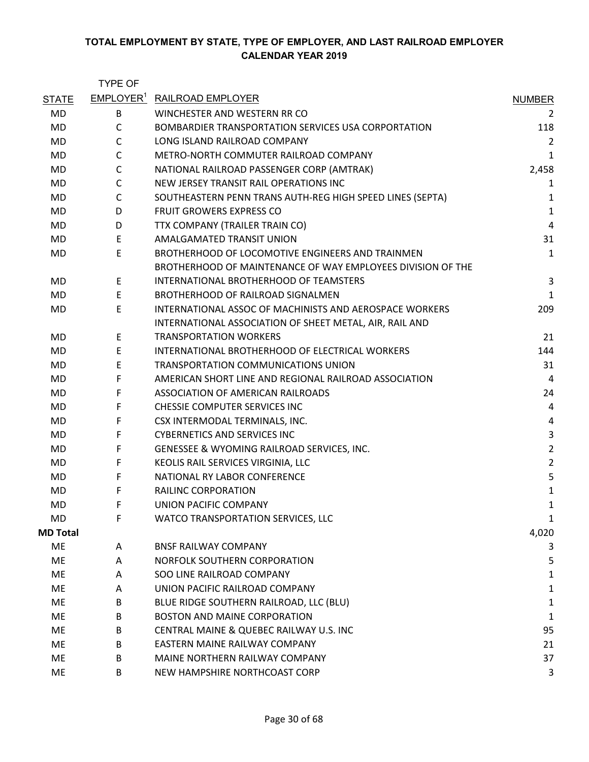|                 | <b>TYPE OF</b> |                                                             |                |
|-----------------|----------------|-------------------------------------------------------------|----------------|
| <b>STATE</b>    |                | <b>EMPLOYER<sup>1</sup> RAILROAD EMPLOYER</b>               | <b>NUMBER</b>  |
| <b>MD</b>       | B              | WINCHESTER AND WESTERN RR CO                                | 2              |
| MD              | $\mathsf{C}$   | BOMBARDIER TRANSPORTATION SERVICES USA CORPORTATION         | 118            |
| <b>MD</b>       | $\mathsf C$    | LONG ISLAND RAILROAD COMPANY                                | 2              |
| MD              | $\mathsf{C}$   | METRO-NORTH COMMUTER RAILROAD COMPANY                       | 1              |
| <b>MD</b>       | C              | NATIONAL RAILROAD PASSENGER CORP (AMTRAK)                   | 2,458          |
| MD              | C              | NEW JERSEY TRANSIT RAIL OPERATIONS INC                      | 1              |
| <b>MD</b>       | $\mathsf{C}$   | SOUTHEASTERN PENN TRANS AUTH-REG HIGH SPEED LINES (SEPTA)   | 1              |
| <b>MD</b>       | D              | <b>FRUIT GROWERS EXPRESS CO</b>                             | $\mathbf 1$    |
| MD              | D              | TTX COMPANY (TRAILER TRAIN CO)                              | $\overline{4}$ |
| <b>MD</b>       | E              | AMALGAMATED TRANSIT UNION                                   | 31             |
| MD              | $\mathsf E$    | BROTHERHOOD OF LOCOMOTIVE ENGINEERS AND TRAINMEN            | 1              |
|                 |                | BROTHERHOOD OF MAINTENANCE OF WAY EMPLOYEES DIVISION OF THE |                |
| MD              | E.             | INTERNATIONAL BROTHERHOOD OF TEAMSTERS                      | 3              |
| <b>MD</b>       | E              | BROTHERHOOD OF RAILROAD SIGNALMEN                           | 1              |
| MD              | E              | INTERNATIONAL ASSOC OF MACHINISTS AND AEROSPACE WORKERS     | 209            |
|                 |                | INTERNATIONAL ASSOCIATION OF SHEET METAL, AIR, RAIL AND     |                |
| MD              | E              | <b>TRANSPORTATION WORKERS</b>                               | 21             |
| MD              | E              | INTERNATIONAL BROTHERHOOD OF ELECTRICAL WORKERS             | 144            |
| MD.             | E              | TRANSPORTATION COMMUNICATIONS UNION                         | 31             |
| MD              | F              | AMERICAN SHORT LINE AND REGIONAL RAILROAD ASSOCIATION       | 4              |
| MD              | F              | ASSOCIATION OF AMERICAN RAILROADS                           | 24             |
| MD.             | F              | CHESSIE COMPUTER SERVICES INC                               | 4              |
| MD              | F              | CSX INTERMODAL TERMINALS, INC.                              | 4              |
| <b>MD</b>       | F              | <b>CYBERNETICS AND SERVICES INC</b>                         | $\mathsf 3$    |
| MD              | F              | GENESSEE & WYOMING RAILROAD SERVICES, INC.                  | $\overline{2}$ |
| MD              | F              | KEOLIS RAIL SERVICES VIRGINIA, LLC                          | $\overline{2}$ |
| <b>MD</b>       | F              | NATIONAL RY LABOR CONFERENCE                                | 5              |
| MD              | F              | RAILINC CORPORATION                                         | $\mathbf{1}$   |
| MD              | F              | UNION PACIFIC COMPANY                                       | 1              |
| MD              | F              | WATCO TRANSPORTATION SERVICES, LLC                          | 1              |
| <b>MD Total</b> |                |                                                             | 4,020          |
| ME              | A              | <b>BNSF RAILWAY COMPANY</b>                                 | 3              |
| ME              | A              | NORFOLK SOUTHERN CORPORATION                                | 5              |
| ME              | A              | SOO LINE RAILROAD COMPANY                                   | 1              |
| ME              | A              | UNION PACIFIC RAILROAD COMPANY                              | 1              |
| ME              | B              | BLUE RIDGE SOUTHERN RAILROAD, LLC (BLU)                     | $\mathbf{1}$   |
| ME              | B              | <b>BOSTON AND MAINE CORPORATION</b>                         | 1              |
| ME              | B              | CENTRAL MAINE & QUEBEC RAILWAY U.S. INC                     | 95             |
| ME              | B              | EASTERN MAINE RAILWAY COMPANY                               | 21             |
| ME              | B              | MAINE NORTHERN RAILWAY COMPANY                              | 37             |
| ME              | B              | NEW HAMPSHIRE NORTHCOAST CORP                               | 3              |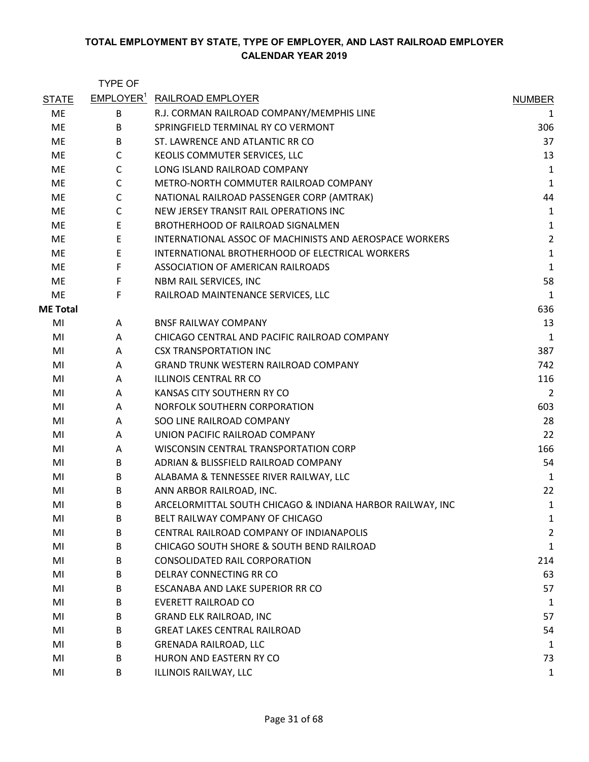|                 | <b>TYPE OF</b> |                                                           |                |
|-----------------|----------------|-----------------------------------------------------------|----------------|
| <b>STATE</b>    |                | EMPLOYER <sup>1</sup> RAILROAD EMPLOYER                   | <b>NUMBER</b>  |
| ME              | B              | R.J. CORMAN RAILROAD COMPANY/MEMPHIS LINE                 | 1              |
| ME              | B              | SPRINGFIELD TERMINAL RY CO VERMONT                        | 306            |
| ME              | B              | ST. LAWRENCE AND ATLANTIC RR CO                           | 37             |
| ME              | $\mathsf{C}$   | KEOLIS COMMUTER SERVICES, LLC                             | 13             |
| ME              | C              | LONG ISLAND RAILROAD COMPANY                              | $\mathbf{1}$   |
| ME              | $\mathsf{C}$   | METRO-NORTH COMMUTER RAILROAD COMPANY                     | $\mathbf 1$    |
| ME              | $\mathsf C$    | NATIONAL RAILROAD PASSENGER CORP (AMTRAK)                 | 44             |
| ME              | $\mathsf{C}$   | NEW JERSEY TRANSIT RAIL OPERATIONS INC                    | 1              |
| ME              | Е              | BROTHERHOOD OF RAILROAD SIGNALMEN                         | 1              |
| ME              | E              | INTERNATIONAL ASSOC OF MACHINISTS AND AEROSPACE WORKERS   | $\overline{2}$ |
| ME              | E              | INTERNATIONAL BROTHERHOOD OF ELECTRICAL WORKERS           | $\mathbf{1}$   |
| ME              | F              | ASSOCIATION OF AMERICAN RAILROADS                         | $\mathbf{1}$   |
| ME              | F              | NBM RAIL SERVICES, INC                                    | 58             |
| ME              | F              | RAILROAD MAINTENANCE SERVICES, LLC                        | $\mathbf{1}$   |
| <b>ME Total</b> |                |                                                           | 636            |
| MI              | A              | <b>BNSF RAILWAY COMPANY</b>                               | 13             |
| MI              | A              | CHICAGO CENTRAL AND PACIFIC RAILROAD COMPANY              | $\mathbf{1}$   |
| MI              | A              | <b>CSX TRANSPORTATION INC</b>                             | 387            |
| MI              | A              | <b>GRAND TRUNK WESTERN RAILROAD COMPANY</b>               | 742            |
| MI              | A              | <b>ILLINOIS CENTRAL RR CO</b>                             | 116            |
| MI              | A              | KANSAS CITY SOUTHERN RY CO                                | $\overline{2}$ |
| MI              | A              | NORFOLK SOUTHERN CORPORATION                              | 603            |
| MI              | A              | SOO LINE RAILROAD COMPANY                                 | 28             |
| MI              | A              | UNION PACIFIC RAILROAD COMPANY                            | 22             |
| MI              | A              | WISCONSIN CENTRAL TRANSPORTATION CORP                     | 166            |
| MI              | B              | ADRIAN & BLISSFIELD RAILROAD COMPANY                      | 54             |
| MI              | B              | ALABAMA & TENNESSEE RIVER RAILWAY, LLC                    | 1              |
| MI              | B              | ANN ARBOR RAILROAD, INC.                                  | 22             |
| MI              | B              | ARCELORMITTAL SOUTH CHICAGO & INDIANA HARBOR RAILWAY, INC | $\mathbf 1$    |
| MI              | B              | BELT RAILWAY COMPANY OF CHICAGO                           | 1              |
| MI              | B              | CENTRAL RAILROAD COMPANY OF INDIANAPOLIS                  | $\overline{2}$ |
| MI              | B              | CHICAGO SOUTH SHORE & SOUTH BEND RAILROAD                 | $\mathbf{1}$   |
| MI              | B              | <b>CONSOLIDATED RAIL CORPORATION</b>                      | 214            |
| MI              | B              | DELRAY CONNECTING RR CO                                   | 63             |
| MI              | B              | ESCANABA AND LAKE SUPERIOR RR CO                          | 57             |
| MI              | B              | <b>EVERETT RAILROAD CO</b>                                | 1              |
| MI              | B              | <b>GRAND ELK RAILROAD, INC</b>                            | 57             |
| MI              | B              | <b>GREAT LAKES CENTRAL RAILROAD</b>                       | 54             |
| MI              | B              | <b>GRENADA RAILROAD, LLC</b>                              | 1              |
| MI              | B              | HURON AND EASTERN RY CO                                   | 73             |
| MI              | B              | ILLINOIS RAILWAY, LLC                                     | $\mathbf{1}$   |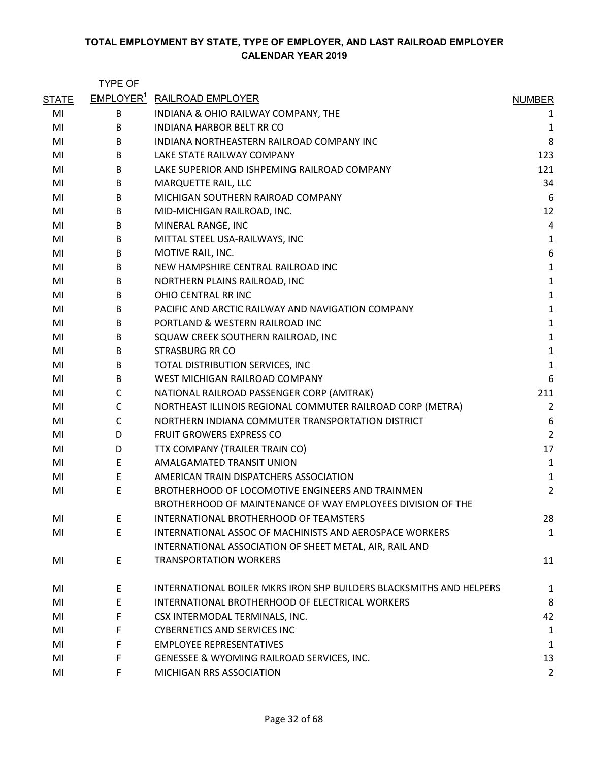|              | <b>TYPE OF</b> |                                                                     |                |
|--------------|----------------|---------------------------------------------------------------------|----------------|
| <b>STATE</b> |                | <b>EMPLOYER<sup>1</sup> RAILROAD EMPLOYER</b>                       | <b>NUMBER</b>  |
| MI           | В              | INDIANA & OHIO RAILWAY COMPANY, THE                                 | $\mathbf{1}$   |
| MI           | B              | INDIANA HARBOR BELT RR CO                                           | $\mathbf{1}$   |
| MI           | B              | INDIANA NORTHEASTERN RAILROAD COMPANY INC                           | 8              |
| MI           | B              | LAKE STATE RAILWAY COMPANY                                          | 123            |
| MI           | B              | LAKE SUPERIOR AND ISHPEMING RAILROAD COMPANY                        | 121            |
| MI           | B              | MARQUETTE RAIL, LLC                                                 | 34             |
| MI           | B              | MICHIGAN SOUTHERN RAIROAD COMPANY                                   | 6              |
| MI           | B              | MID-MICHIGAN RAILROAD, INC.                                         | 12             |
| MI           | B              | MINERAL RANGE, INC                                                  | 4              |
| MI           | B              | MITTAL STEEL USA-RAILWAYS, INC                                      | $\mathbf{1}$   |
| MI           | B              | MOTIVE RAIL, INC.                                                   | 6              |
| MI           | B              | NEW HAMPSHIRE CENTRAL RAILROAD INC                                  | $\mathbf 1$    |
| MI           | B              | NORTHERN PLAINS RAILROAD, INC                                       | $\mathbf{1}$   |
| MI           | B              | OHIO CENTRAL RR INC                                                 | $\mathbf 1$    |
| MI           | B              | PACIFIC AND ARCTIC RAILWAY AND NAVIGATION COMPANY                   | $\mathbf 1$    |
| MI           | B              | PORTLAND & WESTERN RAILROAD INC                                     | $\mathbf 1$    |
| MI           | B              | SQUAW CREEK SOUTHERN RAILROAD, INC                                  | $\mathbf 1$    |
| MI           | B              | <b>STRASBURG RR CO</b>                                              | $\mathbf 1$    |
| MI           | B              | TOTAL DISTRIBUTION SERVICES, INC                                    | $\mathbf 1$    |
| MI           | B              | WEST MICHIGAN RAILROAD COMPANY                                      | 6              |
| MI           | C              | NATIONAL RAILROAD PASSENGER CORP (AMTRAK)                           | 211            |
| MI           | С              | NORTHEAST ILLINOIS REGIONAL COMMUTER RAILROAD CORP (METRA)          | $\overline{2}$ |
| MI           | C              | NORTHERN INDIANA COMMUTER TRANSPORTATION DISTRICT                   | 6              |
| MI           | D              | FRUIT GROWERS EXPRESS CO                                            | $\overline{2}$ |
| MI           | D              | TTX COMPANY (TRAILER TRAIN CO)                                      | 17             |
| MI           | Ε              | <b>AMALGAMATED TRANSIT UNION</b>                                    | $\mathbf{1}$   |
| MI           | E              | AMERICAN TRAIN DISPATCHERS ASSOCIATION                              | $\mathbf{1}$   |
| MI           | E              | BROTHERHOOD OF LOCOMOTIVE ENGINEERS AND TRAINMEN                    | $\overline{2}$ |
|              |                | BROTHERHOOD OF MAINTENANCE OF WAY EMPLOYEES DIVISION OF THE         |                |
| MI           | E              | INTERNATIONAL BROTHERHOOD OF TEAMSTERS                              | 28             |
| MI           | E              | INTERNATIONAL ASSOC OF MACHINISTS AND AEROSPACE WORKERS             | $\mathbf{1}$   |
|              |                | INTERNATIONAL ASSOCIATION OF SHEET METAL, AIR, RAIL AND             |                |
| MI           | E              | <b>TRANSPORTATION WORKERS</b>                                       | 11             |
| MI           | E              | INTERNATIONAL BOILER MKRS IRON SHP BUILDERS BLACKSMITHS AND HELPERS | 1              |
| MI           | E              | INTERNATIONAL BROTHERHOOD OF ELECTRICAL WORKERS                     | 8              |
| MI           | F              | CSX INTERMODAL TERMINALS, INC.                                      | 42             |
| MI           | F.             | <b>CYBERNETICS AND SERVICES INC</b>                                 | 1              |
| MI           | F              | <b>EMPLOYEE REPRESENTATIVES</b>                                     | 1              |
| MI           | F.             | GENESSEE & WYOMING RAILROAD SERVICES, INC.                          | 13             |
| MI           | F              | MICHIGAN RRS ASSOCIATION                                            | $\overline{2}$ |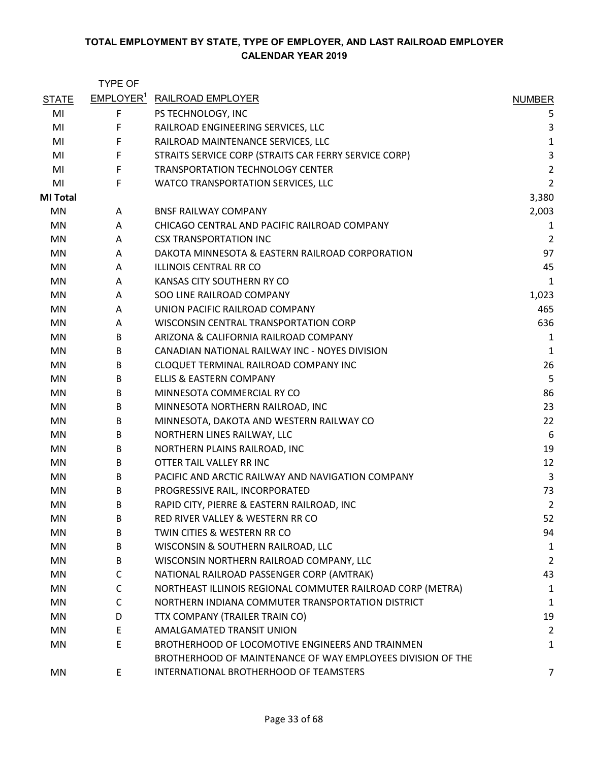|                 | <b>TYPE OF</b>        |                                                             |                |
|-----------------|-----------------------|-------------------------------------------------------------|----------------|
| <b>STATE</b>    | EMPLOYER <sup>1</sup> | RAILROAD EMPLOYER                                           | <b>NUMBER</b>  |
| MI              | F                     | PS TECHNOLOGY, INC                                          | 5              |
| MI              | F                     | RAILROAD ENGINEERING SERVICES, LLC                          | 3              |
| MI              | F                     | RAILROAD MAINTENANCE SERVICES, LLC                          | $\mathbf 1$    |
| MI              | F                     | STRAITS SERVICE CORP (STRAITS CAR FERRY SERVICE CORP)       | 3              |
| MI              | F                     | <b>TRANSPORTATION TECHNOLOGY CENTER</b>                     | $\overline{2}$ |
| MI              | F                     | WATCO TRANSPORTATION SERVICES, LLC                          | $\overline{2}$ |
| <b>MI Total</b> |                       |                                                             | 3,380          |
| MN              | A                     | <b>BNSF RAILWAY COMPANY</b>                                 | 2,003          |
| <b>MN</b>       | A                     | CHICAGO CENTRAL AND PACIFIC RAILROAD COMPANY                | 1              |
| MN              | A                     | <b>CSX TRANSPORTATION INC</b>                               | $\overline{2}$ |
| MN              | A                     | DAKOTA MINNESOTA & EASTERN RAILROAD CORPORATION             | 97             |
| MN              | A                     | ILLINOIS CENTRAL RR CO                                      | 45             |
| MN              | A                     | KANSAS CITY SOUTHERN RY CO                                  | 1              |
| MN              | A                     | SOO LINE RAILROAD COMPANY                                   | 1,023          |
| MN              | A                     | UNION PACIFIC RAILROAD COMPANY                              | 465            |
| MN              | A                     | WISCONSIN CENTRAL TRANSPORTATION CORP                       | 636            |
| MN              | B                     | ARIZONA & CALIFORNIA RAILROAD COMPANY                       | 1              |
| MN              | B                     | CANADIAN NATIONAL RAILWAY INC - NOYES DIVISION              | $\mathbf{1}$   |
| MN              | B                     | CLOQUET TERMINAL RAILROAD COMPANY INC                       | 26             |
| MN              | B                     | ELLIS & EASTERN COMPANY                                     | 5              |
| MN              | B                     | MINNESOTA COMMERCIAL RY CO                                  | 86             |
| MN              | B                     | MINNESOTA NORTHERN RAILROAD, INC                            | 23             |
| MN              | B                     | MINNESOTA, DAKOTA AND WESTERN RAILWAY CO                    | 22             |
| MN              | B                     | NORTHERN LINES RAILWAY, LLC                                 | 6              |
| MN              | B                     | NORTHERN PLAINS RAILROAD, INC                               | 19             |
| MN              | B                     | OTTER TAIL VALLEY RR INC                                    | 12             |
| MN              | B                     | PACIFIC AND ARCTIC RAILWAY AND NAVIGATION COMPANY           | 3              |
| MN              | B                     | PROGRESSIVE RAIL, INCORPORATED                              | 73             |
| MN              | B                     | RAPID CITY, PIERRE & EASTERN RAILROAD, INC                  | $\overline{2}$ |
| ΜN              | B                     | RED RIVER VALLEY & WESTERN RR CO                            | 52             |
| MN              | B                     | TWIN CITIES & WESTERN RR CO                                 | 94             |
| MN              | B                     | WISCONSIN & SOUTHERN RAILROAD, LLC                          | 1              |
| MN              | B                     | WISCONSIN NORTHERN RAILROAD COMPANY, LLC                    | $\overline{2}$ |
| MN              | C                     | NATIONAL RAILROAD PASSENGER CORP (AMTRAK)                   | 43             |
| MN              | C                     | NORTHEAST ILLINOIS REGIONAL COMMUTER RAILROAD CORP (METRA)  | 1              |
| MN              | C                     | NORTHERN INDIANA COMMUTER TRANSPORTATION DISTRICT           | 1              |
| MN              | D                     | TTX COMPANY (TRAILER TRAIN CO)                              | 19             |
| MN              | E                     | AMALGAMATED TRANSIT UNION                                   | $\overline{2}$ |
| MN              | E                     | BROTHERHOOD OF LOCOMOTIVE ENGINEERS AND TRAINMEN            | 1              |
|                 |                       | BROTHERHOOD OF MAINTENANCE OF WAY EMPLOYEES DIVISION OF THE |                |
| MN              | E                     | INTERNATIONAL BROTHERHOOD OF TEAMSTERS                      | 7              |
|                 |                       |                                                             |                |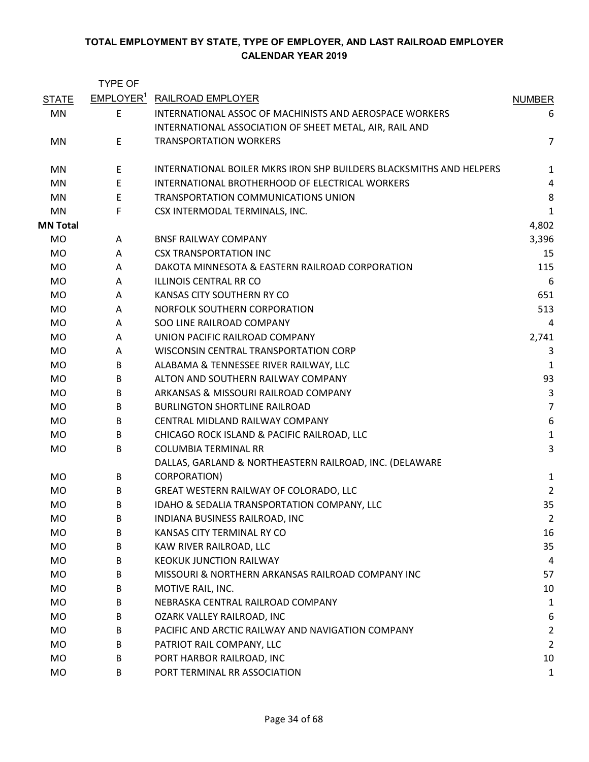|                 | <b>TYPE OF</b>        |                                                                     |                  |
|-----------------|-----------------------|---------------------------------------------------------------------|------------------|
| <b>STATE</b>    | EMPLOYER <sup>1</sup> | RAILROAD EMPLOYER                                                   | <b>NUMBER</b>    |
| MN              | E                     | <b>INTERNATIONAL ASSOC OF MACHINISTS AND AEROSPACE WORKERS</b>      | 6                |
|                 |                       | INTERNATIONAL ASSOCIATION OF SHEET METAL, AIR, RAIL AND             |                  |
| MN              | E                     | <b>TRANSPORTATION WORKERS</b>                                       | $\overline{7}$   |
| MN              | Ε                     | INTERNATIONAL BOILER MKRS IRON SHP BUILDERS BLACKSMITHS AND HELPERS | 1                |
| MN              | E                     | INTERNATIONAL BROTHERHOOD OF ELECTRICAL WORKERS                     | 4                |
| MN              | E                     | TRANSPORTATION COMMUNICATIONS UNION                                 | $\bf 8$          |
| MN              | F                     | CSX INTERMODAL TERMINALS, INC.                                      | $\mathbf{1}$     |
| <b>MN Total</b> |                       |                                                                     | 4,802            |
| <b>MO</b>       | A                     | <b>BNSF RAILWAY COMPANY</b>                                         | 3,396            |
| MO              | A                     | <b>CSX TRANSPORTATION INC</b>                                       | 15               |
| <b>MO</b>       | A                     | DAKOTA MINNESOTA & EASTERN RAILROAD CORPORATION                     | 115              |
| <b>MO</b>       | A                     | <b>ILLINOIS CENTRAL RR CO</b>                                       | 6                |
| MO              | A                     | KANSAS CITY SOUTHERN RY CO                                          | 651              |
| <b>MO</b>       | A                     | NORFOLK SOUTHERN CORPORATION                                        | 513              |
| MO              | A                     | SOO LINE RAILROAD COMPANY                                           | 4                |
| <b>MO</b>       | A                     | UNION PACIFIC RAILROAD COMPANY                                      | 2,741            |
| <b>MO</b>       | A                     | WISCONSIN CENTRAL TRANSPORTATION CORP                               | 3                |
| MO              | B                     | ALABAMA & TENNESSEE RIVER RAILWAY, LLC                              | 1                |
| MO              | B                     | ALTON AND SOUTHERN RAILWAY COMPANY                                  | 93               |
| MO              | B                     | ARKANSAS & MISSOURI RAILROAD COMPANY                                | 3                |
| <b>MO</b>       | B                     | <b>BURLINGTON SHORTLINE RAILROAD</b>                                | $\overline{7}$   |
| MO              | B                     | CENTRAL MIDLAND RAILWAY COMPANY                                     | $\boldsymbol{6}$ |
| <b>MO</b>       | B                     | CHICAGO ROCK ISLAND & PACIFIC RAILROAD, LLC                         | $\mathbf{1}$     |
| <b>MO</b>       | B                     | <b>COLUMBIA TERMINAL RR</b>                                         | $\overline{3}$   |
|                 |                       | DALLAS, GARLAND & NORTHEASTERN RAILROAD, INC. (DELAWARE             |                  |
| MO              | B                     | CORPORATION)                                                        | 1                |
| <b>MO</b>       | B                     | GREAT WESTERN RAILWAY OF COLORADO, LLC                              | $\overline{2}$   |
| MO              | B                     | IDAHO & SEDALIA TRANSPORTATION COMPANY, LLC                         | 35               |
| <b>MO</b>       | B                     | INDIANA BUSINESS RAILROAD, INC                                      | $\overline{2}$   |
| <b>MO</b>       | B                     | KANSAS CITY TERMINAL RY CO                                          | 16               |
| MO              | В                     | KAW RIVER RAILROAD, LLC                                             | 35               |
| MO              | B                     | <b>KEOKUK JUNCTION RAILWAY</b>                                      | 4                |
| <b>MO</b>       | B                     | MISSOURI & NORTHERN ARKANSAS RAILROAD COMPANY INC                   | 57               |
| MO              | B                     | MOTIVE RAIL, INC.                                                   | 10               |
| <b>MO</b>       | B                     | NEBRASKA CENTRAL RAILROAD COMPANY                                   | $\mathbf{1}$     |
| MO.             | B                     | OZARK VALLEY RAILROAD, INC                                          | 6                |
| MO              | B                     | PACIFIC AND ARCTIC RAILWAY AND NAVIGATION COMPANY                   | $\overline{2}$   |
| MO              | B                     | PATRIOT RAIL COMPANY, LLC                                           | $\overline{2}$   |
| MO              | B                     | PORT HARBOR RAILROAD, INC                                           | 10               |
| <b>MO</b>       | B                     | PORT TERMINAL RR ASSOCIATION                                        | $\mathbf{1}$     |
|                 |                       |                                                                     |                  |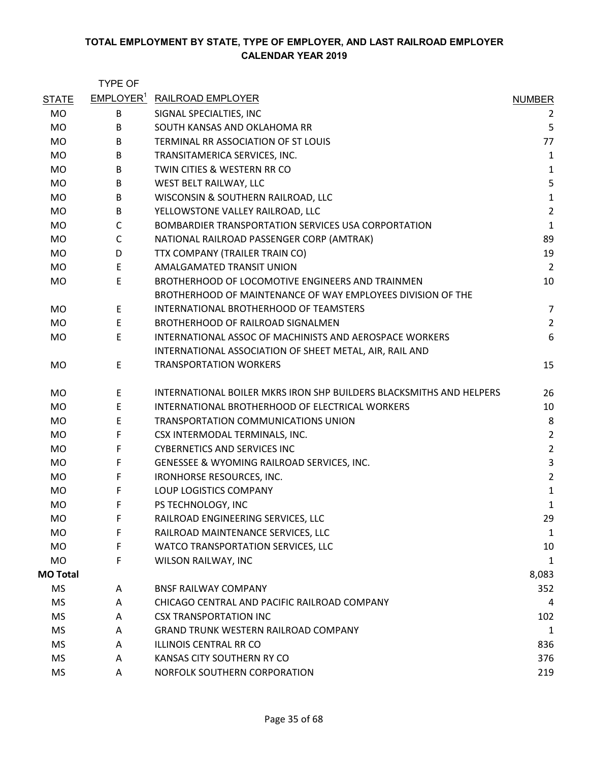|                 | <b>TYPE OF</b> |                                                                     |                |
|-----------------|----------------|---------------------------------------------------------------------|----------------|
| <b>STATE</b>    |                | <b>EMPLOYER<sup>1</sup> RAILROAD EMPLOYER</b>                       | <b>NUMBER</b>  |
| <b>MO</b>       | B              | SIGNAL SPECIALTIES, INC                                             | $\overline{2}$ |
| <b>MO</b>       | B              | SOUTH KANSAS AND OKLAHOMA RR                                        | 5              |
| <b>MO</b>       | B              | TERMINAL RR ASSOCIATION OF ST LOUIS                                 | 77             |
| MO              | B              | TRANSITAMERICA SERVICES, INC.                                       | $\mathbf{1}$   |
| <b>MO</b>       | B              | TWIN CITIES & WESTERN RR CO                                         | $\mathbf 1$    |
| MO              | B              | WEST BELT RAILWAY, LLC                                              | 5              |
| <b>MO</b>       | B              | WISCONSIN & SOUTHERN RAILROAD, LLC                                  | $\mathbf 1$    |
| <b>MO</b>       | B              | YELLOWSTONE VALLEY RAILROAD, LLC                                    | $\overline{2}$ |
| MO              | $\mathsf{C}$   | BOMBARDIER TRANSPORTATION SERVICES USA CORPORTATION                 | $\mathbf 1$    |
| MO              | $\mathsf C$    | NATIONAL RAILROAD PASSENGER CORP (AMTRAK)                           | 89             |
| MO              | D              | TTX COMPANY (TRAILER TRAIN CO)                                      | 19             |
| <b>MO</b>       | E              | AMALGAMATED TRANSIT UNION                                           | $\overline{2}$ |
| MO              | E              | BROTHERHOOD OF LOCOMOTIVE ENGINEERS AND TRAINMEN                    | 10             |
|                 |                | BROTHERHOOD OF MAINTENANCE OF WAY EMPLOYEES DIVISION OF THE         |                |
| MO              | E              | INTERNATIONAL BROTHERHOOD OF TEAMSTERS                              | $\overline{7}$ |
| <b>MO</b>       | E.             | BROTHERHOOD OF RAILROAD SIGNALMEN                                   | $\overline{2}$ |
| MO              | E              | INTERNATIONAL ASSOC OF MACHINISTS AND AEROSPACE WORKERS             | 6              |
|                 |                | INTERNATIONAL ASSOCIATION OF SHEET METAL, AIR, RAIL AND             |                |
| <b>MO</b>       | E.             | <b>TRANSPORTATION WORKERS</b>                                       | 15             |
| <b>MO</b>       | E              | INTERNATIONAL BOILER MKRS IRON SHP BUILDERS BLACKSMITHS AND HELPERS | 26             |
| <b>MO</b>       | E              | INTERNATIONAL BROTHERHOOD OF ELECTRICAL WORKERS                     | 10             |
| MO              | E              | TRANSPORTATION COMMUNICATIONS UNION                                 | 8              |
| <b>MO</b>       | F              | CSX INTERMODAL TERMINALS, INC.                                      | $\overline{2}$ |
| MO              | F              | <b>CYBERNETICS AND SERVICES INC</b>                                 | $\overline{2}$ |
| <b>MO</b>       | F              | GENESSEE & WYOMING RAILROAD SERVICES, INC.                          | 3              |
| <b>MO</b>       | F              | IRONHORSE RESOURCES, INC.                                           | $\overline{2}$ |
| MO              | F              | LOUP LOGISTICS COMPANY                                              | $\mathbf{1}$   |
| <b>MO</b>       | F              | PS TECHNOLOGY, INC                                                  | 1              |
| <b>MO</b>       | F              | RAILROAD ENGINEERING SERVICES, LLC                                  | 29             |
| <b>MO</b>       | F              | RAILROAD MAINTENANCE SERVICES, LLC                                  | $\mathbf 1$    |
| MO              | F              | WATCO TRANSPORTATION SERVICES, LLC                                  | 10             |
| <b>MO</b>       | F              | WILSON RAILWAY, INC                                                 | 1              |
| <b>MO Total</b> |                |                                                                     | 8,083          |
| <b>MS</b>       | A              | <b>BNSF RAILWAY COMPANY</b>                                         | 352            |
| <b>MS</b>       | A              | CHICAGO CENTRAL AND PACIFIC RAILROAD COMPANY                        | 4              |
| MS              | A              | <b>CSX TRANSPORTATION INC</b>                                       | 102            |
| <b>MS</b>       | A              | <b>GRAND TRUNK WESTERN RAILROAD COMPANY</b>                         | $\mathbf{1}$   |
| MS              | A              | <b>ILLINOIS CENTRAL RR CO</b>                                       | 836            |
| <b>MS</b>       | A              | KANSAS CITY SOUTHERN RY CO                                          | 376            |
| <b>MS</b>       | A              | NORFOLK SOUTHERN CORPORATION                                        | 219            |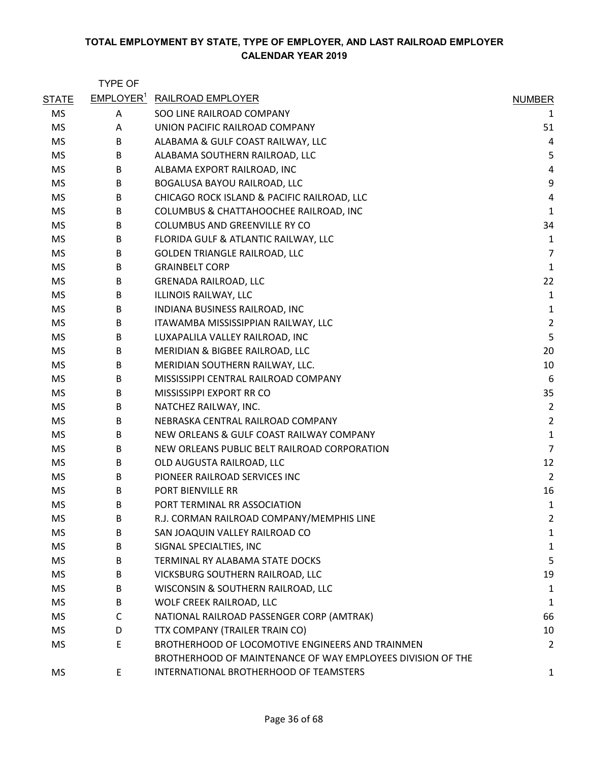|              | <b>TYPE OF</b>               |                                                             |                |
|--------------|------------------------------|-------------------------------------------------------------|----------------|
| <b>STATE</b> | <b>EMPLOYER</b> <sup>1</sup> | <b>RAILROAD EMPLOYER</b>                                    | <b>NUMBER</b>  |
| <b>MS</b>    | Α                            | SOO LINE RAILROAD COMPANY                                   | 1              |
| <b>MS</b>    | A                            | UNION PACIFIC RAILROAD COMPANY                              | 51             |
| <b>MS</b>    | B                            | ALABAMA & GULF COAST RAILWAY, LLC                           | 4              |
| MS           | B                            | ALABAMA SOUTHERN RAILROAD, LLC                              | 5              |
| <b>MS</b>    | B                            | ALBAMA EXPORT RAILROAD, INC                                 | $\overline{4}$ |
| <b>MS</b>    | B                            | BOGALUSA BAYOU RAILROAD, LLC                                | 9              |
| <b>MS</b>    | В                            | CHICAGO ROCK ISLAND & PACIFIC RAILROAD, LLC                 | 4              |
| MS           | B                            | COLUMBUS & CHATTAHOOCHEE RAILROAD, INC                      | $\mathbf 1$    |
| <b>MS</b>    | B                            | COLUMBUS AND GREENVILLE RY CO                               | 34             |
| <b>MS</b>    | B                            | FLORIDA GULF & ATLANTIC RAILWAY, LLC                        | $\mathbf 1$    |
| <b>MS</b>    | В                            | GOLDEN TRIANGLE RAILROAD, LLC                               | $\overline{7}$ |
| <b>MS</b>    | B                            | <b>GRAINBELT CORP</b>                                       | $\mathbf 1$    |
| MS           | B                            | <b>GRENADA RAILROAD, LLC</b>                                | 22             |
| MS           | B                            | ILLINOIS RAILWAY, LLC                                       | $\mathbf 1$    |
| MS           | B                            | INDIANA BUSINESS RAILROAD, INC                              | $\mathbf 1$    |
| <b>MS</b>    | В                            | ITAWAMBA MISSISSIPPIAN RAILWAY, LLC                         | $\overline{2}$ |
| MS           | В                            | LUXAPALILA VALLEY RAILROAD, INC                             | 5              |
| <b>MS</b>    | В                            | MERIDIAN & BIGBEE RAILROAD, LLC                             | 20             |
| MS           | B                            | MERIDIAN SOUTHERN RAILWAY, LLC.                             | 10             |
| MS           | B                            | MISSISSIPPI CENTRAL RAILROAD COMPANY                        | 6              |
| <b>MS</b>    | B                            | MISSISSIPPI EXPORT RR CO                                    | 35             |
| MS           | В                            | NATCHEZ RAILWAY, INC.                                       | $\overline{2}$ |
| MS           | B                            | NEBRASKA CENTRAL RAILROAD COMPANY                           | $\overline{2}$ |
| <b>MS</b>    | B                            | NEW ORLEANS & GULF COAST RAILWAY COMPANY                    | $\mathbf 1$    |
| <b>MS</b>    | B                            | NEW ORLEANS PUBLIC BELT RAILROAD CORPORATION                | $\overline{7}$ |
| MS           | B                            | OLD AUGUSTA RAILROAD, LLC                                   | 12             |
| MS           | B                            | PIONEER RAILROAD SERVICES INC                               | $\overline{2}$ |
| <b>MS</b>    | B                            | PORT BIENVILLE RR                                           | 16             |
| <b>MS</b>    | B                            | PORT TERMINAL RR ASSOCIATION                                | 1              |
| <b>MS</b>    | B                            | R.J. CORMAN RAILROAD COMPANY/MEMPHIS LINE                   | 2              |
| <b>MS</b>    | B                            | SAN JOAQUIN VALLEY RAILROAD CO                              | 1              |
| MS           | В                            | SIGNAL SPECIALTIES, INC                                     | $\mathbf{1}$   |
| <b>MS</b>    | B                            | TERMINAL RY ALABAMA STATE DOCKS                             | 5              |
| MS           | B                            | VICKSBURG SOUTHERN RAILROAD, LLC                            | 19             |
| МS           | B                            | WISCONSIN & SOUTHERN RAILROAD, LLC                          | 1              |
| MS           | B                            | WOLF CREEK RAILROAD, LLC                                    | $\mathbf{1}$   |
| <b>MS</b>    | C                            | NATIONAL RAILROAD PASSENGER CORP (AMTRAK)                   | 66             |
| <b>MS</b>    | D                            | TTX COMPANY (TRAILER TRAIN CO)                              | 10             |
| MS           | E                            | BROTHERHOOD OF LOCOMOTIVE ENGINEERS AND TRAINMEN            | 2              |
|              |                              | BROTHERHOOD OF MAINTENANCE OF WAY EMPLOYEES DIVISION OF THE |                |
| <b>MS</b>    | E                            | INTERNATIONAL BROTHERHOOD OF TEAMSTERS                      | $\mathbf{1}$   |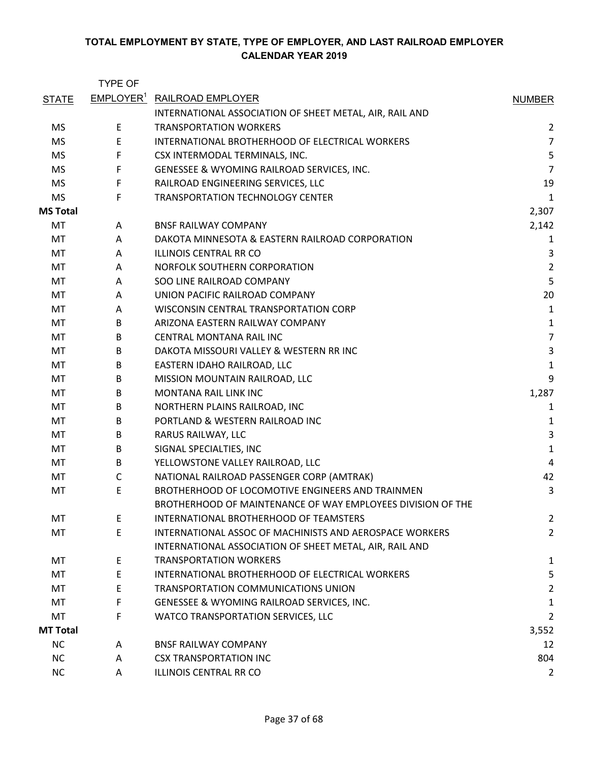|                 | <b>TYPE OF</b>               |                                                             |                |
|-----------------|------------------------------|-------------------------------------------------------------|----------------|
| <b>STATE</b>    | <b>EMPLOYER</b> <sup>1</sup> | RAILROAD EMPLOYER                                           | <b>NUMBER</b>  |
|                 |                              | INTERNATIONAL ASSOCIATION OF SHEET METAL, AIR, RAIL AND     |                |
| <b>MS</b>       | E                            | <b>TRANSPORTATION WORKERS</b>                               | $\overline{2}$ |
| <b>MS</b>       | E                            | INTERNATIONAL BROTHERHOOD OF ELECTRICAL WORKERS             | $\overline{7}$ |
| <b>MS</b>       | F                            | CSX INTERMODAL TERMINALS, INC.                              | 5              |
| <b>MS</b>       | $\mathsf F$                  | GENESSEE & WYOMING RAILROAD SERVICES, INC.                  | $\overline{7}$ |
| <b>MS</b>       | $\mathsf F$                  | RAILROAD ENGINEERING SERVICES, LLC                          | 19             |
| <b>MS</b>       | F                            | TRANSPORTATION TECHNOLOGY CENTER                            | 1              |
| <b>MS Total</b> |                              |                                                             | 2,307          |
| MT              | A                            | <b>BNSF RAILWAY COMPANY</b>                                 | 2,142          |
| МT              | A                            | DAKOTA MINNESOTA & EASTERN RAILROAD CORPORATION             | 1              |
| MT              | A                            | ILLINOIS CENTRAL RR CO                                      | 3              |
| MT              | A                            | NORFOLK SOUTHERN CORPORATION                                | $\overline{2}$ |
| MT              | A                            | SOO LINE RAILROAD COMPANY                                   | 5              |
| MT              | A                            | UNION PACIFIC RAILROAD COMPANY                              | 20             |
| МT              | Α                            | WISCONSIN CENTRAL TRANSPORTATION CORP                       | $\mathbf{1}$   |
| MT              | B                            | ARIZONA EASTERN RAILWAY COMPANY                             | $\mathbf{1}$   |
| MT              | B                            | <b>CENTRAL MONTANA RAIL INC</b>                             | $\overline{7}$ |
| МT              | B                            | DAKOTA MISSOURI VALLEY & WESTERN RR INC                     | $\mathsf 3$    |
| MT              | B                            | EASTERN IDAHO RAILROAD, LLC                                 | $\mathbf{1}$   |
| MT              | B                            | MISSION MOUNTAIN RAILROAD, LLC                              | 9              |
| MT              | B                            | MONTANA RAIL LINK INC                                       | 1,287          |
| МT              | B                            | NORTHERN PLAINS RAILROAD, INC                               | 1              |
| MT              | B                            | PORTLAND & WESTERN RAILROAD INC                             | 1              |
| МT              | B                            | RARUS RAILWAY, LLC                                          | $\mathsf 3$    |
| MT              | B                            | SIGNAL SPECIALTIES, INC                                     | $\mathbf{1}$   |
| MT              | B                            | YELLOWSTONE VALLEY RAILROAD, LLC                            | $\overline{4}$ |
| MT              | $\mathsf C$                  | NATIONAL RAILROAD PASSENGER CORP (AMTRAK)                   | 42             |
| MT              | E                            | BROTHERHOOD OF LOCOMOTIVE ENGINEERS AND TRAINMEN            | 3              |
|                 |                              | BROTHERHOOD OF MAINTENANCE OF WAY EMPLOYEES DIVISION OF THE |                |
| MT              | E                            | INTERNATIONAL BROTHERHOOD OF TEAMSTERS                      | $\overline{2}$ |
| MT              | E                            | INTERNATIONAL ASSOC OF MACHINISTS AND AEROSPACE WORKERS     | $\overline{2}$ |
|                 |                              | INTERNATIONAL ASSOCIATION OF SHEET METAL, AIR, RAIL AND     |                |
| MT              | E                            | <b>TRANSPORTATION WORKERS</b>                               | 1              |
| MT              | E                            | INTERNATIONAL BROTHERHOOD OF ELECTRICAL WORKERS             | 5              |
| MT              | E                            | TRANSPORTATION COMMUNICATIONS UNION                         | $\overline{2}$ |
| MT              | F                            | GENESSEE & WYOMING RAILROAD SERVICES, INC.                  | $\mathbf{1}$   |
| MT              | F                            | WATCO TRANSPORTATION SERVICES, LLC                          | $\overline{2}$ |
| <b>MT Total</b> |                              |                                                             | 3,552          |
| <b>NC</b>       | A                            | <b>BNSF RAILWAY COMPANY</b>                                 | 12             |
| <b>NC</b>       | A                            | <b>CSX TRANSPORTATION INC</b>                               | 804            |
| <b>NC</b>       | A                            | ILLINOIS CENTRAL RR CO                                      | $\overline{2}$ |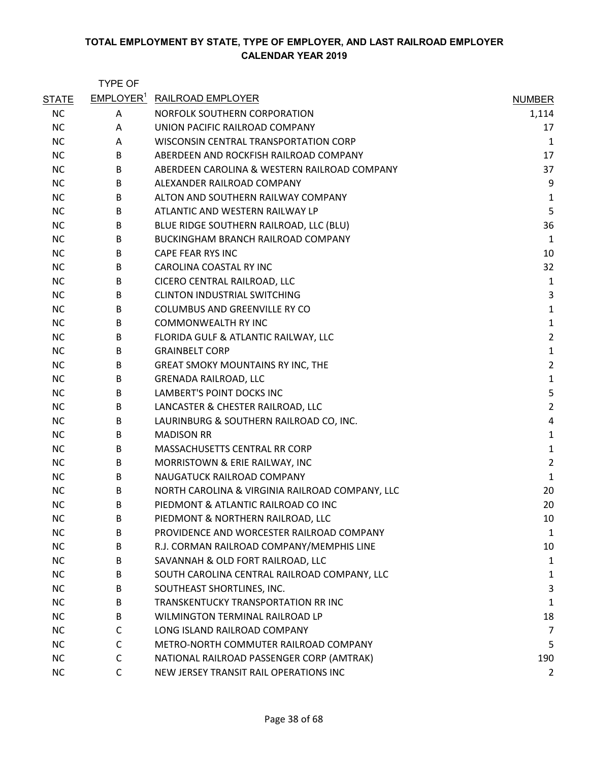|              | <b>TYPE OF</b> |                                                 |                |
|--------------|----------------|-------------------------------------------------|----------------|
| <b>STATE</b> |                | <b>EMPLOYER<sup>1</sup> RAILROAD EMPLOYER</b>   | <b>NUMBER</b>  |
| <b>NC</b>    | Α              | NORFOLK SOUTHERN CORPORATION                    | 1,114          |
| <b>NC</b>    | A              | UNION PACIFIC RAILROAD COMPANY                  | 17             |
| <b>NC</b>    | A              | WISCONSIN CENTRAL TRANSPORTATION CORP           | 1              |
| <b>NC</b>    | B              | ABERDEEN AND ROCKFISH RAILROAD COMPANY          | 17             |
| <b>NC</b>    | B              | ABERDEEN CAROLINA & WESTERN RAILROAD COMPANY    | 37             |
| <b>NC</b>    | B              | ALEXANDER RAILROAD COMPANY                      | 9              |
| <b>NC</b>    | B              | ALTON AND SOUTHERN RAILWAY COMPANY              | $\mathbf{1}$   |
| NC.          | B              | ATLANTIC AND WESTERN RAILWAY LP                 | 5              |
| <b>NC</b>    | B              | BLUE RIDGE SOUTHERN RAILROAD, LLC (BLU)         | 36             |
| <b>NC</b>    | B              | BUCKINGHAM BRANCH RAILROAD COMPANY              | $\mathbf{1}$   |
| <b>NC</b>    | B              | CAPE FEAR RYS INC                               | 10             |
| <b>NC</b>    | B              | CAROLINA COASTAL RY INC                         | 32             |
| NC.          | B              | CICERO CENTRAL RAILROAD, LLC                    | $\mathbf{1}$   |
| <b>NC</b>    | B              | <b>CLINTON INDUSTRIAL SWITCHING</b>             | 3              |
| <b>NC</b>    | B              | <b>COLUMBUS AND GREENVILLE RY CO</b>            | $\mathbf 1$    |
| <b>NC</b>    | B              | <b>COMMONWEALTH RY INC</b>                      | $\mathbf 1$    |
| <b>NC</b>    | B              | FLORIDA GULF & ATLANTIC RAILWAY, LLC            | $\overline{2}$ |
| <b>NC</b>    | B              | <b>GRAINBELT CORP</b>                           | $\mathbf 1$    |
| <b>NC</b>    | B              | <b>GREAT SMOKY MOUNTAINS RY INC, THE</b>        | $\overline{2}$ |
| NC.          | B              | <b>GRENADA RAILROAD, LLC</b>                    | $\mathbf 1$    |
| <b>NC</b>    | B              | LAMBERT'S POINT DOCKS INC                       | 5              |
| <b>NC</b>    | B              | LANCASTER & CHESTER RAILROAD, LLC               | $\overline{2}$ |
| <b>NC</b>    | B              | LAURINBURG & SOUTHERN RAILROAD CO, INC.         | 4              |
| <b>NC</b>    | B              | <b>MADISON RR</b>                               | $\mathbf 1$    |
| <b>NC</b>    | B              | MASSACHUSETTS CENTRAL RR CORP                   | $\mathbf 1$    |
| <b>NC</b>    | B              | MORRISTOWN & ERIE RAILWAY, INC                  | $\overline{2}$ |
| NC.          | B              | NAUGATUCK RAILROAD COMPANY                      | $\mathbf 1$    |
| <b>NC</b>    | B              | NORTH CAROLINA & VIRGINIA RAILROAD COMPANY, LLC | 20             |
| <b>NC</b>    | B              | PIEDMONT & ATLANTIC RAILROAD CO INC             | 20             |
| <b>NC</b>    | B              | PIEDMONT & NORTHERN RAILROAD, LLC               | 10             |
| <b>NC</b>    | B              | PROVIDENCE AND WORCESTER RAILROAD COMPANY       | $\mathbf{1}$   |
| <b>NC</b>    | B              | R.J. CORMAN RAILROAD COMPANY/MEMPHIS LINE       | 10             |
| <b>NC</b>    | B              | SAVANNAH & OLD FORT RAILROAD, LLC               | 1              |
| <b>NC</b>    | B              | SOUTH CAROLINA CENTRAL RAILROAD COMPANY, LLC    | 1              |
| <b>NC</b>    | B              | SOUTHEAST SHORTLINES, INC.                      | 3              |
| <b>NC</b>    | B              | TRANSKENTUCKY TRANSPORTATION RR INC             | $\mathbf{1}$   |
| <b>NC</b>    | B              | WILMINGTON TERMINAL RAILROAD LP                 | 18             |
| <b>NC</b>    | C              | LONG ISLAND RAILROAD COMPANY                    | $\overline{7}$ |
| <b>NC</b>    | C              | METRO-NORTH COMMUTER RAILROAD COMPANY           | 5              |
| <b>NC</b>    | C              | NATIONAL RAILROAD PASSENGER CORP (AMTRAK)       | 190            |
| <b>NC</b>    | $\mathsf{C}$   | NEW JERSEY TRANSIT RAIL OPERATIONS INC          | $\overline{2}$ |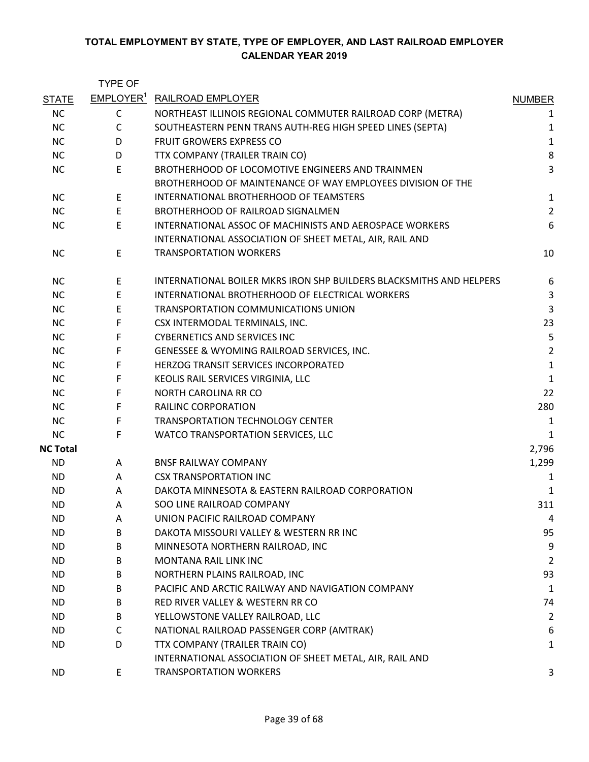|                 | <b>TYPE OF</b> |                                                                     |                |
|-----------------|----------------|---------------------------------------------------------------------|----------------|
| <b>STATE</b>    |                | EMPLOYER <sup>1</sup> RAILROAD EMPLOYER                             | <b>NUMBER</b>  |
| <b>NC</b>       | C              | NORTHEAST ILLINOIS REGIONAL COMMUTER RAILROAD CORP (METRA)          | 1              |
| <b>NC</b>       | $\mathsf{C}$   | SOUTHEASTERN PENN TRANS AUTH-REG HIGH SPEED LINES (SEPTA)           | 1              |
| <b>NC</b>       | D              | <b>FRUIT GROWERS EXPRESS CO</b>                                     | $\mathbf{1}$   |
| <b>NC</b>       | D              | TTX COMPANY (TRAILER TRAIN CO)                                      | 8              |
| <b>NC</b>       | E              | BROTHERHOOD OF LOCOMOTIVE ENGINEERS AND TRAINMEN                    | 3              |
|                 |                | BROTHERHOOD OF MAINTENANCE OF WAY EMPLOYEES DIVISION OF THE         |                |
| <b>NC</b>       | E              | INTERNATIONAL BROTHERHOOD OF TEAMSTERS                              | $\mathbf{1}$   |
| <b>NC</b>       | E              | <b>BROTHERHOOD OF RAILROAD SIGNALMEN</b>                            | $\overline{2}$ |
| <b>NC</b>       | E              | INTERNATIONAL ASSOC OF MACHINISTS AND AEROSPACE WORKERS             | 6              |
|                 |                | INTERNATIONAL ASSOCIATION OF SHEET METAL, AIR, RAIL AND             |                |
| <b>NC</b>       | E              | <b>TRANSPORTATION WORKERS</b>                                       | 10             |
| <b>NC</b>       | E              | INTERNATIONAL BOILER MKRS IRON SHP BUILDERS BLACKSMITHS AND HELPERS | 6              |
| <b>NC</b>       | E              | INTERNATIONAL BROTHERHOOD OF ELECTRICAL WORKERS                     | 3              |
| <b>NC</b>       | E              | TRANSPORTATION COMMUNICATIONS UNION                                 | 3              |
| <b>NC</b>       | F              | CSX INTERMODAL TERMINALS, INC.                                      | 23             |
| <b>NC</b>       | F              | <b>CYBERNETICS AND SERVICES INC</b>                                 | 5              |
| <b>NC</b>       | F              | GENESSEE & WYOMING RAILROAD SERVICES, INC.                          | $\overline{2}$ |
| <b>NC</b>       | F              | HERZOG TRANSIT SERVICES INCORPORATED                                | $\mathbf{1}$   |
| <b>NC</b>       | F              | KEOLIS RAIL SERVICES VIRGINIA, LLC                                  | 1              |
| <b>NC</b>       | F              | <b>NORTH CAROLINA RR CO</b>                                         | 22             |
| <b>NC</b>       | F              | RAILINC CORPORATION                                                 | 280            |
| <b>NC</b>       | F              | <b>TRANSPORTATION TECHNOLOGY CENTER</b>                             | 1              |
| <b>NC</b>       | F              | WATCO TRANSPORTATION SERVICES, LLC                                  | 1              |
| <b>NC Total</b> |                |                                                                     | 2,796          |
| <b>ND</b>       | A              | <b>BNSF RAILWAY COMPANY</b>                                         | 1,299          |
| ND.             | A              | <b>CSX TRANSPORTATION INC</b>                                       | 1              |
| <b>ND</b>       | A              | DAKOTA MINNESOTA & EASTERN RAILROAD CORPORATION                     | 1              |
| <b>ND</b>       | A              | <b>SOO LINE RAILROAD COMPANY</b>                                    | 311            |
| ND.             | Α              | UNION PACIFIC RAILROAD COMPANY                                      | 4              |
| <b>ND</b>       | B              | DAKOTA MISSOURI VALLEY & WESTERN RR INC                             | 95             |
| ND.             | B              | MINNESOTA NORTHERN RAILROAD, INC                                    | 9              |
| ND.             | B              | MONTANA RAIL LINK INC                                               | $\overline{2}$ |
| ND.             | B              | NORTHERN PLAINS RAILROAD, INC                                       | 93             |
| ND.             | B              | PACIFIC AND ARCTIC RAILWAY AND NAVIGATION COMPANY                   | $\mathbf{1}$   |
| ND.             | B              | RED RIVER VALLEY & WESTERN RR CO                                    | 74             |
| ND.             | B              | YELLOWSTONE VALLEY RAILROAD, LLC                                    | $\overline{2}$ |
| ND.             | C              | NATIONAL RAILROAD PASSENGER CORP (AMTRAK)                           | 6              |
| ND.             | D              | TTX COMPANY (TRAILER TRAIN CO)                                      | 1              |
|                 |                | INTERNATIONAL ASSOCIATION OF SHEET METAL, AIR, RAIL AND             |                |
| <b>ND</b>       | E              | <b>TRANSPORTATION WORKERS</b>                                       | 3              |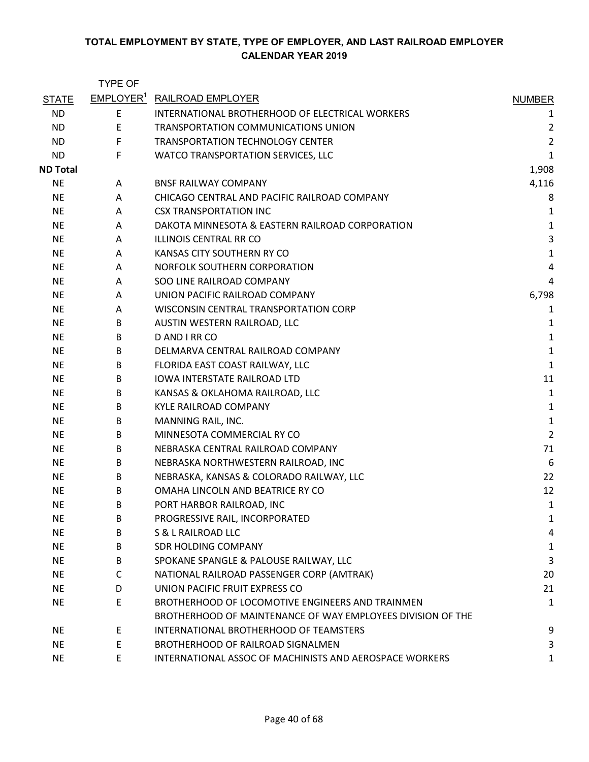|                 | <b>TYPE OF</b> |                                                             |                |
|-----------------|----------------|-------------------------------------------------------------|----------------|
| <b>STATE</b>    |                | <b>EMPLOYER<sup>1</sup> RAILROAD EMPLOYER</b>               | <b>NUMBER</b>  |
| <b>ND</b>       | E              | INTERNATIONAL BROTHERHOOD OF ELECTRICAL WORKERS             | 1              |
| <b>ND</b>       | Ε              | TRANSPORTATION COMMUNICATIONS UNION                         | $\overline{2}$ |
| <b>ND</b>       | F              | <b>TRANSPORTATION TECHNOLOGY CENTER</b>                     | $\overline{2}$ |
| <b>ND</b>       | F              | WATCO TRANSPORTATION SERVICES, LLC                          | 1              |
| <b>ND Total</b> |                |                                                             | 1,908          |
| NE.             | A              | <b>BNSF RAILWAY COMPANY</b>                                 | 4,116          |
| <b>NE</b>       | A              | CHICAGO CENTRAL AND PACIFIC RAILROAD COMPANY                | 8              |
| <b>NE</b>       | A              | <b>CSX TRANSPORTATION INC</b>                               | 1              |
| NE.             | A              | DAKOTA MINNESOTA & EASTERN RAILROAD CORPORATION             | $\mathbf 1$    |
| <b>NE</b>       | A              | ILLINOIS CENTRAL RR CO                                      | 3              |
| NE.             | A              | KANSAS CITY SOUTHERN RY CO                                  | $\mathbf{1}$   |
| NE.             | A              | NORFOLK SOUTHERN CORPORATION                                | 4              |
| NE.             | A              | SOO LINE RAILROAD COMPANY                                   | 4              |
| <b>NE</b>       | A              | UNION PACIFIC RAILROAD COMPANY                              | 6,798          |
| <b>NE</b>       | A              | WISCONSIN CENTRAL TRANSPORTATION CORP                       | 1              |
| <b>NE</b>       | B              | AUSTIN WESTERN RAILROAD, LLC                                | 1              |
| <b>NE</b>       | B              | D AND I RR CO                                               | $\mathbf 1$    |
| NE.             | B              | DELMARVA CENTRAL RAILROAD COMPANY                           | $\mathbf 1$    |
| <b>NE</b>       | B              | FLORIDA EAST COAST RAILWAY, LLC                             | $\mathbf 1$    |
| <b>NE</b>       | B              | <b>IOWA INTERSTATE RAILROAD LTD</b>                         | 11             |
| <b>NE</b>       | B              | KANSAS & OKLAHOMA RAILROAD, LLC                             | $\mathbf{1}$   |
| <b>NE</b>       | B              | <b>KYLE RAILROAD COMPANY</b>                                | $\mathbf 1$    |
| <b>NE</b>       | B              | MANNING RAIL, INC.                                          | $\mathbf 1$    |
| <b>NE</b>       | B              | MINNESOTA COMMERCIAL RY CO                                  | $\overline{2}$ |
| <b>NE</b>       | B              | NEBRASKA CENTRAL RAILROAD COMPANY                           | 71             |
| <b>NE</b>       | B              | NEBRASKA NORTHWESTERN RAILROAD, INC                         | 6              |
| NE.             | B              | NEBRASKA, KANSAS & COLORADO RAILWAY, LLC                    | 22             |
| <b>NE</b>       | B              | OMAHA LINCOLN AND BEATRICE RY CO                            | 12             |
| <b>NE</b>       | B              | PORT HARBOR RAILROAD, INC                                   | 1              |
| NE.             | B              | PROGRESSIVE RAIL, INCORPORATED                              | 1              |
| <b>NE</b>       | B              | <b>S &amp; L RAILROAD LLC</b>                               | 4              |
| <b>NE</b>       | B              | <b>SDR HOLDING COMPANY</b>                                  | 1              |
| <b>NE</b>       | B              | SPOKANE SPANGLE & PALOUSE RAILWAY, LLC                      | 3              |
| NE.             | C              | NATIONAL RAILROAD PASSENGER CORP (AMTRAK)                   | 20             |
| <b>NE</b>       | D              | UNION PACIFIC FRUIT EXPRESS CO                              | 21             |
| <b>NE</b>       | E.             | BROTHERHOOD OF LOCOMOTIVE ENGINEERS AND TRAINMEN            | $\mathbf 1$    |
|                 |                | BROTHERHOOD OF MAINTENANCE OF WAY EMPLOYEES DIVISION OF THE |                |
| <b>NE</b>       | E              | INTERNATIONAL BROTHERHOOD OF TEAMSTERS                      | 9              |
| <b>NE</b>       | E              | BROTHERHOOD OF RAILROAD SIGNALMEN                           | 3              |
| <b>NE</b>       | E.             | INTERNATIONAL ASSOC OF MACHINISTS AND AEROSPACE WORKERS     | 1              |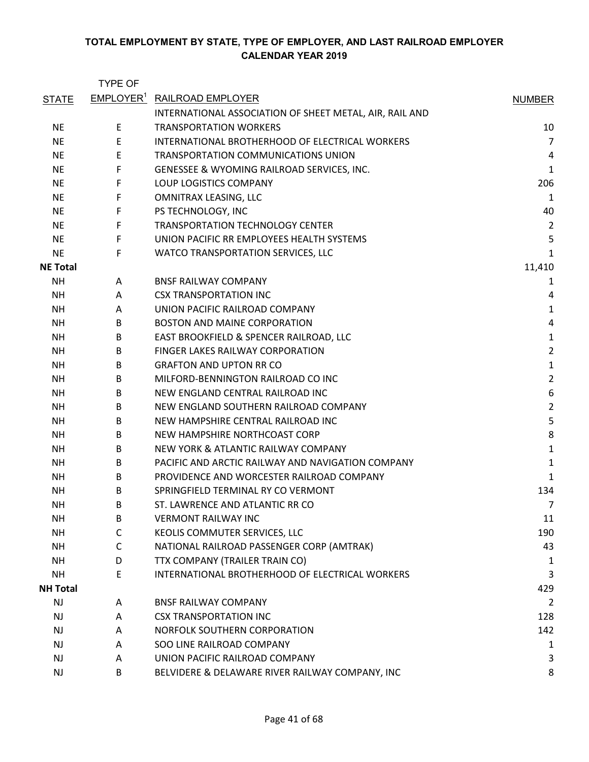|                 | <b>TYPE OF</b>        |                                                         |                |
|-----------------|-----------------------|---------------------------------------------------------|----------------|
| <b>STATE</b>    | EMPLOYER <sup>1</sup> | <b>RAILROAD EMPLOYER</b>                                | <b>NUMBER</b>  |
|                 |                       | INTERNATIONAL ASSOCIATION OF SHEET METAL, AIR, RAIL AND |                |
| <b>NE</b>       | E                     | <b>TRANSPORTATION WORKERS</b>                           | 10             |
| <b>NE</b>       | E                     | INTERNATIONAL BROTHERHOOD OF ELECTRICAL WORKERS         | $\overline{7}$ |
| <b>NE</b>       | E                     | TRANSPORTATION COMMUNICATIONS UNION                     | 4              |
| <b>NE</b>       | F                     | GENESSEE & WYOMING RAILROAD SERVICES, INC.              | $\mathbf{1}$   |
| <b>NE</b>       | F                     | <b>LOUP LOGISTICS COMPANY</b>                           | 206            |
| NE.             | F                     | OMNITRAX LEASING, LLC                                   | 1              |
| NE.             | F                     | PS TECHNOLOGY, INC                                      | 40             |
| <b>NE</b>       | F                     | <b>TRANSPORTATION TECHNOLOGY CENTER</b>                 | $\overline{2}$ |
| <b>NE</b>       | F                     | UNION PACIFIC RR EMPLOYEES HEALTH SYSTEMS               | 5              |
| <b>NE</b>       | F                     | WATCO TRANSPORTATION SERVICES, LLC                      | 1              |
| <b>NE Total</b> |                       |                                                         | 11,410         |
| NH              | A                     | <b>BNSF RAILWAY COMPANY</b>                             | 1              |
| <b>NH</b>       | A                     | <b>CSX TRANSPORTATION INC</b>                           | 4              |
| <b>NH</b>       | A                     | UNION PACIFIC RAILROAD COMPANY                          | $\mathbf{1}$   |
| <b>NH</b>       | B                     | <b>BOSTON AND MAINE CORPORATION</b>                     | 4              |
| <b>NH</b>       | B                     | EAST BROOKFIELD & SPENCER RAILROAD, LLC                 | $\mathbf 1$    |
| NH              | B                     | FINGER LAKES RAILWAY CORPORATION                        | $\overline{2}$ |
| <b>NH</b>       | B                     | <b>GRAFTON AND UPTON RR CO</b>                          | $\mathbf 1$    |
| <b>NH</b>       | B                     | MILFORD-BENNINGTON RAILROAD CO INC                      | $\overline{2}$ |
| <b>NH</b>       | B                     | NEW ENGLAND CENTRAL RAILROAD INC                        | 6              |
| ΝH              | B                     | NEW ENGLAND SOUTHERN RAILROAD COMPANY                   | $\overline{2}$ |
| <b>NH</b>       | B                     | NEW HAMPSHIRE CENTRAL RAILROAD INC                      | 5              |
| <b>NH</b>       | B                     | NEW HAMPSHIRE NORTHCOAST CORP                           | 8              |
| ΝH              | B                     | NEW YORK & ATLANTIC RAILWAY COMPANY                     | $\mathbf{1}$   |
| ΝH              | B                     | PACIFIC AND ARCTIC RAILWAY AND NAVIGATION COMPANY       | $\mathbf{1}$   |
| NH              | B                     | PROVIDENCE AND WORCESTER RAILROAD COMPANY               | 1              |
| <b>NH</b>       | B                     | SPRINGFIELD TERMINAL RY CO VERMONT                      | 134            |
| NΗ              | B                     | ST. LAWRENCE AND ATLANTIC RR CO                         | $\overline{7}$ |
| <b>NH</b>       | B                     | <b>VERMONT RAILWAY INC</b>                              | 11             |
| <b>NH</b>       | $\mathsf{C}$          | KEOLIS COMMUTER SERVICES, LLC                           | 190            |
| <b>NH</b>       | C                     | NATIONAL RAILROAD PASSENGER CORP (AMTRAK)               | 43             |
| <b>NH</b>       | D                     | TTX COMPANY (TRAILER TRAIN CO)                          | 1              |
| <b>NH</b>       | E                     | INTERNATIONAL BROTHERHOOD OF ELECTRICAL WORKERS         | 3              |
| <b>NH Total</b> |                       |                                                         | 429            |
| NJ              | A                     | <b>BNSF RAILWAY COMPANY</b>                             | $\overline{2}$ |
| <b>NJ</b>       | A                     | <b>CSX TRANSPORTATION INC</b>                           | 128            |
| <b>NJ</b>       | A                     | NORFOLK SOUTHERN CORPORATION                            | 142            |
| NJ              | A                     | SOO LINE RAILROAD COMPANY                               | 1              |
| <b>NJ</b>       | A                     | UNION PACIFIC RAILROAD COMPANY                          | 3              |
| <b>NJ</b>       | B                     | BELVIDERE & DELAWARE RIVER RAILWAY COMPANY, INC         | 8              |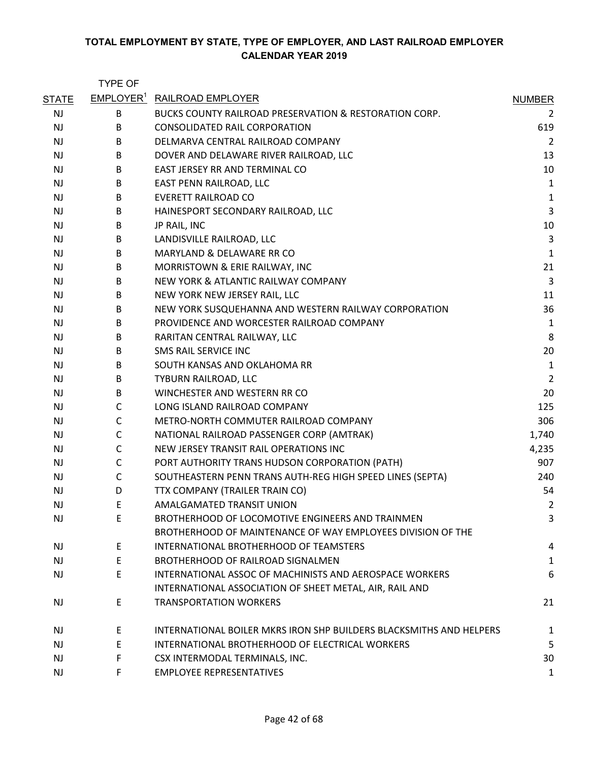|              | <b>TYPE OF</b> |                                                                     |                |
|--------------|----------------|---------------------------------------------------------------------|----------------|
| <b>STATE</b> |                | EMPLOYER <sup>1</sup> RAILROAD EMPLOYER                             | <b>NUMBER</b>  |
| <b>NJ</b>    | В              | <b>BUCKS COUNTY RAILROAD PRESERVATION &amp; RESTORATION CORP.</b>   | 2              |
| <b>NJ</b>    | B              | <b>CONSOLIDATED RAIL CORPORATION</b>                                | 619            |
| <b>NJ</b>    | B              | DELMARVA CENTRAL RAILROAD COMPANY                                   | $\overline{2}$ |
| NJ           | B              | DOVER AND DELAWARE RIVER RAILROAD, LLC                              | 13             |
| <b>NJ</b>    | B              | EAST JERSEY RR AND TERMINAL CO                                      | 10             |
| <b>NJ</b>    | B              | EAST PENN RAILROAD, LLC                                             | 1              |
| NJ           | B              | <b>EVERETT RAILROAD CO</b>                                          | 1              |
| <b>NJ</b>    | B              | HAINESPORT SECONDARY RAILROAD, LLC                                  | 3              |
| <b>NJ</b>    | B              | JP RAIL, INC                                                        | 10             |
| <b>NJ</b>    | B              | LANDISVILLE RAILROAD, LLC                                           | 3              |
| <b>NJ</b>    | B              | MARYLAND & DELAWARE RR CO                                           | $\mathbf{1}$   |
| <b>NJ</b>    | B              | MORRISTOWN & ERIE RAILWAY, INC                                      | 21             |
| NJ           | B              | NEW YORK & ATLANTIC RAILWAY COMPANY                                 | 3              |
| NJ           | B              | NEW YORK NEW JERSEY RAIL, LLC                                       | 11             |
| <b>NJ</b>    | B              | NEW YORK SUSQUEHANNA AND WESTERN RAILWAY CORPORATION                | 36             |
| NJ           | B              | PROVIDENCE AND WORCESTER RAILROAD COMPANY                           | 1              |
| NJ           | B              | RARITAN CENTRAL RAILWAY, LLC                                        | 8              |
| <b>NJ</b>    | B              | SMS RAIL SERVICE INC                                                | 20             |
| NJ           | B              | SOUTH KANSAS AND OKLAHOMA RR                                        | 1              |
| NJ           | B              | TYBURN RAILROAD, LLC                                                | $\overline{2}$ |
| <b>NJ</b>    | B              | WINCHESTER AND WESTERN RR CO                                        | 20             |
| NJ           | $\mathsf{C}$   | LONG ISLAND RAILROAD COMPANY                                        | 125            |
| NJ           | C              | METRO-NORTH COMMUTER RAILROAD COMPANY                               | 306            |
| <b>NJ</b>    | C              | NATIONAL RAILROAD PASSENGER CORP (AMTRAK)                           | 1,740          |
| NJ           | $\mathsf{C}$   | NEW JERSEY TRANSIT RAIL OPERATIONS INC                              | 4,235          |
| NJ           | C              | PORT AUTHORITY TRANS HUDSON CORPORATION (PATH)                      | 907            |
| <b>NJ</b>    | C              | SOUTHEASTERN PENN TRANS AUTH-REG HIGH SPEED LINES (SEPTA)           | 240            |
| NJ           | D              | TTX COMPANY (TRAILER TRAIN CO)                                      | 54             |
| NJ           | E              | AMALGAMATED TRANSIT UNION                                           | $\overline{2}$ |
| <b>NJ</b>    | E              | BROTHERHOOD OF LOCOMOTIVE ENGINEERS AND TRAINMEN                    | 3              |
|              |                | BROTHERHOOD OF MAINTENANCE OF WAY EMPLOYEES DIVISION OF THE         |                |
| <b>NJ</b>    | E              | INTERNATIONAL BROTHERHOOD OF TEAMSTERS                              | 4              |
| <b>NJ</b>    | E              | BROTHERHOOD OF RAILROAD SIGNALMEN                                   | 1              |
| NJ           | E              | INTERNATIONAL ASSOC OF MACHINISTS AND AEROSPACE WORKERS             | 6              |
|              |                | INTERNATIONAL ASSOCIATION OF SHEET METAL, AIR, RAIL AND             |                |
| <b>NJ</b>    | E              | <b>TRANSPORTATION WORKERS</b>                                       | 21             |
| NJ           | E              | INTERNATIONAL BOILER MKRS IRON SHP BUILDERS BLACKSMITHS AND HELPERS | 1              |
| <b>NJ</b>    | E              | INTERNATIONAL BROTHERHOOD OF ELECTRICAL WORKERS                     | 5              |
| <b>NJ</b>    | F              | CSX INTERMODAL TERMINALS, INC.                                      | 30             |
| NJ           | F              | <b>EMPLOYEE REPRESENTATIVES</b>                                     | 1              |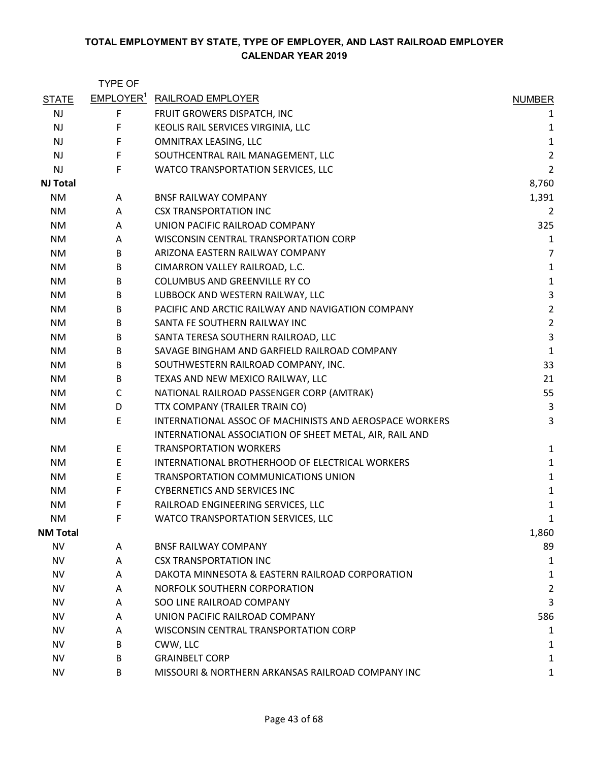|                 | <b>TYPE OF</b>        |                                                         |                |
|-----------------|-----------------------|---------------------------------------------------------|----------------|
| <b>STATE</b>    | EMPLOYER <sup>1</sup> | <b>RAILROAD EMPLOYER</b>                                | <b>NUMBER</b>  |
| <b>NJ</b>       | F                     | FRUIT GROWERS DISPATCH, INC                             | 1              |
| <b>NJ</b>       | F                     | KEOLIS RAIL SERVICES VIRGINIA, LLC                      | 1              |
| NJ              | F                     | <b>OMNITRAX LEASING, LLC</b>                            | $\mathbf{1}$   |
| <b>NJ</b>       | $\mathsf F$           | SOUTHCENTRAL RAIL MANAGEMENT, LLC                       | $\overline{2}$ |
| <b>NJ</b>       | F                     | WATCO TRANSPORTATION SERVICES, LLC                      | $\overline{2}$ |
| <b>NJ Total</b> |                       |                                                         | 8,760          |
| NM              | A                     | <b>BNSF RAILWAY COMPANY</b>                             | 1,391          |
| <b>NM</b>       | A                     | <b>CSX TRANSPORTATION INC</b>                           | $\overline{2}$ |
| <b>NM</b>       | Α                     | UNION PACIFIC RAILROAD COMPANY                          | 325            |
| NM.             | Α                     | WISCONSIN CENTRAL TRANSPORTATION CORP                   | $\mathbf 1$    |
| NM              | B                     | ARIZONA EASTERN RAILWAY COMPANY                         | $\overline{7}$ |
| <b>NM</b>       | B                     | CIMARRON VALLEY RAILROAD, L.C.                          | $\mathbf 1$    |
| NM              | B                     | COLUMBUS AND GREENVILLE RY CO                           | $\mathbf 1$    |
| NM              | B                     | LUBBOCK AND WESTERN RAILWAY, LLC                        | $\mathsf 3$    |
| NM              | B                     | PACIFIC AND ARCTIC RAILWAY AND NAVIGATION COMPANY       | $\overline{2}$ |
| <b>NM</b>       | B                     | SANTA FE SOUTHERN RAILWAY INC                           | $\overline{2}$ |
| <b>NM</b>       | B                     | SANTA TERESA SOUTHERN RAILROAD, LLC                     | $\mathsf 3$    |
| NM              | B                     | SAVAGE BINGHAM AND GARFIELD RAILROAD COMPANY            | $\mathbf{1}$   |
| <b>NM</b>       | B                     | SOUTHWESTERN RAILROAD COMPANY, INC.                     | 33             |
| NM              | B                     | TEXAS AND NEW MEXICO RAILWAY, LLC                       | 21             |
| NM              | $\mathsf{C}$          | NATIONAL RAILROAD PASSENGER CORP (AMTRAK)               | 55             |
| <b>NM</b>       | D                     | TTX COMPANY (TRAILER TRAIN CO)                          | 3              |
| NM              | E                     | INTERNATIONAL ASSOC OF MACHINISTS AND AEROSPACE WORKERS | 3              |
|                 |                       | INTERNATIONAL ASSOCIATION OF SHEET METAL, AIR, RAIL AND |                |
| <b>NM</b>       | E                     | <b>TRANSPORTATION WORKERS</b>                           | $\mathbf{1}$   |
| NM              | E                     | INTERNATIONAL BROTHERHOOD OF ELECTRICAL WORKERS         | $\mathbf{1}$   |
| NM              | E                     | TRANSPORTATION COMMUNICATIONS UNION                     | $\mathbf 1$    |
| NM              | F                     | <b>CYBERNETICS AND SERVICES INC</b>                     | $\mathbf{1}$   |
| NM              | F                     | RAILROAD ENGINEERING SERVICES, LLC                      | 1              |
| <b>NM</b>       | F                     | WATCO TRANSPORTATION SERVICES, LLC                      | 1              |
| <b>NM Total</b> |                       |                                                         | 1,860          |
| <b>NV</b>       | A                     | <b>BNSF RAILWAY COMPANY</b>                             | 89             |
| <b>NV</b>       | A                     | <b>CSX TRANSPORTATION INC</b>                           | 1              |
| <b>NV</b>       | A                     | DAKOTA MINNESOTA & EASTERN RAILROAD CORPORATION         | 1              |
| <b>NV</b>       | A                     | NORFOLK SOUTHERN CORPORATION                            | $\overline{2}$ |
| NV              | A                     | SOO LINE RAILROAD COMPANY                               | 3              |
| NV              | A                     | UNION PACIFIC RAILROAD COMPANY                          | 586            |
| NV              | A                     | WISCONSIN CENTRAL TRANSPORTATION CORP                   | 1              |
| NV              | B                     | CWW, LLC                                                | 1              |
| <b>NV</b>       | B                     | <b>GRAINBELT CORP</b>                                   | 1              |
| <b>NV</b>       | B                     | MISSOURI & NORTHERN ARKANSAS RAILROAD COMPANY INC       | 1              |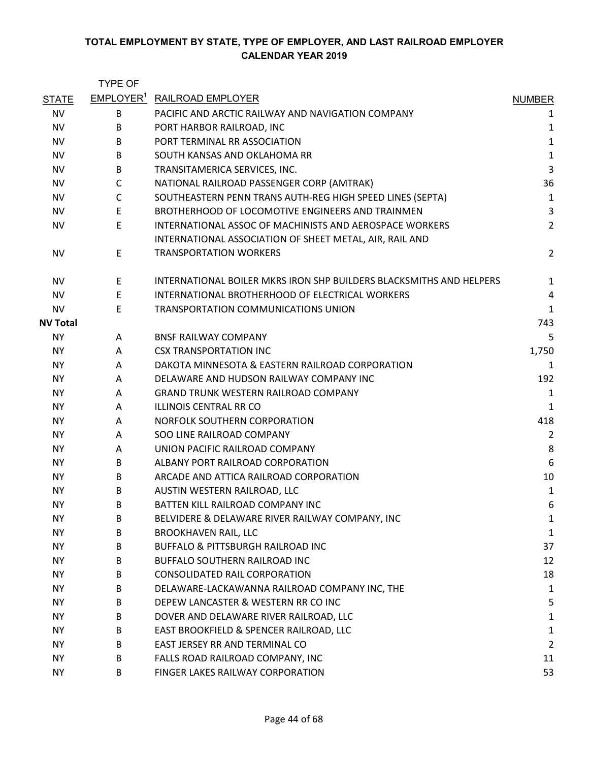|                 | <b>TYPE OF</b> |                                                                     |                         |
|-----------------|----------------|---------------------------------------------------------------------|-------------------------|
| <b>STATE</b>    |                | EMPLOYER <sup>1</sup> RAILROAD EMPLOYER                             | <b>NUMBER</b>           |
| <b>NV</b>       | B              | PACIFIC AND ARCTIC RAILWAY AND NAVIGATION COMPANY                   | 1                       |
| <b>NV</b>       | B              | PORT HARBOR RAILROAD, INC                                           | 1                       |
| <b>NV</b>       | B              | PORT TERMINAL RR ASSOCIATION                                        | $\mathbf 1$             |
| NV              | B              | SOUTH KANSAS AND OKLAHOMA RR                                        | $\mathbf 1$             |
| <b>NV</b>       | B              | TRANSITAMERICA SERVICES, INC.                                       | $\overline{\mathbf{3}}$ |
| NV              | $\mathsf{C}$   | NATIONAL RAILROAD PASSENGER CORP (AMTRAK)                           | 36                      |
| <b>NV</b>       | $\mathsf{C}$   | SOUTHEASTERN PENN TRANS AUTH-REG HIGH SPEED LINES (SEPTA)           | $\mathbf{1}$            |
| NV              | E              | BROTHERHOOD OF LOCOMOTIVE ENGINEERS AND TRAINMEN                    | 3                       |
| <b>NV</b>       | E              | INTERNATIONAL ASSOC OF MACHINISTS AND AEROSPACE WORKERS             | $\overline{2}$          |
|                 |                | INTERNATIONAL ASSOCIATION OF SHEET METAL, AIR, RAIL AND             |                         |
| <b>NV</b>       | E              | <b>TRANSPORTATION WORKERS</b>                                       | $\overline{2}$          |
| <b>NV</b>       | E.             | INTERNATIONAL BOILER MKRS IRON SHP BUILDERS BLACKSMITHS AND HELPERS | 1                       |
| <b>NV</b>       | E              | INTERNATIONAL BROTHERHOOD OF ELECTRICAL WORKERS                     | 4                       |
| <b>NV</b>       | E              | <b>TRANSPORTATION COMMUNICATIONS UNION</b>                          | $\mathbf{1}$            |
| <b>NV Total</b> |                |                                                                     | 743                     |
| <b>NY</b>       | A              | <b>BNSF RAILWAY COMPANY</b>                                         | 5                       |
| <b>NY</b>       | A              | <b>CSX TRANSPORTATION INC</b>                                       | 1,750                   |
| <b>NY</b>       | A              | DAKOTA MINNESOTA & EASTERN RAILROAD CORPORATION                     | 1                       |
| ΝY              | A              | DELAWARE AND HUDSON RAILWAY COMPANY INC                             | 192                     |
| <b>NY</b>       | A              | <b>GRAND TRUNK WESTERN RAILROAD COMPANY</b>                         | $\mathbf{1}$            |
| <b>NY</b>       | A              | <b>ILLINOIS CENTRAL RR CO</b>                                       | $\mathbf{1}$            |
| ΝY              | A              | NORFOLK SOUTHERN CORPORATION                                        | 418                     |
| <b>NY</b>       | A              | SOO LINE RAILROAD COMPANY                                           | $\overline{2}$          |
| ΝY              | A              | UNION PACIFIC RAILROAD COMPANY                                      | 8                       |
| <b>NY</b>       | B              | ALBANY PORT RAILROAD CORPORATION                                    | 6                       |
| <b>NY</b>       | B              | ARCADE AND ATTICA RAILROAD CORPORATION                              | 10                      |
| <b>NY</b>       | B              | AUSTIN WESTERN RAILROAD, LLC                                        | $\mathbf{1}$            |
| <b>NY</b>       | B              | BATTEN KILL RAILROAD COMPANY INC                                    | 6                       |
| <b>NY</b>       | B              | BELVIDERE & DELAWARE RIVER RAILWAY COMPANY, INC                     | 1                       |
| <b>NY</b>       | B              | <b>BROOKHAVEN RAIL, LLC</b>                                         | 1                       |
| ΝY              | B              | BUFFALO & PITTSBURGH RAILROAD INC                                   | 37                      |
| <b>NY</b>       | B              | BUFFALO SOUTHERN RAILROAD INC                                       | 12                      |
| <b>NY</b>       | B              | <b>CONSOLIDATED RAIL CORPORATION</b>                                | 18                      |
| <b>NY</b>       | B              | DELAWARE-LACKAWANNA RAILROAD COMPANY INC, THE                       | 1                       |
| <b>NY</b>       | B              | DEPEW LANCASTER & WESTERN RR CO INC                                 | 5                       |
| NY.             | B              | DOVER AND DELAWARE RIVER RAILROAD, LLC                              | 1                       |
| <b>NY</b>       | B              | EAST BROOKFIELD & SPENCER RAILROAD, LLC                             | 1                       |
| ΝY              | B              | EAST JERSEY RR AND TERMINAL CO                                      | $\overline{2}$          |
| <b>NY</b>       | B              | FALLS ROAD RAILROAD COMPANY, INC                                    | 11                      |
| <b>NY</b>       | B              | FINGER LAKES RAILWAY CORPORATION                                    | 53                      |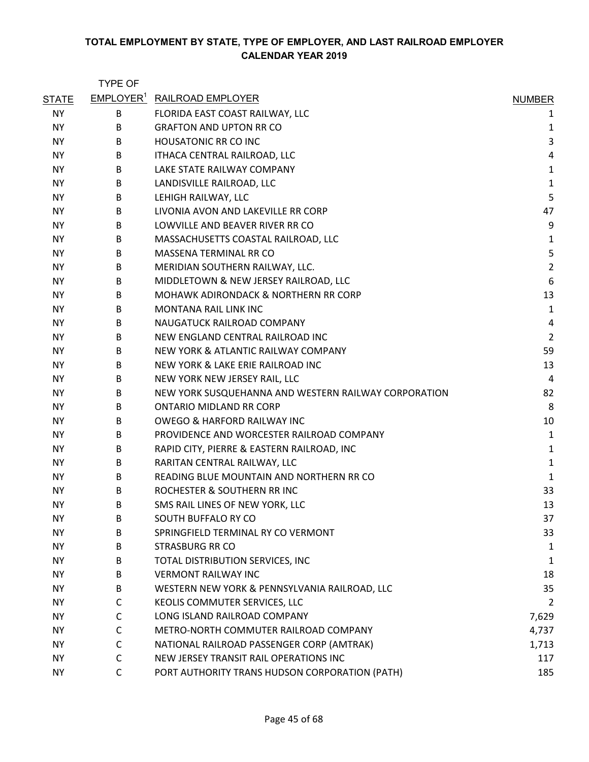|              | <b>TYPE OF</b> |                                                      |                |
|--------------|----------------|------------------------------------------------------|----------------|
| <b>STATE</b> |                | EMPLOYER <sup>1</sup> RAILROAD EMPLOYER              | <b>NUMBER</b>  |
| <b>NY</b>    | В              | FLORIDA EAST COAST RAILWAY, LLC                      | 1              |
| <b>NY</b>    | B              | <b>GRAFTON AND UPTON RR CO</b>                       | 1              |
| <b>NY</b>    | B              | <b>HOUSATONIC RR CO INC</b>                          | 3              |
| <b>NY</b>    | B              | ITHACA CENTRAL RAILROAD, LLC                         | 4              |
| ΝY           | B              | LAKE STATE RAILWAY COMPANY                           | $\mathbf{1}$   |
| <b>NY</b>    | В              | LANDISVILLE RAILROAD, LLC                            | $\mathbf{1}$   |
| <b>NY</b>    | B              | LEHIGH RAILWAY, LLC                                  | 5              |
| ΝY           | B              | LIVONIA AVON AND LAKEVILLE RR CORP                   | 47             |
| NY.          | B              | LOWVILLE AND BEAVER RIVER RR CO                      | 9              |
| <b>NY</b>    | B              | MASSACHUSETTS COASTAL RAILROAD, LLC                  | $\mathbf{1}$   |
| <b>NY</b>    | B              | MASSENA TERMINAL RR CO                               | 5              |
| <b>NY</b>    | B              | MERIDIAN SOUTHERN RAILWAY, LLC.                      | $\overline{2}$ |
| <b>NY</b>    | B              | MIDDLETOWN & NEW JERSEY RAILROAD, LLC                | 6              |
| ΝY           | B              | MOHAWK ADIRONDACK & NORTHERN RR CORP                 | 13             |
| ΝY           | B              | <b>MONTANA RAIL LINK INC</b>                         | $\mathbf{1}$   |
| <b>NY</b>    | B              | NAUGATUCK RAILROAD COMPANY                           | $\overline{a}$ |
| <b>NY</b>    | B              | NEW ENGLAND CENTRAL RAILROAD INC                     | $\overline{2}$ |
| <b>NY</b>    | B              | NEW YORK & ATLANTIC RAILWAY COMPANY                  | 59             |
| <b>NY</b>    | B              | NEW YORK & LAKE ERIE RAILROAD INC                    | 13             |
| ΝY           | B              | NEW YORK NEW JERSEY RAIL, LLC                        | 4              |
| <b>NY</b>    | B              | NEW YORK SUSQUEHANNA AND WESTERN RAILWAY CORPORATION | 82             |
| NY.          | B              | <b>ONTARIO MIDLAND RR CORP</b>                       | 8              |
| ΝY           | B              | <b>OWEGO &amp; HARFORD RAILWAY INC</b>               | 10             |
| ΝY           | B              | PROVIDENCE AND WORCESTER RAILROAD COMPANY            | $\mathbf{1}$   |
| <b>NY</b>    | B              | RAPID CITY, PIERRE & EASTERN RAILROAD, INC           | 1              |
| <b>NY</b>    | B              | RARITAN CENTRAL RAILWAY, LLC                         | $\mathbf{1}$   |
| ΝY           | B              | READING BLUE MOUNTAIN AND NORTHERN RR CO             | 1              |
| NY.          | B              | ROCHESTER & SOUTHERN RR INC                          | 33             |
| <b>NY</b>    | B              | SMS RAIL LINES OF NEW YORK, LLC                      | 13             |
| NY.          | B              | SOUTH BUFFALO RY CO                                  | 37             |
| <b>NY</b>    | B              | SPRINGFIELD TERMINAL RY CO VERMONT                   | 33             |
| <b>NY</b>    | B              | <b>STRASBURG RR CO</b>                               | 1              |
| <b>NY</b>    | B              | TOTAL DISTRIBUTION SERVICES, INC                     | 1              |
| NY.          | B              | <b>VERMONT RAILWAY INC</b>                           | 18             |
| <b>NY</b>    | B              | WESTERN NEW YORK & PENNSYLVANIA RAILROAD, LLC        | 35             |
| NY.          | C              | KEOLIS COMMUTER SERVICES, LLC                        | $\overline{2}$ |
| <b>NY</b>    | C              | LONG ISLAND RAILROAD COMPANY                         | 7,629          |
| <b>NY</b>    | C              | METRO-NORTH COMMUTER RAILROAD COMPANY                | 4,737          |
| NY.          | C              | NATIONAL RAILROAD PASSENGER CORP (AMTRAK)            | 1,713          |
| ΝY           | C              | NEW JERSEY TRANSIT RAIL OPERATIONS INC               | 117            |
| <b>NY</b>    | C              | PORT AUTHORITY TRANS HUDSON CORPORATION (PATH)       | 185            |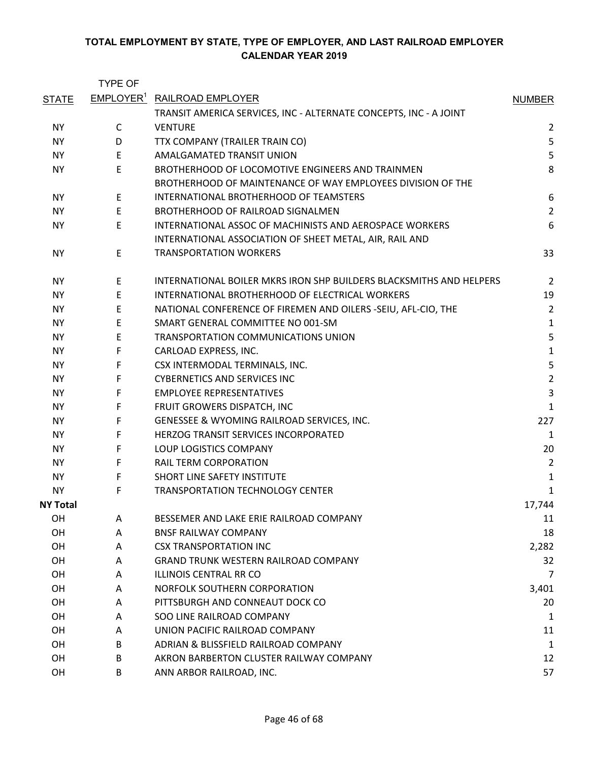|                 | <b>TYPE OF</b> |                                                                     |                |
|-----------------|----------------|---------------------------------------------------------------------|----------------|
| <b>STATE</b>    |                | <b>EMPLOYER<sup>1</sup> RAILROAD EMPLOYER</b>                       | <b>NUMBER</b>  |
|                 |                | TRANSIT AMERICA SERVICES, INC - ALTERNATE CONCEPTS, INC - A JOINT   |                |
| NY.             | C              | <b>VENTURE</b>                                                      | $\overline{2}$ |
| <b>NY</b>       | D              | TTX COMPANY (TRAILER TRAIN CO)                                      | 5              |
| NY.             | E              | AMALGAMATED TRANSIT UNION                                           | 5              |
| <b>NY</b>       | E              | BROTHERHOOD OF LOCOMOTIVE ENGINEERS AND TRAINMEN                    | 8              |
|                 |                | BROTHERHOOD OF MAINTENANCE OF WAY EMPLOYEES DIVISION OF THE         |                |
| <b>NY</b>       | Е              | INTERNATIONAL BROTHERHOOD OF TEAMSTERS                              | 6              |
| NY.             | E              | BROTHERHOOD OF RAILROAD SIGNALMEN                                   | $\overline{2}$ |
| ΝY              | E              | INTERNATIONAL ASSOC OF MACHINISTS AND AEROSPACE WORKERS             | 6              |
|                 |                | INTERNATIONAL ASSOCIATION OF SHEET METAL, AIR, RAIL AND             |                |
| ΝY              | Е              | <b>TRANSPORTATION WORKERS</b>                                       | 33             |
| <b>NY</b>       | Е              | INTERNATIONAL BOILER MKRS IRON SHP BUILDERS BLACKSMITHS AND HELPERS | $\overline{2}$ |
| <b>NY</b>       | E              | INTERNATIONAL BROTHERHOOD OF ELECTRICAL WORKERS                     | 19             |
| NY.             | E              | NATIONAL CONFERENCE OF FIREMEN AND OILERS -SEIU, AFL-CIO, THE       | $\overline{2}$ |
| <b>NY</b>       | E              | SMART GENERAL COMMITTEE NO 001-SM                                   | 1              |
| <b>NY</b>       | Ε              | TRANSPORTATION COMMUNICATIONS UNION                                 | 5              |
| NY.             | F              | CARLOAD EXPRESS, INC.                                               | $\mathbf 1$    |
| <b>NY</b>       | F              | CSX INTERMODAL TERMINALS, INC.                                      | 5              |
| NY.             | F              | <b>CYBERNETICS AND SERVICES INC</b>                                 | $\overline{c}$ |
| <b>NY</b>       | F              | <b>EMPLOYEE REPRESENTATIVES</b>                                     | 3              |
| ΝY              | F              | FRUIT GROWERS DISPATCH, INC                                         | $\mathbf{1}$   |
| ΝY              | F              | GENESSEE & WYOMING RAILROAD SERVICES, INC.                          | 227            |
| NY.             | F              | HERZOG TRANSIT SERVICES INCORPORATED                                | 1              |
| NY.             | F              | LOUP LOGISTICS COMPANY                                              | 20             |
| NY.             | F              | <b>RAIL TERM CORPORATION</b>                                        | $\overline{2}$ |
| ΝY              | F              | SHORT LINE SAFETY INSTITUTE                                         | 1              |
| <b>NY</b>       | F              | <b>TRANSPORTATION TECHNOLOGY CENTER</b>                             | 1              |
| <b>NY Total</b> |                |                                                                     | 17,744         |
| OH              | A              | BESSEMER AND LAKE ERIE RAILROAD COMPANY                             | 11             |
| OH              | A              | <b>BNSF RAILWAY COMPANY</b>                                         | 18             |
| OH              | A              | <b>CSX TRANSPORTATION INC</b>                                       | 2,282          |
| 0H              | A              | <b>GRAND TRUNK WESTERN RAILROAD COMPANY</b>                         | 32             |
| 0H              | A              | ILLINOIS CENTRAL RR CO                                              | 7              |
| OH              | A              | NORFOLK SOUTHERN CORPORATION                                        | 3,401          |
| OН              | A              | PITTSBURGH AND CONNEAUT DOCK CO                                     | 20             |
| OH              | A              | SOO LINE RAILROAD COMPANY                                           | 1              |
| OH              | A              | UNION PACIFIC RAILROAD COMPANY                                      | 11             |
| 0H              | B              | ADRIAN & BLISSFIELD RAILROAD COMPANY                                | 1              |
| OH              | B              | AKRON BARBERTON CLUSTER RAILWAY COMPANY                             | 12             |
| OH              | B              | ANN ARBOR RAILROAD, INC.                                            | 57             |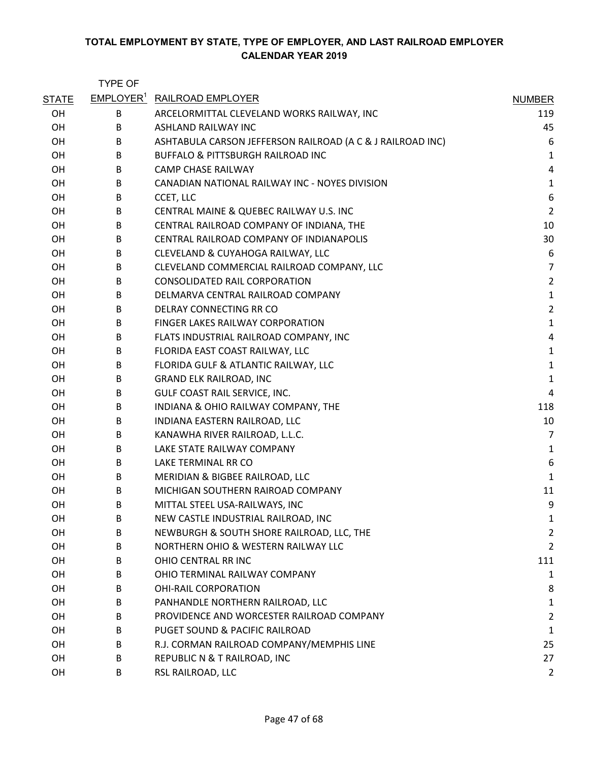|              | <b>TYPE OF</b> |                                                            |                |
|--------------|----------------|------------------------------------------------------------|----------------|
| <b>STATE</b> |                | <b>EMPLOYER<sup>1</sup> RAILROAD EMPLOYER</b>              | <b>NUMBER</b>  |
| <b>OH</b>    | B              | ARCELORMITTAL CLEVELAND WORKS RAILWAY, INC                 | 119            |
| OH           | B              | ASHLAND RAILWAY INC                                        | 45             |
| OH           | B              | ASHTABULA CARSON JEFFERSON RAILROAD (A C & J RAILROAD INC) | 6              |
| OH           | B              | <b>BUFFALO &amp; PITTSBURGH RAILROAD INC</b>               | $\mathbf{1}$   |
| OH           | B              | <b>CAMP CHASE RAILWAY</b>                                  | 4              |
| OH           | B              | CANADIAN NATIONAL RAILWAY INC - NOYES DIVISION             | $\mathbf 1$    |
| OH           | В              | CCET, LLC                                                  | 6              |
| OH           | B              | CENTRAL MAINE & QUEBEC RAILWAY U.S. INC                    | $\overline{2}$ |
| OH           | B              | CENTRAL RAILROAD COMPANY OF INDIANA, THE                   | 10             |
| OH           | B              | CENTRAL RAILROAD COMPANY OF INDIANAPOLIS                   | 30             |
| OH           | В              | CLEVELAND & CUYAHOGA RAILWAY, LLC                          | 6              |
| OH           | B              | CLEVELAND COMMERCIAL RAILROAD COMPANY, LLC                 | $\overline{7}$ |
| OH           | B              | <b>CONSOLIDATED RAIL CORPORATION</b>                       | $\overline{2}$ |
| OH           | B              | DELMARVA CENTRAL RAILROAD COMPANY                          | $\mathbf{1}$   |
| OH           | B              | DELRAY CONNECTING RR CO                                    | $\overline{2}$ |
| OH           | B              | FINGER LAKES RAILWAY CORPORATION                           | $\mathbf{1}$   |
| OH           | B              | FLATS INDUSTRIAL RAILROAD COMPANY, INC                     | 4              |
| OН           | В              | FLORIDA EAST COAST RAILWAY, LLC                            | $\mathbf 1$    |
| OH           | В              | FLORIDA GULF & ATLANTIC RAILWAY, LLC                       | $\mathbf 1$    |
| OH           | B              | <b>GRAND ELK RAILROAD, INC</b>                             | $\mathbf 1$    |
| OH           | В              | GULF COAST RAIL SERVICE, INC.                              | 4              |
| OH           | B              | INDIANA & OHIO RAILWAY COMPANY, THE                        | 118            |
| OH           | В              | INDIANA EASTERN RAILROAD, LLC                              | 10             |
| OH           | B              | KANAWHA RIVER RAILROAD, L.L.C.                             | $\overline{7}$ |
| OH           | B              | LAKE STATE RAILWAY COMPANY                                 | $\mathbf 1$    |
| OH           | В              | LAKE TERMINAL RR CO                                        | 6              |
| OH           | B              | MERIDIAN & BIGBEE RAILROAD, LLC                            | $\mathbf 1$    |
| OH           | B              | MICHIGAN SOUTHERN RAIROAD COMPANY                          | 11             |
| OH           | B              | MITTAL STEEL USA-RAILWAYS, INC                             | 9              |
| OH           | В              | NEW CASTLE INDUSTRIAL RAILROAD, INC                        | 1              |
| OH           | B              | NEWBURGH & SOUTH SHORE RAILROAD, LLC, THE                  | 2              |
| OH           | B              | NORTHERN OHIO & WESTERN RAILWAY LLC                        | $\overline{2}$ |
| OH           | B              | OHIO CENTRAL RR INC                                        | 111            |
| OH           | B              | OHIO TERMINAL RAILWAY COMPANY                              | 1              |
| OH           | B              | <b>OHI-RAIL CORPORATION</b>                                | 8              |
| OH           | B              | PANHANDLE NORTHERN RAILROAD, LLC                           | 1              |
| OH           | B              | PROVIDENCE AND WORCESTER RAILROAD COMPANY                  | $\overline{2}$ |
| OH           | B              | PUGET SOUND & PACIFIC RAILROAD                             | $\mathbf{1}$   |
| OH           | B              | R.J. CORMAN RAILROAD COMPANY/MEMPHIS LINE                  | 25             |
| OH           | B              | REPUBLIC N & T RAILROAD, INC                               | 27             |
| OH           | B              | RSL RAILROAD, LLC                                          | $\overline{2}$ |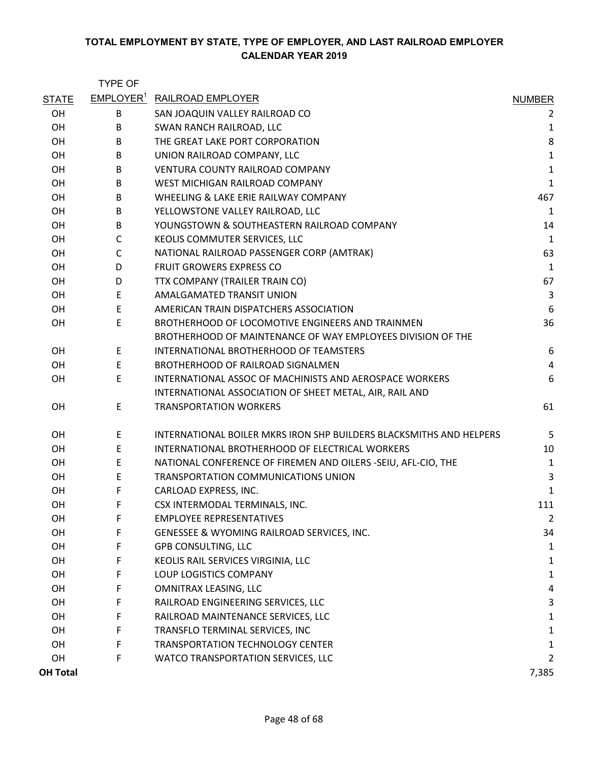|                 | <b>TYPE OF</b> |                                                                     |                |
|-----------------|----------------|---------------------------------------------------------------------|----------------|
| <b>STATE</b>    |                | EMPLOYER <sup>1</sup> RAILROAD EMPLOYER                             | <b>NUMBER</b>  |
| <b>OH</b>       | B              | SAN JOAQUIN VALLEY RAILROAD CO                                      | 2              |
| <b>OH</b>       | B              | SWAN RANCH RAILROAD, LLC                                            | 1              |
| <b>OH</b>       | B              | THE GREAT LAKE PORT CORPORATION                                     | 8              |
| OH              | B              | UNION RAILROAD COMPANY, LLC                                         | $\mathbf 1$    |
| OH              | B              | <b>VENTURA COUNTY RAILROAD COMPANY</b>                              | $\mathbf 1$    |
| <b>OH</b>       | B              | WEST MICHIGAN RAILROAD COMPANY                                      | $\mathbf 1$    |
| OH              | B              | WHEELING & LAKE ERIE RAILWAY COMPANY                                | 467            |
| OH              | B              | YELLOWSTONE VALLEY RAILROAD, LLC                                    | 1              |
| OH              | B              | YOUNGSTOWN & SOUTHEASTERN RAILROAD COMPANY                          | 14             |
| <b>OH</b>       | $\mathsf{C}$   | KEOLIS COMMUTER SERVICES, LLC                                       | $\mathbf{1}$   |
| OH              | $\mathsf{C}$   | NATIONAL RAILROAD PASSENGER CORP (AMTRAK)                           | 63             |
| OH              | D              | FRUIT GROWERS EXPRESS CO                                            | $\mathbf 1$    |
| <b>OH</b>       | D              | TTX COMPANY (TRAILER TRAIN CO)                                      | 67             |
| OH              | E              | AMALGAMATED TRANSIT UNION                                           | $\mathsf{3}$   |
| OH              | E              | AMERICAN TRAIN DISPATCHERS ASSOCIATION                              | 6              |
| OH              | E              | BROTHERHOOD OF LOCOMOTIVE ENGINEERS AND TRAINMEN                    | 36             |
|                 |                | BROTHERHOOD OF MAINTENANCE OF WAY EMPLOYEES DIVISION OF THE         |                |
| <b>OH</b>       | E              | INTERNATIONAL BROTHERHOOD OF TEAMSTERS                              | 6              |
| OH              | E              | BROTHERHOOD OF RAILROAD SIGNALMEN                                   | $\overline{4}$ |
| OH              | E              | INTERNATIONAL ASSOC OF MACHINISTS AND AEROSPACE WORKERS             | 6              |
|                 |                | INTERNATIONAL ASSOCIATION OF SHEET METAL, AIR, RAIL AND             |                |
| <b>OH</b>       | E              | <b>TRANSPORTATION WORKERS</b>                                       | 61             |
| <b>OH</b>       | E              | INTERNATIONAL BOILER MKRS IRON SHP BUILDERS BLACKSMITHS AND HELPERS | 5              |
| OH              | E              | INTERNATIONAL BROTHERHOOD OF ELECTRICAL WORKERS                     | 10             |
| OH              | E              | NATIONAL CONFERENCE OF FIREMEN AND OILERS -SEIU, AFL-CIO, THE       | $\mathbf{1}$   |
| OН              | E              | TRANSPORTATION COMMUNICATIONS UNION                                 | 3              |
| OH              | F              | CARLOAD EXPRESS, INC.                                               | 1              |
| OH              | F              | CSX INTERMODAL TERMINALS, INC.                                      | 111            |
| OH              | F              | <b>EMPLOYEE REPRESENTATIVES</b>                                     | $\overline{2}$ |
| OH              | F              | GENESSEE & WYOMING RAILROAD SERVICES, INC.                          | 34             |
| OH              | F              | <b>GPB CONSULTING, LLC</b>                                          | 1              |
| OH              | F              | KEOLIS RAIL SERVICES VIRGINIA, LLC                                  | 1              |
| OH              | F              | LOUP LOGISTICS COMPANY                                              | $\mathbf{1}$   |
| OH              | F              | OMNITRAX LEASING, LLC                                               | 4              |
| OH              | F              | RAILROAD ENGINEERING SERVICES, LLC                                  | 3              |
| OH              | F              | RAILROAD MAINTENANCE SERVICES, LLC                                  | 1              |
| OH              | F              | TRANSFLO TERMINAL SERVICES, INC                                     | 1              |
| OH              | F              | <b>TRANSPORTATION TECHNOLOGY CENTER</b>                             | 1              |
| OH              | F              | WATCO TRANSPORTATION SERVICES, LLC                                  | 2              |
| <b>OH Total</b> |                |                                                                     | 7,385          |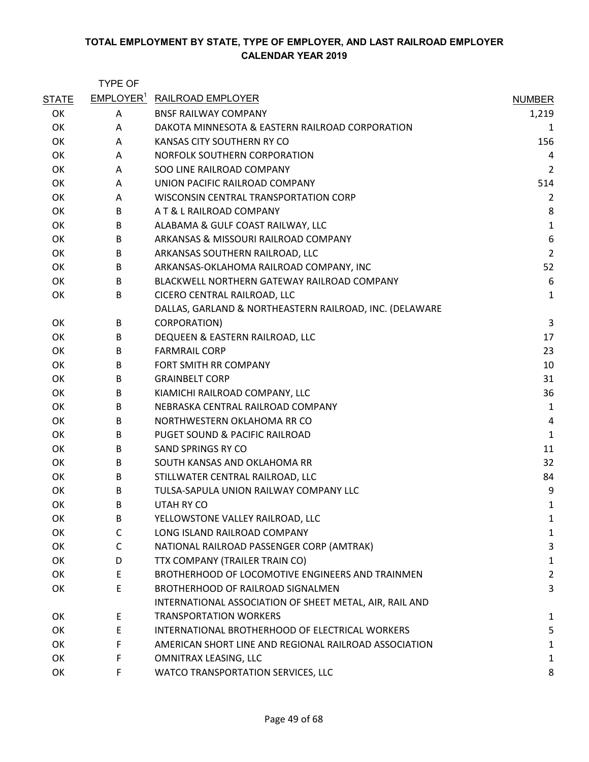|              | <b>TYPE OF</b> |                                                         |                |
|--------------|----------------|---------------------------------------------------------|----------------|
| <b>STATE</b> |                | <b>EMPLOYER<sup>1</sup> RAILROAD EMPLOYER</b>           | <b>NUMBER</b>  |
| OK           | A              | <b>BNSF RAILWAY COMPANY</b>                             | 1,219          |
| OK           | A              | DAKOTA MINNESOTA & EASTERN RAILROAD CORPORATION         | 1              |
| OK           | A              | KANSAS CITY SOUTHERN RY CO                              | 156            |
| OK           | A              | NORFOLK SOUTHERN CORPORATION                            | 4              |
| OK           | A              | SOO LINE RAILROAD COMPANY                               | $\overline{2}$ |
| OK           | A              | UNION PACIFIC RAILROAD COMPANY                          | 514            |
| OK           | A              | WISCONSIN CENTRAL TRANSPORTATION CORP                   | $\overline{2}$ |
| OK           | B              | A T & L RAILROAD COMPANY                                | 8              |
| OK           | B              | ALABAMA & GULF COAST RAILWAY, LLC                       | $\mathbf{1}$   |
| OK           | B              | ARKANSAS & MISSOURI RAILROAD COMPANY                    | 6              |
| OK           | B              | ARKANSAS SOUTHERN RAILROAD, LLC                         | $\overline{2}$ |
| OK           | B              | ARKANSAS-OKLAHOMA RAILROAD COMPANY, INC                 | 52             |
| OK           | B              | BLACKWELL NORTHERN GATEWAY RAILROAD COMPANY             | 6              |
| OK           | B              | CICERO CENTRAL RAILROAD, LLC                            | 1              |
|              |                | DALLAS, GARLAND & NORTHEASTERN RAILROAD, INC. (DELAWARE |                |
| OK           | B              | <b>CORPORATION)</b>                                     | 3              |
| OK           | B              | DEQUEEN & EASTERN RAILROAD, LLC                         | 17             |
| OK           | B              | <b>FARMRAIL CORP</b>                                    | 23             |
| OK           | B              | FORT SMITH RR COMPANY                                   | 10             |
| OK           | B              | <b>GRAINBELT CORP</b>                                   | 31             |
| OK           | B              | KIAMICHI RAILROAD COMPANY, LLC                          | 36             |
| OK           | B              | NEBRASKA CENTRAL RAILROAD COMPANY                       | 1              |
| OK           | B              | NORTHWESTERN OKLAHOMA RR CO                             | 4              |
| OK           | B              | PUGET SOUND & PACIFIC RAILROAD                          | $\mathbf{1}$   |
| OK           | B              | SAND SPRINGS RY CO                                      | 11             |
| OK           | B              | SOUTH KANSAS AND OKLAHOMA RR                            | 32             |
| OK           | B              | STILLWATER CENTRAL RAILROAD, LLC                        | 84             |
| OK           | B              | TULSA-SAPULA UNION RAILWAY COMPANY LLC                  | 9              |
| OK           | B              | UTAH RY CO                                              | 1              |
| OK           | В              | YELLOWSTONE VALLEY RAILROAD, LLC                        | 1              |
| OK           | C              | LONG ISLAND RAILROAD COMPANY                            | 1              |
| OK           | C              | NATIONAL RAILROAD PASSENGER CORP (AMTRAK)               | 3              |
| OK           | D              | TTX COMPANY (TRAILER TRAIN CO)                          | 1              |
| OK           | E              | BROTHERHOOD OF LOCOMOTIVE ENGINEERS AND TRAINMEN        | $\overline{2}$ |
| OK           | Ε              | BROTHERHOOD OF RAILROAD SIGNALMEN                       | 3              |
|              |                | INTERNATIONAL ASSOCIATION OF SHEET METAL, AIR, RAIL AND |                |
| OK           | E              | <b>TRANSPORTATION WORKERS</b>                           | 1              |
| OK           | E              | INTERNATIONAL BROTHERHOOD OF ELECTRICAL WORKERS         | 5              |
| OK           | F              | AMERICAN SHORT LINE AND REGIONAL RAILROAD ASSOCIATION   | 1              |
| OK           | F              | OMNITRAX LEASING, LLC                                   | 1              |
| OK           | F              | WATCO TRANSPORTATION SERVICES, LLC                      | 8              |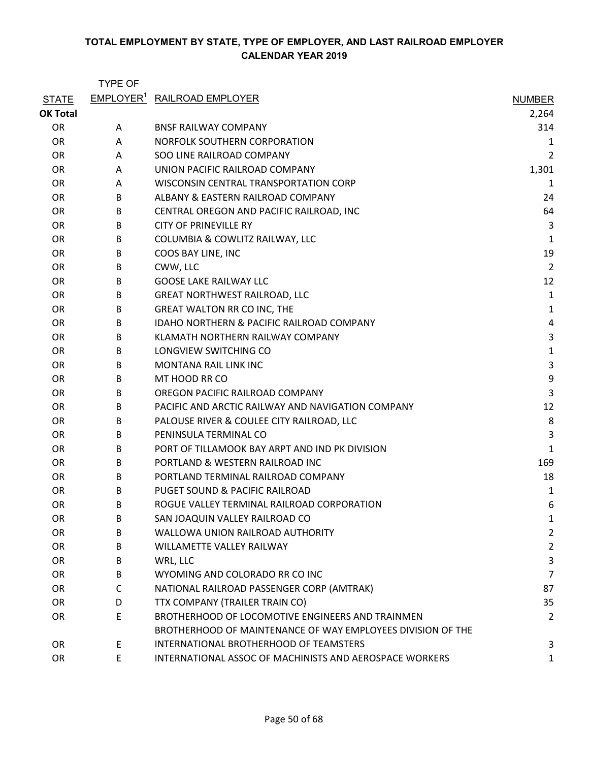|                 | <b>TYPE OF</b> |                                                             |                |
|-----------------|----------------|-------------------------------------------------------------|----------------|
| <b>STATE</b>    |                | <b>EMPLOYER<sup>1</sup> RAILROAD EMPLOYER</b>               | <b>NUMBER</b>  |
| <b>OK Total</b> |                |                                                             | 2,264          |
| OR              | A              | <b>BNSF RAILWAY COMPANY</b>                                 | 314            |
| <b>OR</b>       | Α              | NORFOLK SOUTHERN CORPORATION                                | 1              |
| <b>OR</b>       | A              | SOO LINE RAILROAD COMPANY                                   | 2              |
| <b>OR</b>       | A              | UNION PACIFIC RAILROAD COMPANY                              | 1,301          |
| <b>OR</b>       | A              | WISCONSIN CENTRAL TRANSPORTATION CORP                       | 1              |
| <b>OR</b>       | B              | ALBANY & EASTERN RAILROAD COMPANY                           | 24             |
| <b>OR</b>       | B              | CENTRAL OREGON AND PACIFIC RAILROAD, INC                    | 64             |
| <b>OR</b>       | B              | <b>CITY OF PRINEVILLE RY</b>                                | 3              |
| <b>OR</b>       | B              | COLUMBIA & COWLITZ RAILWAY, LLC                             | 1              |
| <b>OR</b>       | B              | COOS BAY LINE, INC                                          | 19             |
| <b>OR</b>       | B              | CWW, LLC                                                    | 2              |
| <b>OR</b>       | B              | <b>GOOSE LAKE RAILWAY LLC</b>                               | 12             |
| <b>OR</b>       | B              | <b>GREAT NORTHWEST RAILROAD, LLC</b>                        | $\mathbf{1}$   |
| <b>OR</b>       | B              | <b>GREAT WALTON RR CO INC, THE</b>                          | $\mathbf{1}$   |
| <b>OR</b>       | B              | IDAHO NORTHERN & PACIFIC RAILROAD COMPANY                   | 4              |
| <b>OR</b>       | B              | KLAMATH NORTHERN RAILWAY COMPANY                            | 3              |
| <b>OR</b>       | B              | LONGVIEW SWITCHING CO                                       | $\mathbf{1}$   |
| <b>OR</b>       | B              | <b>MONTANA RAIL LINK INC</b>                                | 3              |
| <b>OR</b>       | B              | MT HOOD RR CO                                               | 9              |
| <b>OR</b>       | B              | OREGON PACIFIC RAILROAD COMPANY                             | 3              |
| <b>OR</b>       | B              | PACIFIC AND ARCTIC RAILWAY AND NAVIGATION COMPANY           | 12             |
| <b>OR</b>       | B              | PALOUSE RIVER & COULEE CITY RAILROAD, LLC                   | 8              |
| <b>OR</b>       | B              | PENINSULA TERMINAL CO                                       | 3              |
| <b>OR</b>       | B              | PORT OF TILLAMOOK BAY ARPT AND IND PK DIVISION              | 1              |
| <b>OR</b>       | B              | PORTLAND & WESTERN RAILROAD INC                             | 169            |
| <b>OR</b>       | B              | PORTLAND TERMINAL RAILROAD COMPANY                          | 18             |
| OR              | B              | PUGET SOUND & PACIFIC RAILROAD                              | 1              |
| <b>OR</b>       | B              | ROGUE VALLEY TERMINAL RAILROAD CORPORATION                  | 6              |
| <b>OR</b>       | B              | SAN JOAQUIN VALLEY RAILROAD CO                              | 1              |
| <b>OR</b>       | B              | WALLOWA UNION RAILROAD AUTHORITY                            | $\overline{c}$ |
| <b>OR</b>       | B              | WILLAMETTE VALLEY RAILWAY                                   | $\overline{c}$ |
| <b>OR</b>       | B              | WRL, LLC                                                    | 3              |
| <b>OR</b>       | B              | WYOMING AND COLORADO RR CO INC                              | 7              |
| <b>OR</b>       | C              | NATIONAL RAILROAD PASSENGER CORP (AMTRAK)                   | 87             |
| <b>OR</b>       | D              | TTX COMPANY (TRAILER TRAIN CO)                              | 35             |
| <b>OR</b>       | E              | BROTHERHOOD OF LOCOMOTIVE ENGINEERS AND TRAINMEN            | $\overline{2}$ |
|                 |                | BROTHERHOOD OF MAINTENANCE OF WAY EMPLOYEES DIVISION OF THE |                |
| <b>OR</b>       | E              | INTERNATIONAL BROTHERHOOD OF TEAMSTERS                      | 3              |
| <b>OR</b>       | E.             | INTERNATIONAL ASSOC OF MACHINISTS AND AEROSPACE WORKERS     | 1              |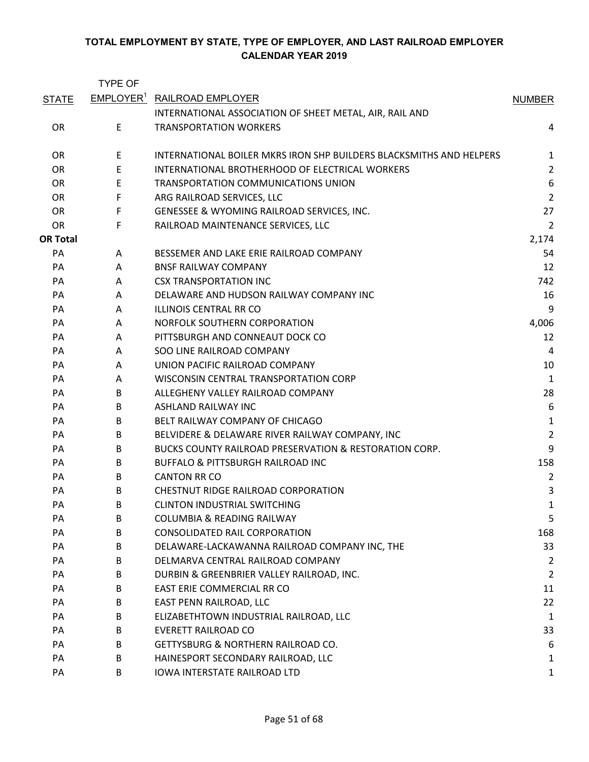|                 | TYPE OF               |                                                                     |                  |
|-----------------|-----------------------|---------------------------------------------------------------------|------------------|
| <b>STATE</b>    | EMPLOYER <sup>1</sup> | <b>RAILROAD EMPLOYER</b>                                            | <b>NUMBER</b>    |
|                 |                       | INTERNATIONAL ASSOCIATION OF SHEET METAL, AIR, RAIL AND             |                  |
| <b>OR</b>       | E                     | <b>TRANSPORTATION WORKERS</b>                                       | 4                |
|                 |                       |                                                                     |                  |
| <b>OR</b>       | E                     | INTERNATIONAL BOILER MKRS IRON SHP BUILDERS BLACKSMITHS AND HELPERS | 1                |
| <b>OR</b>       | E                     | INTERNATIONAL BROTHERHOOD OF ELECTRICAL WORKERS                     | $\overline{2}$   |
| <b>OR</b>       | E                     | TRANSPORTATION COMMUNICATIONS UNION                                 | $\boldsymbol{6}$ |
| <b>OR</b>       | F                     | ARG RAILROAD SERVICES, LLC                                          | $\overline{2}$   |
| <b>OR</b>       | F                     | GENESSEE & WYOMING RAILROAD SERVICES, INC.                          | 27               |
| <b>OR</b>       | F                     | RAILROAD MAINTENANCE SERVICES, LLC                                  | $\overline{2}$   |
| <b>OR Total</b> |                       |                                                                     | 2,174            |
| PA              | A                     | BESSEMER AND LAKE ERIE RAILROAD COMPANY                             | 54               |
| PA              | A                     | <b>BNSF RAILWAY COMPANY</b>                                         | 12               |
| PA              | A                     | <b>CSX TRANSPORTATION INC</b>                                       | 742              |
| PA              | A                     | DELAWARE AND HUDSON RAILWAY COMPANY INC                             | 16               |
| PA              | A                     | <b>ILLINOIS CENTRAL RR CO</b>                                       | 9                |
| PA              | A                     | NORFOLK SOUTHERN CORPORATION                                        | 4,006            |
| PA              | A                     | PITTSBURGH AND CONNEAUT DOCK CO                                     | 12               |
| PA              | Α                     | SOO LINE RAILROAD COMPANY                                           | 4                |
| PA              | A                     | UNION PACIFIC RAILROAD COMPANY                                      | 10               |
| PA              | Α                     | WISCONSIN CENTRAL TRANSPORTATION CORP                               | $\mathbf{1}$     |
| PA              | B                     | ALLEGHENY VALLEY RAILROAD COMPANY                                   | 28               |
| PA              | B                     | ASHLAND RAILWAY INC                                                 | $\boldsymbol{6}$ |
| PA              | B                     | BELT RAILWAY COMPANY OF CHICAGO                                     | $\mathbf{1}$     |
| PA              | B                     | BELVIDERE & DELAWARE RIVER RAILWAY COMPANY, INC                     | $\overline{2}$   |
| PA              | B                     | BUCKS COUNTY RAILROAD PRESERVATION & RESTORATION CORP.              | 9                |
| PA              | B                     | <b>BUFFALO &amp; PITTSBURGH RAILROAD INC</b>                        | 158              |
| PA              | B                     | <b>CANTON RR CO</b>                                                 | 2                |
| PA              | B                     | CHESTNUT RIDGE RAILROAD CORPORATION                                 | 3                |
| PA              | B                     | <b>CLINTON INDUSTRIAL SWITCHING</b>                                 | 1                |
| PA              | B                     | <b>COLUMBIA &amp; READING RAILWAY</b>                               | 5                |
| PA              | B                     | <b>CONSOLIDATED RAIL CORPORATION</b>                                | 168              |
| PA              | B                     | DELAWARE-LACKAWANNA RAILROAD COMPANY INC, THE                       | 33               |
| PA              | B                     | DELMARVA CENTRAL RAILROAD COMPANY                                   | 2                |
| PA              | B                     | DURBIN & GREENBRIER VALLEY RAILROAD, INC.                           | $\overline{2}$   |
| PA              | B                     | EAST ERIE COMMERCIAL RR CO                                          | 11               |
| PA              | B                     | EAST PENN RAILROAD, LLC                                             | 22               |
| PA              | В                     | ELIZABETHTOWN INDUSTRIAL RAILROAD, LLC                              | $\mathbf{1}$     |
| PA              | B                     | <b>EVERETT RAILROAD CO</b>                                          | 33               |
| PA              | B                     | GETTYSBURG & NORTHERN RAILROAD CO.                                  | 6                |
| PA              | B                     | HAINESPORT SECONDARY RAILROAD, LLC                                  | 1                |
| PA              | B                     | IOWA INTERSTATE RAILROAD LTD                                        | 1                |
|                 |                       |                                                                     |                  |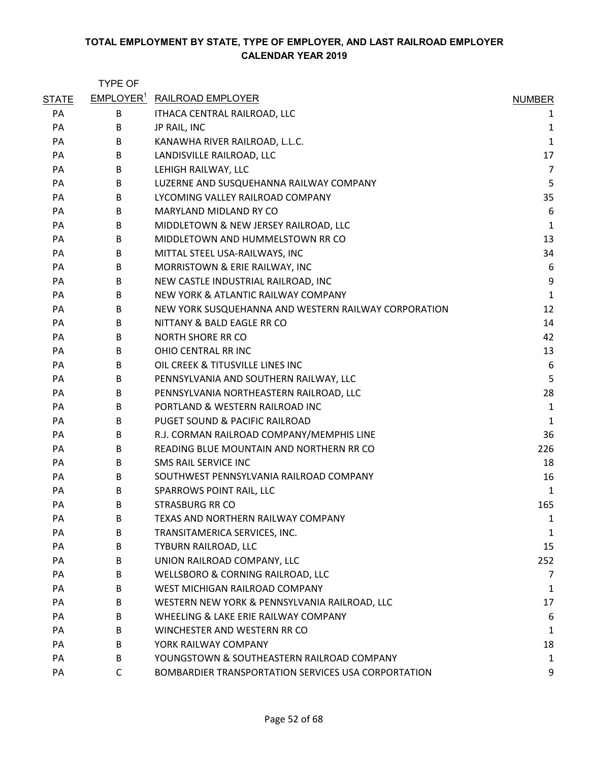|              | <b>TYPE OF</b> |                                                      |                |
|--------------|----------------|------------------------------------------------------|----------------|
| <b>STATE</b> |                | <b>EMPLOYER<sup>1</sup></b> RAILROAD EMPLOYER        | <b>NUMBER</b>  |
| PA           | B              | ITHACA CENTRAL RAILROAD, LLC                         | 1              |
| PA           | B              | JP RAIL, INC                                         | $\mathbf{1}$   |
| PA           | B              | KANAWHA RIVER RAILROAD, L.L.C.                       | $\mathbf 1$    |
| PA           | B              | LANDISVILLE RAILROAD, LLC                            | 17             |
| PA           | B              | LEHIGH RAILWAY, LLC                                  | $\overline{7}$ |
| PA           | B              | LUZERNE AND SUSQUEHANNA RAILWAY COMPANY              | 5              |
| PA           | B              | LYCOMING VALLEY RAILROAD COMPANY                     | 35             |
| PA           | B              | MARYLAND MIDLAND RY CO                               | 6              |
| PA           | B              | MIDDLETOWN & NEW JERSEY RAILROAD, LLC                | $\mathbf{1}$   |
| PA           | B              | MIDDLETOWN AND HUMMELSTOWN RR CO                     | 13             |
| PA           | B              | MITTAL STEEL USA-RAILWAYS, INC                       | 34             |
| PA           | B              | MORRISTOWN & ERIE RAILWAY, INC                       | 6              |
| PA           | B              | NEW CASTLE INDUSTRIAL RAILROAD, INC                  | 9              |
| PA           | B              | NEW YORK & ATLANTIC RAILWAY COMPANY                  | $\mathbf 1$    |
| PA           | B              | NEW YORK SUSQUEHANNA AND WESTERN RAILWAY CORPORATION | 12             |
| PA           | B              | NITTANY & BALD EAGLE RR CO                           | 14             |
| PA           | B              | <b>NORTH SHORE RR CO</b>                             | 42             |
| <b>PA</b>    | B              | OHIO CENTRAL RR INC                                  | 13             |
| PA           | B              | OIL CREEK & TITUSVILLE LINES INC                     | 6              |
| PA           | B              | PENNSYLVANIA AND SOUTHERN RAILWAY, LLC               | 5              |
| PA           | B              | PENNSYLVANIA NORTHEASTERN RAILROAD, LLC              | 28             |
| PA           | B              | PORTLAND & WESTERN RAILROAD INC                      | $\mathbf{1}$   |
| PA           | B              | PUGET SOUND & PACIFIC RAILROAD                       | $\mathbf{1}$   |
| PA           | B              | R.J. CORMAN RAILROAD COMPANY/MEMPHIS LINE            | 36             |
| PA           | B              | READING BLUE MOUNTAIN AND NORTHERN RR CO             | 226            |
| PA           | B              | SMS RAIL SERVICE INC                                 | 18             |
| PA           | B              | SOUTHWEST PENNSYLVANIA RAILROAD COMPANY              | 16             |
| PA           | B              | SPARROWS POINT RAIL, LLC                             | 1              |
| PA           | B              | <b>STRASBURG RR CO</b>                               | 165            |
| PA           | B              | TEXAS AND NORTHERN RAILWAY COMPANY                   | 1              |
| PA           | B              | TRANSITAMERICA SERVICES, INC.                        | 1              |
| PA           | B              | TYBURN RAILROAD, LLC                                 | 15             |
| PA           | В              | UNION RAILROAD COMPANY, LLC                          | 252            |
| PA           | B              | WELLSBORO & CORNING RAILROAD, LLC                    | 7              |
| PA           | B              | WEST MICHIGAN RAILROAD COMPANY                       | 1              |
| PA           | B              | WESTERN NEW YORK & PENNSYLVANIA RAILROAD, LLC        | 17             |
| PA           | B              | WHEELING & LAKE ERIE RAILWAY COMPANY                 | 6              |
| PA           | B              | WINCHESTER AND WESTERN RR CO                         | 1              |
| PA           | B              | YORK RAILWAY COMPANY                                 | 18             |
| PA           | B              | YOUNGSTOWN & SOUTHEASTERN RAILROAD COMPANY           | 1              |
| PA           | C              | BOMBARDIER TRANSPORTATION SERVICES USA CORPORTATION  | 9              |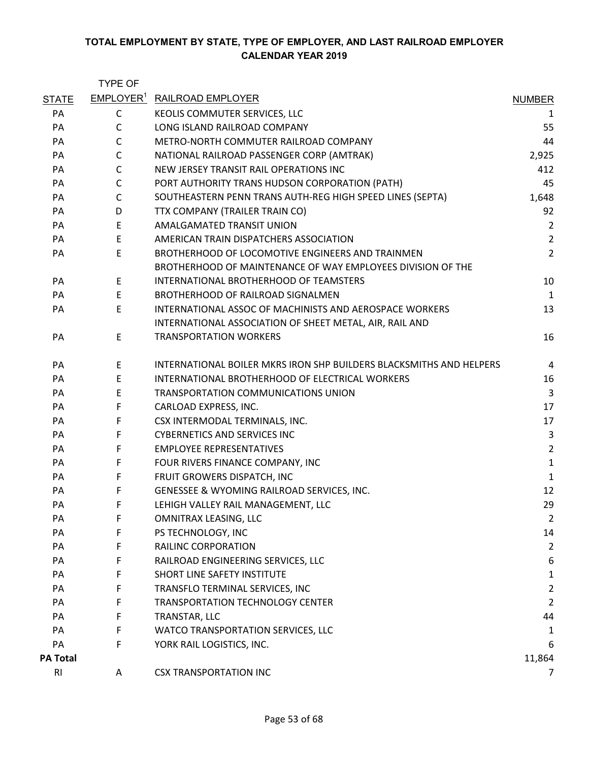|                 | <b>TYPE OF</b>        |                                                                     |                |
|-----------------|-----------------------|---------------------------------------------------------------------|----------------|
| <b>STATE</b>    | EMPLOYER <sup>1</sup> | <b>RAILROAD EMPLOYER</b>                                            | <b>NUMBER</b>  |
| PA              | C                     | KEOLIS COMMUTER SERVICES, LLC                                       | 1              |
| PA              | C                     | LONG ISLAND RAILROAD COMPANY                                        | 55             |
| PA              | C                     | METRO-NORTH COMMUTER RAILROAD COMPANY                               | 44             |
| PA              | C                     | NATIONAL RAILROAD PASSENGER CORP (AMTRAK)                           | 2,925          |
| PA              | C                     | NEW JERSEY TRANSIT RAIL OPERATIONS INC                              | 412            |
| PA              | C                     | PORT AUTHORITY TRANS HUDSON CORPORATION (PATH)                      | 45             |
| PA              | $\mathsf{C}$          | SOUTHEASTERN PENN TRANS AUTH-REG HIGH SPEED LINES (SEPTA)           | 1,648          |
| PA              | D                     | TTX COMPANY (TRAILER TRAIN CO)                                      | 92             |
| PA              | E                     | AMALGAMATED TRANSIT UNION                                           | $\overline{2}$ |
| PA              | E                     | AMERICAN TRAIN DISPATCHERS ASSOCIATION                              | $\overline{2}$ |
| PA              | E                     | BROTHERHOOD OF LOCOMOTIVE ENGINEERS AND TRAINMEN                    | 2              |
|                 |                       | BROTHERHOOD OF MAINTENANCE OF WAY EMPLOYEES DIVISION OF THE         |                |
| PA              | E                     | INTERNATIONAL BROTHERHOOD OF TEAMSTERS                              | 10             |
| PA              | E                     | BROTHERHOOD OF RAILROAD SIGNALMEN                                   | $\mathbf{1}$   |
| PA              | E                     | INTERNATIONAL ASSOC OF MACHINISTS AND AEROSPACE WORKERS             | 13             |
|                 |                       | INTERNATIONAL ASSOCIATION OF SHEET METAL, AIR, RAIL AND             |                |
| PA              | $\mathsf E$           | <b>TRANSPORTATION WORKERS</b>                                       | 16             |
| PA              | Е                     | INTERNATIONAL BOILER MKRS IRON SHP BUILDERS BLACKSMITHS AND HELPERS | 4              |
| PA              | E                     | INTERNATIONAL BROTHERHOOD OF ELECTRICAL WORKERS                     | 16             |
| PA              | E                     | TRANSPORTATION COMMUNICATIONS UNION                                 | 3              |
| PA              | F                     | CARLOAD EXPRESS, INC.                                               | 17             |
| PA              | F                     | CSX INTERMODAL TERMINALS, INC.                                      | 17             |
| PA              | F                     | <b>CYBERNETICS AND SERVICES INC</b>                                 | $\mathsf{3}$   |
| PA              | F                     | <b>EMPLOYEE REPRESENTATIVES</b>                                     | $\overline{2}$ |
| PA              | F                     | FOUR RIVERS FINANCE COMPANY, INC                                    | $\mathbf{1}$   |
| PA              | F                     | FRUIT GROWERS DISPATCH, INC                                         | $\mathbf{1}$   |
| PA              | F                     | GENESSEE & WYOMING RAILROAD SERVICES, INC.                          | 12             |
| PA              | F                     | LEHIGH VALLEY RAIL MANAGEMENT, LLC                                  | 29             |
| PA              | F                     | OMNITRAX LEASING, LLC                                               | $\overline{2}$ |
| PA              | F                     | PS TECHNOLOGY, INC                                                  | 14             |
| PA              | F                     | RAILINC CORPORATION                                                 | $\overline{2}$ |
| PA              | F                     | RAILROAD ENGINEERING SERVICES, LLC                                  | 6              |
| PA              | F                     | SHORT LINE SAFETY INSTITUTE                                         | $\mathbf{1}$   |
| PA              | F                     | TRANSFLO TERMINAL SERVICES, INC                                     | $\overline{2}$ |
| PA              | F                     | TRANSPORTATION TECHNOLOGY CENTER                                    | $\overline{2}$ |
| PA              | F                     | TRANSTAR, LLC                                                       | 44             |
| PA              | F                     | WATCO TRANSPORTATION SERVICES, LLC                                  | 1              |
| PA              | F                     | YORK RAIL LOGISTICS, INC.                                           | 6              |
| <b>PA Total</b> |                       |                                                                     | 11,864         |
| R <sub>l</sub>  | A                     | <b>CSX TRANSPORTATION INC</b>                                       | $\overline{7}$ |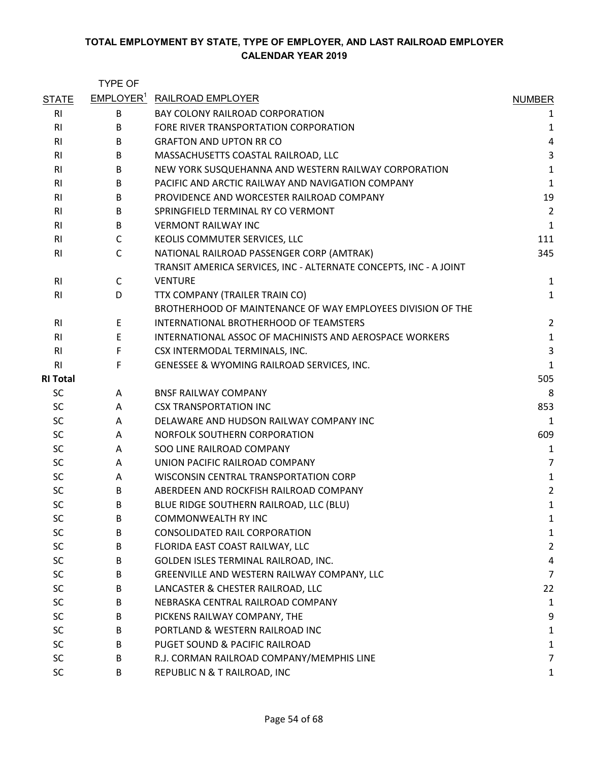|                 | <b>TYPE OF</b> |                                                                   |                |
|-----------------|----------------|-------------------------------------------------------------------|----------------|
| <b>STATE</b>    |                | EMPLOYER <sup>1</sup> RAILROAD EMPLOYER                           | <b>NUMBER</b>  |
| <b>RI</b>       | B              | <b>BAY COLONY RAILROAD CORPORATION</b>                            | 1              |
| <b>RI</b>       | B              | FORE RIVER TRANSPORTATION CORPORATION                             | 1              |
| R <sub>l</sub>  | B              | <b>GRAFTON AND UPTON RR CO</b>                                    | 4              |
| R <sub>l</sub>  | B              | MASSACHUSETTS COASTAL RAILROAD, LLC                               | 3              |
| R <sub>l</sub>  | B              | NEW YORK SUSQUEHANNA AND WESTERN RAILWAY CORPORATION              | $\mathbf 1$    |
| <b>RI</b>       | B              | PACIFIC AND ARCTIC RAILWAY AND NAVIGATION COMPANY                 | $\mathbf{1}$   |
| R <sub>l</sub>  | B              | PROVIDENCE AND WORCESTER RAILROAD COMPANY                         | 19             |
| R <sub>l</sub>  | B              | SPRINGFIELD TERMINAL RY CO VERMONT                                | $\overline{2}$ |
| R <sub>l</sub>  | B              | <b>VERMONT RAILWAY INC</b>                                        | $\mathbf{1}$   |
| <b>RI</b>       | C              | KEOLIS COMMUTER SERVICES, LLC                                     | 111            |
| R <sub>l</sub>  | $\mathsf{C}$   | NATIONAL RAILROAD PASSENGER CORP (AMTRAK)                         | 345            |
|                 |                | TRANSIT AMERICA SERVICES, INC - ALTERNATE CONCEPTS, INC - A JOINT |                |
| R <sub>l</sub>  | $\mathsf{C}$   | <b>VENTURE</b>                                                    | $\mathbf{1}$   |
| R <sub>l</sub>  | D              | TTX COMPANY (TRAILER TRAIN CO)                                    | $\mathbf 1$    |
|                 |                | BROTHERHOOD OF MAINTENANCE OF WAY EMPLOYEES DIVISION OF THE       |                |
| <b>RI</b>       | E              | INTERNATIONAL BROTHERHOOD OF TEAMSTERS                            | $\overline{2}$ |
| R <sub>l</sub>  | E              | INTERNATIONAL ASSOC OF MACHINISTS AND AEROSPACE WORKERS           | $\mathbf 1$    |
| R <sub>l</sub>  | F              | CSX INTERMODAL TERMINALS, INC.                                    | 3              |
| R <sub>l</sub>  | F              | GENESSEE & WYOMING RAILROAD SERVICES, INC.                        | $\mathbf{1}$   |
| <b>RI Total</b> |                |                                                                   | 505            |
| <b>SC</b>       | A              | <b>BNSF RAILWAY COMPANY</b>                                       | 8              |
| <b>SC</b>       | A              | <b>CSX TRANSPORTATION INC</b>                                     | 853            |
| <b>SC</b>       | A              | DELAWARE AND HUDSON RAILWAY COMPANY INC                           | 1              |
| <b>SC</b>       | A              | NORFOLK SOUTHERN CORPORATION                                      | 609            |
| <b>SC</b>       | A              | SOO LINE RAILROAD COMPANY                                         | $\mathbf{1}$   |
| <b>SC</b>       | A              | UNION PACIFIC RAILROAD COMPANY                                    | $\overline{7}$ |
| <b>SC</b>       | Α              | WISCONSIN CENTRAL TRANSPORTATION CORP                             | $\mathbf 1$    |
| <b>SC</b>       | B              | ABERDEEN AND ROCKFISH RAILROAD COMPANY                            | $\overline{2}$ |
| <b>SC</b>       | B              | BLUE RIDGE SOUTHERN RAILROAD, LLC (BLU)                           | 1              |
| <b>SC</b>       | B              | COMMONWEALTH RY INC                                               | 1              |
| SC              | B              | <b>CONSOLIDATED RAIL CORPORATION</b>                              | 1              |
| <b>SC</b>       | В              | FLORIDA EAST COAST RAILWAY, LLC                                   | $\overline{2}$ |
| <b>SC</b>       | B              | GOLDEN ISLES TERMINAL RAILROAD, INC.                              | 4              |
| <b>SC</b>       | B              | GREENVILLE AND WESTERN RAILWAY COMPANY, LLC                       | 7              |
| <b>SC</b>       | B              | LANCASTER & CHESTER RAILROAD, LLC                                 | 22             |
| <b>SC</b>       | B              | NEBRASKA CENTRAL RAILROAD COMPANY                                 | $\mathbf{1}$   |
| <b>SC</b>       | B              | PICKENS RAILWAY COMPANY, THE                                      | 9              |
| <b>SC</b>       | B              | PORTLAND & WESTERN RAILROAD INC                                   | 1              |
| <b>SC</b>       | B              | PUGET SOUND & PACIFIC RAILROAD                                    | $\mathbf{1}$   |
| <b>SC</b>       | B              | R.J. CORMAN RAILROAD COMPANY/MEMPHIS LINE                         | 7              |
| <b>SC</b>       | B              | REPUBLIC N & T RAILROAD, INC                                      | 1              |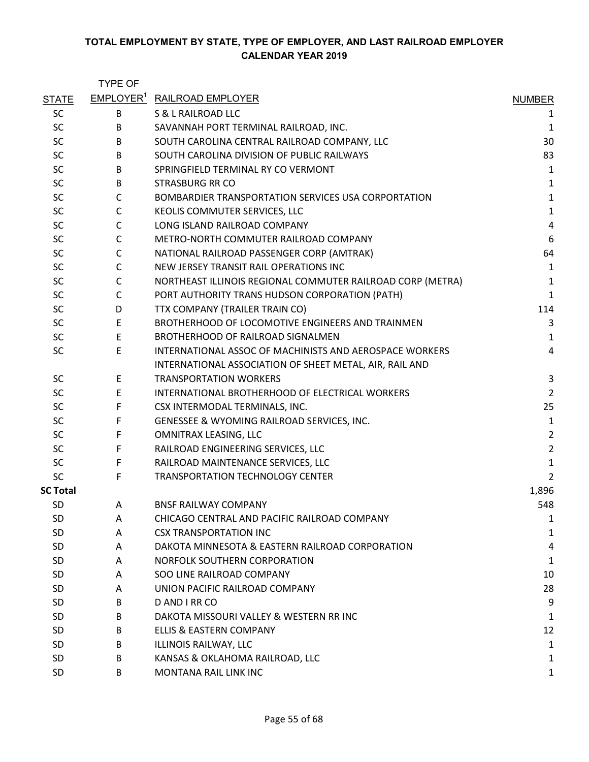|                 | <b>TYPE OF</b> |                                                            |                |
|-----------------|----------------|------------------------------------------------------------|----------------|
| <b>STATE</b>    |                | EMPLOYER <sup>1</sup> RAILROAD EMPLOYER                    | <b>NUMBER</b>  |
| <b>SC</b>       | B              | S & L RAILROAD LLC                                         | 1              |
| SC              | B              | SAVANNAH PORT TERMINAL RAILROAD, INC.                      | 1              |
| SC              | B              | SOUTH CAROLINA CENTRAL RAILROAD COMPANY, LLC               | 30             |
| <b>SC</b>       | B              | SOUTH CAROLINA DIVISION OF PUBLIC RAILWAYS                 | 83             |
| <b>SC</b>       | B              | SPRINGFIELD TERMINAL RY CO VERMONT                         | $\mathbf{1}$   |
| <b>SC</b>       | B              | <b>STRASBURG RR CO</b>                                     | $\mathbf{1}$   |
| <b>SC</b>       | С              | BOMBARDIER TRANSPORTATION SERVICES USA CORPORTATION        | $\mathbf 1$    |
| <b>SC</b>       | $\mathsf{C}$   | KEOLIS COMMUTER SERVICES, LLC                              | $\mathbf 1$    |
| <b>SC</b>       | $\mathsf{C}$   | LONG ISLAND RAILROAD COMPANY                               | $\overline{a}$ |
| <b>SC</b>       | $\mathsf{C}$   | METRO-NORTH COMMUTER RAILROAD COMPANY                      | 6              |
| SC              | C              | NATIONAL RAILROAD PASSENGER CORP (AMTRAK)                  | 64             |
| SC              | C              | NEW JERSEY TRANSIT RAIL OPERATIONS INC                     | $\mathbf{1}$   |
| <b>SC</b>       | C              | NORTHEAST ILLINOIS REGIONAL COMMUTER RAILROAD CORP (METRA) | $\mathbf{1}$   |
| <b>SC</b>       | C              | PORT AUTHORITY TRANS HUDSON CORPORATION (PATH)             | $\mathbf{1}$   |
| <b>SC</b>       | D              | TTX COMPANY (TRAILER TRAIN CO)                             | 114            |
| SC              | E              | BROTHERHOOD OF LOCOMOTIVE ENGINEERS AND TRAINMEN           | 3              |
| <b>SC</b>       | $\mathsf E$    | <b>BROTHERHOOD OF RAILROAD SIGNALMEN</b>                   | $\mathbf{1}$   |
| SC              | E              | INTERNATIONAL ASSOC OF MACHINISTS AND AEROSPACE WORKERS    | 4              |
|                 |                | INTERNATIONAL ASSOCIATION OF SHEET METAL, AIR, RAIL AND    |                |
| <b>SC</b>       | E              | <b>TRANSPORTATION WORKERS</b>                              | 3              |
| SC              | Е              | INTERNATIONAL BROTHERHOOD OF ELECTRICAL WORKERS            | $\overline{2}$ |
| <b>SC</b>       | F              | CSX INTERMODAL TERMINALS, INC.                             | 25             |
| <b>SC</b>       | F              | GENESSEE & WYOMING RAILROAD SERVICES, INC.                 | $\mathbf 1$    |
| <b>SC</b>       | F              | OMNITRAX LEASING, LLC                                      | $\overline{2}$ |
| <b>SC</b>       | F              | RAILROAD ENGINEERING SERVICES, LLC                         | $\overline{2}$ |
| <b>SC</b>       | F              | RAILROAD MAINTENANCE SERVICES, LLC                         | $\mathbf{1}$   |
| <b>SC</b>       | F              | <b>TRANSPORTATION TECHNOLOGY CENTER</b>                    | $\overline{2}$ |
| <b>SC Total</b> |                |                                                            | 1,896          |
| <b>SD</b>       | A              | <b>BNSF RAILWAY COMPANY</b>                                | 548            |
| <b>SD</b>       | A              | CHICAGO CENTRAL AND PACIFIC RAILROAD COMPANY               | 1              |
| <b>SD</b>       | A              | <b>CSX TRANSPORTATION INC</b>                              | $\mathbf{1}$   |
| <b>SD</b>       | A              | DAKOTA MINNESOTA & EASTERN RAILROAD CORPORATION            | 4              |
| <b>SD</b>       | A              | NORFOLK SOUTHERN CORPORATION                               | 1              |
| <b>SD</b>       | A              | SOO LINE RAILROAD COMPANY                                  | 10             |
| <b>SD</b>       | A              | UNION PACIFIC RAILROAD COMPANY                             | 28             |
| <b>SD</b>       | B              | D AND I RR CO                                              | 9              |
| <b>SD</b>       | B              | DAKOTA MISSOURI VALLEY & WESTERN RR INC                    | 1              |
| <b>SD</b>       | B              | ELLIS & EASTERN COMPANY                                    | 12             |
| <b>SD</b>       | B              | ILLINOIS RAILWAY, LLC                                      | 1              |
| <b>SD</b>       | B              | KANSAS & OKLAHOMA RAILROAD, LLC                            | 1              |
| <b>SD</b>       | B              | MONTANA RAIL LINK INC                                      | 1              |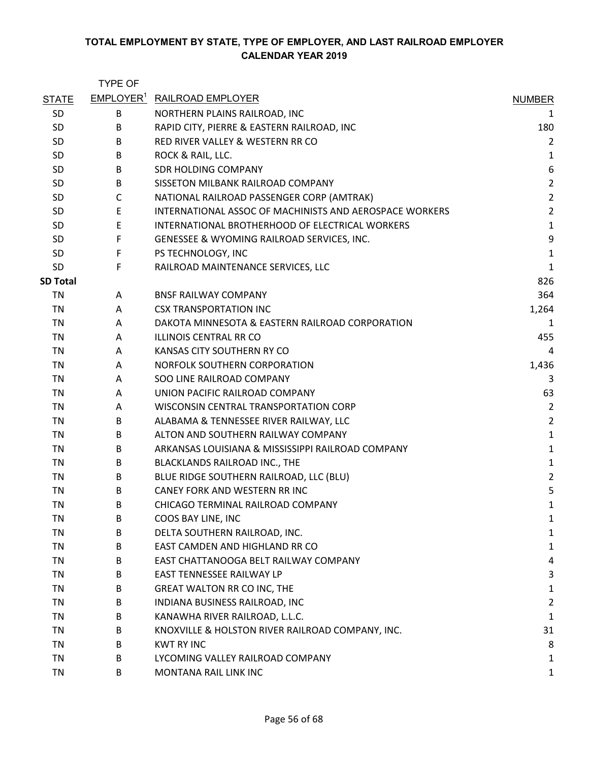|                 | <b>TYPE OF</b> |                                                         |                         |
|-----------------|----------------|---------------------------------------------------------|-------------------------|
| <b>STATE</b>    |                | EMPLOYER <sup>1</sup> RAILROAD EMPLOYER                 | <b>NUMBER</b>           |
| <b>SD</b>       | B              | NORTHERN PLAINS RAILROAD, INC                           | 1                       |
| SD              | В              | RAPID CITY, PIERRE & EASTERN RAILROAD, INC              | 180                     |
| SD              | B              | RED RIVER VALLEY & WESTERN RR CO                        | $\overline{2}$          |
| <b>SD</b>       | B              | ROCK & RAIL, LLC.                                       | 1                       |
| SD              | B              | SDR HOLDING COMPANY                                     | 6                       |
| SD              | B              | SISSETON MILBANK RAILROAD COMPANY                       | $\overline{2}$          |
| SD              | $\mathsf{C}$   | NATIONAL RAILROAD PASSENGER CORP (AMTRAK)               | $\overline{\mathbf{c}}$ |
| SD              | E              | INTERNATIONAL ASSOC OF MACHINISTS AND AEROSPACE WORKERS | $\overline{c}$          |
| <b>SD</b>       | E              | INTERNATIONAL BROTHERHOOD OF ELECTRICAL WORKERS         | $\mathbf{1}$            |
| <b>SD</b>       | F              | GENESSEE & WYOMING RAILROAD SERVICES, INC.              | 9                       |
| SD              | F              | PS TECHNOLOGY, INC                                      | $\mathbf 1$             |
| <b>SD</b>       | F              | RAILROAD MAINTENANCE SERVICES, LLC                      | $\mathbf{1}$            |
| <b>SD Total</b> |                |                                                         | 826                     |
| TN              | A              | <b>BNSF RAILWAY COMPANY</b>                             | 364                     |
| <b>TN</b>       | A              | <b>CSX TRANSPORTATION INC</b>                           | 1,264                   |
| TN              | A              | DAKOTA MINNESOTA & EASTERN RAILROAD CORPORATION         | 1                       |
| TN              | A              | <b>ILLINOIS CENTRAL RR CO</b>                           | 455                     |
| TN              | A              | KANSAS CITY SOUTHERN RY CO                              | $\overline{4}$          |
| TN              | A              | NORFOLK SOUTHERN CORPORATION                            | 1,436                   |
| <b>TN</b>       | A              | SOO LINE RAILROAD COMPANY                               | 3                       |
| <b>TN</b>       | A              | UNION PACIFIC RAILROAD COMPANY                          | 63                      |
| TN              | A              | WISCONSIN CENTRAL TRANSPORTATION CORP                   | 2                       |
| TN              | B              | ALABAMA & TENNESSEE RIVER RAILWAY, LLC                  | $\overline{2}$          |
| <b>TN</b>       | B              | ALTON AND SOUTHERN RAILWAY COMPANY                      | $\mathbf 1$             |
| TN              | B              | ARKANSAS LOUISIANA & MISSISSIPPI RAILROAD COMPANY       | $\mathbf 1$             |
| TN              | B              | BLACKLANDS RAILROAD INC., THE                           | 1                       |
| <b>TN</b>       | B              | BLUE RIDGE SOUTHERN RAILROAD, LLC (BLU)                 | $\overline{c}$          |
| <b>TN</b>       | B              | CANEY FORK AND WESTERN RR INC                           | 5                       |
| TN              | B              | CHICAGO TERMINAL RAILROAD COMPANY                       | 1                       |
| <b>TN</b>       | B              | COOS BAY LINE, INC                                      | 1                       |
| <b>TN</b>       | B              | DELTA SOUTHERN RAILROAD, INC.                           | 1                       |
| <b>TN</b>       | B              | EAST CAMDEN AND HIGHLAND RR CO                          | 1                       |
| <b>TN</b>       | B              | EAST CHATTANOOGA BELT RAILWAY COMPANY                   | 4                       |
| TN              | B              | EAST TENNESSEE RAILWAY LP                               | 3                       |
| <b>TN</b>       | B              | <b>GREAT WALTON RR CO INC, THE</b>                      | 1                       |
| <b>TN</b>       | B              | INDIANA BUSINESS RAILROAD, INC                          | 2                       |
| <b>TN</b>       | B              | KANAWHA RIVER RAILROAD, L.L.C.                          | 1                       |
| <b>TN</b>       | B              | KNOXVILLE & HOLSTON RIVER RAILROAD COMPANY, INC.        | 31                      |
| <b>TN</b>       | B              | <b>KWT RY INC</b>                                       | 8                       |
| <b>TN</b>       | B              | LYCOMING VALLEY RAILROAD COMPANY                        | 1                       |
| TN              | B              | MONTANA RAIL LINK INC                                   | 1                       |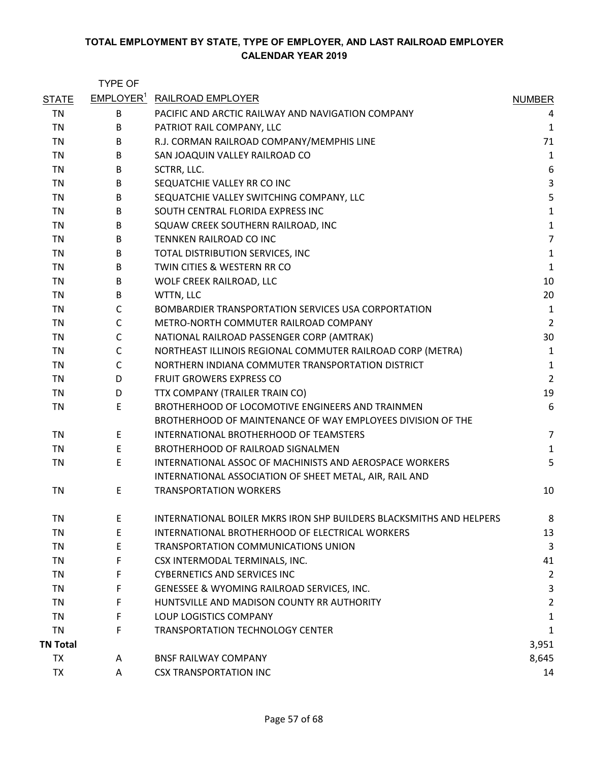|                 | <b>TYPE OF</b> |                                                                     |                |
|-----------------|----------------|---------------------------------------------------------------------|----------------|
| <b>STATE</b>    |                | <b>EMPLOYER<sup>1</sup> RAILROAD EMPLOYER</b>                       | <b>NUMBER</b>  |
| TN              | B              | PACIFIC AND ARCTIC RAILWAY AND NAVIGATION COMPANY                   | 4              |
| TN              | B              | PATRIOT RAIL COMPANY, LLC                                           | $\mathbf{1}$   |
| <b>TN</b>       | B              | R.J. CORMAN RAILROAD COMPANY/MEMPHIS LINE                           | 71             |
| TN              | B              | SAN JOAQUIN VALLEY RAILROAD CO                                      | $\mathbf{1}$   |
| TN              | B              | SCTRR, LLC.                                                         | 6              |
| <b>TN</b>       | B              | SEQUATCHIE VALLEY RR CO INC                                         | 3              |
| <b>TN</b>       | B              | SEQUATCHIE VALLEY SWITCHING COMPANY, LLC                            | 5              |
| <b>TN</b>       | B              | SOUTH CENTRAL FLORIDA EXPRESS INC                                   | $\mathbf{1}$   |
| TN              | B              | SQUAW CREEK SOUTHERN RAILROAD, INC                                  | $\mathbf 1$    |
| TN              | B              | TENNKEN RAILROAD CO INC                                             | $\overline{7}$ |
| TN              | B              | TOTAL DISTRIBUTION SERVICES, INC                                    | $\mathbf{1}$   |
| <b>TN</b>       | B              | TWIN CITIES & WESTERN RR CO                                         | $\mathbf 1$    |
| TN              | B              | WOLF CREEK RAILROAD, LLC                                            | 10             |
| TN              | B              | WTTN, LLC                                                           | 20             |
| <b>TN</b>       | $\mathsf{C}$   | BOMBARDIER TRANSPORTATION SERVICES USA CORPORTATION                 | $\mathbf{1}$   |
| <b>TN</b>       | C              | METRO-NORTH COMMUTER RAILROAD COMPANY                               | $\overline{2}$ |
| <b>TN</b>       | C              | NATIONAL RAILROAD PASSENGER CORP (AMTRAK)                           | 30             |
| TN              | C              | NORTHEAST ILLINOIS REGIONAL COMMUTER RAILROAD CORP (METRA)          | $\mathbf{1}$   |
| TN              | C              | NORTHERN INDIANA COMMUTER TRANSPORTATION DISTRICT                   | $\mathbf{1}$   |
| <b>TN</b>       | D              | <b>FRUIT GROWERS EXPRESS CO</b>                                     | $\overline{2}$ |
| <b>TN</b>       | D              | TTX COMPANY (TRAILER TRAIN CO)                                      | 19             |
| TN              | E              | BROTHERHOOD OF LOCOMOTIVE ENGINEERS AND TRAINMEN                    | 6              |
|                 |                | BROTHERHOOD OF MAINTENANCE OF WAY EMPLOYEES DIVISION OF THE         |                |
| TN              | Ε              | INTERNATIONAL BROTHERHOOD OF TEAMSTERS                              | $\overline{7}$ |
| <b>TN</b>       | E              | BROTHERHOOD OF RAILROAD SIGNALMEN                                   | $\mathbf{1}$   |
| <b>TN</b>       | E              | <b>INTERNATIONAL ASSOC OF MACHINISTS AND AEROSPACE WORKERS</b>      | 5              |
|                 |                | INTERNATIONAL ASSOCIATION OF SHEET METAL, AIR, RAIL AND             |                |
| <b>TN</b>       | E              | <b>TRANSPORTATION WORKERS</b>                                       | 10             |
| TN              | E              | INTERNATIONAL BOILER MKRS IRON SHP BUILDERS BLACKSMITHS AND HELPERS | 8              |
| <b>TN</b>       | E              | INTERNATIONAL BROTHERHOOD OF ELECTRICAL WORKERS                     | 13             |
| TN              | E              | TRANSPORTATION COMMUNICATIONS UNION                                 | 3              |
| <b>TN</b>       | F              | CSX INTERMODAL TERMINALS, INC.                                      | 41             |
| TN              | F              | <b>CYBERNETICS AND SERVICES INC</b>                                 | $\overline{2}$ |
| TN              | F              | GENESSEE & WYOMING RAILROAD SERVICES, INC.                          | 3              |
| <b>TN</b>       | F              | HUNTSVILLE AND MADISON COUNTY RR AUTHORITY                          | $\overline{2}$ |
| TN              | F              | LOUP LOGISTICS COMPANY                                              | 1              |
| <b>TN</b>       | F              | TRANSPORTATION TECHNOLOGY CENTER                                    | $\mathbf{1}$   |
| <b>TN Total</b> |                |                                                                     | 3,951          |
| <b>TX</b>       | A              | <b>BNSF RAILWAY COMPANY</b>                                         | 8,645          |
| <b>TX</b>       | A              | <b>CSX TRANSPORTATION INC</b>                                       | 14             |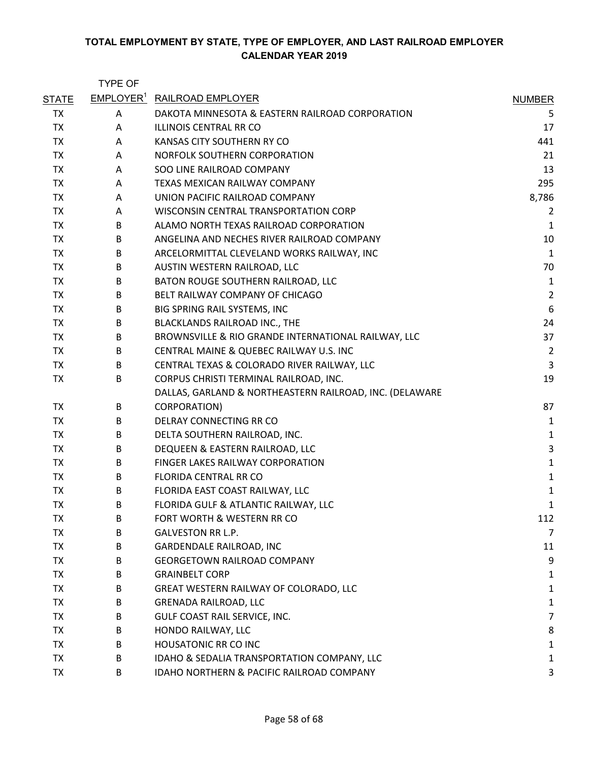|              | <b>TYPE OF</b> |                                                         |                |
|--------------|----------------|---------------------------------------------------------|----------------|
| <b>STATE</b> |                | <b>EMPLOYER<sup>1</sup> RAILROAD EMPLOYER</b>           | <b>NUMBER</b>  |
| <b>TX</b>    | Α              | DAKOTA MINNESOTA & EASTERN RAILROAD CORPORATION         | 5              |
| <b>TX</b>    | A              | ILLINOIS CENTRAL RR CO                                  | 17             |
| <b>TX</b>    | A              | KANSAS CITY SOUTHERN RY CO                              | 441            |
| <b>TX</b>    | A              | NORFOLK SOUTHERN CORPORATION                            | 21             |
| <b>TX</b>    | A              | SOO LINE RAILROAD COMPANY                               | 13             |
| <b>TX</b>    | A              | TEXAS MEXICAN RAILWAY COMPANY                           | 295            |
| <b>TX</b>    | A              | UNION PACIFIC RAILROAD COMPANY                          | 8,786          |
| <b>TX</b>    | A              | WISCONSIN CENTRAL TRANSPORTATION CORP                   | 2              |
| <b>TX</b>    | B              | ALAMO NORTH TEXAS RAILROAD CORPORATION                  | $\mathbf 1$    |
| <b>TX</b>    | B              | ANGELINA AND NECHES RIVER RAILROAD COMPANY              | 10             |
| <b>TX</b>    | В              | ARCELORMITTAL CLEVELAND WORKS RAILWAY, INC              | $\mathbf 1$    |
| <b>TX</b>    | B              | AUSTIN WESTERN RAILROAD, LLC                            | 70             |
| <b>TX</b>    | B              | BATON ROUGE SOUTHERN RAILROAD, LLC                      | 1              |
| <b>TX</b>    | B              | BELT RAILWAY COMPANY OF CHICAGO                         | $\overline{2}$ |
| <b>TX</b>    | B              | BIG SPRING RAIL SYSTEMS, INC                            | 6              |
| <b>TX</b>    | B              | BLACKLANDS RAILROAD INC., THE                           | 24             |
| <b>TX</b>    | B              | BROWNSVILLE & RIO GRANDE INTERNATIONAL RAILWAY, LLC     | 37             |
| <b>TX</b>    | B              | CENTRAL MAINE & QUEBEC RAILWAY U.S. INC                 | $\overline{2}$ |
| <b>TX</b>    | B              | CENTRAL TEXAS & COLORADO RIVER RAILWAY, LLC             | 3              |
| <b>TX</b>    | B              | CORPUS CHRISTI TERMINAL RAILROAD, INC.                  | 19             |
|              |                | DALLAS, GARLAND & NORTHEASTERN RAILROAD, INC. (DELAWARE |                |
| <b>TX</b>    | B              | CORPORATION)                                            | 87             |
| <b>TX</b>    | B              | DELRAY CONNECTING RR CO                                 | 1              |
| <b>TX</b>    | B              | DELTA SOUTHERN RAILROAD, INC.                           | $\mathbf 1$    |
| <b>TX</b>    | B              | DEQUEEN & EASTERN RAILROAD, LLC                         | $\mathsf 3$    |
| <b>TX</b>    | B              | FINGER LAKES RAILWAY CORPORATION                        | $\mathbf 1$    |
| <b>TX</b>    | B              | FLORIDA CENTRAL RR CO                                   | $\mathbf 1$    |
| <b>TX</b>    | B              | FLORIDA EAST COAST RAILWAY, LLC                         | $\mathbf 1$    |
| <b>TX</b>    | B              | FLORIDA GULF & ATLANTIC RAILWAY, LLC                    | 1              |
| <b>TX</b>    | B              | FORT WORTH & WESTERN RR CO                              | 112            |
| <b>TX</b>    | B              | <b>GALVESTON RR L.P.</b>                                | $\overline{7}$ |
| <b>TX</b>    | В              | <b>GARDENDALE RAILROAD, INC</b>                         | 11             |
| <b>TX</b>    | B              | <b>GEORGETOWN RAILROAD COMPANY</b>                      | 9              |
| <b>TX</b>    | B              | <b>GRAINBELT CORP</b>                                   | 1              |
| <b>TX</b>    | B              | GREAT WESTERN RAILWAY OF COLORADO, LLC                  | 1              |
| <b>TX</b>    | B              | <b>GRENADA RAILROAD, LLC</b>                            | $\mathbf 1$    |
| <b>TX</b>    | B              | GULF COAST RAIL SERVICE, INC.                           | $\overline{7}$ |
| <b>TX</b>    | B              | HONDO RAILWAY, LLC                                      | 8              |
| <b>TX</b>    | B              | HOUSATONIC RR CO INC                                    | 1              |
| <b>TX</b>    | B              | IDAHO & SEDALIA TRANSPORTATION COMPANY, LLC             | 1              |
| <b>TX</b>    | В              | IDAHO NORTHERN & PACIFIC RAILROAD COMPANY               | 3              |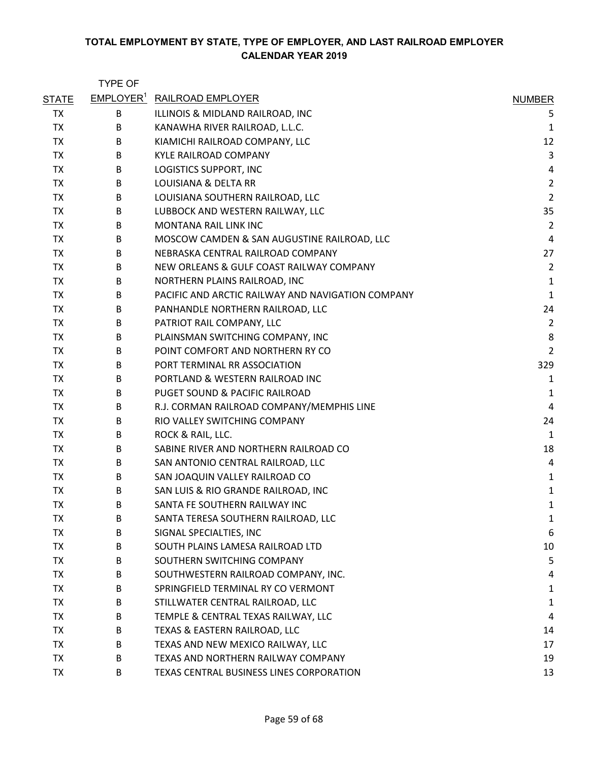|              | <b>TYPE OF</b> |                                                   |                |
|--------------|----------------|---------------------------------------------------|----------------|
| <b>STATE</b> |                | <b>EMPLOYER<sup>1</sup> RAILROAD EMPLOYER</b>     | <b>NUMBER</b>  |
| TX           | B              | ILLINOIS & MIDLAND RAILROAD, INC                  | 5              |
| <b>TX</b>    | B              | KANAWHA RIVER RAILROAD, L.L.C.                    | 1              |
| <b>TX</b>    | B              | KIAMICHI RAILROAD COMPANY, LLC                    | 12             |
| <b>TX</b>    | B              | <b>KYLE RAILROAD COMPANY</b>                      | 3              |
| <b>TX</b>    | B              | LOGISTICS SUPPORT, INC                            | 4              |
| <b>TX</b>    | B              | LOUISIANA & DELTA RR                              | $\overline{2}$ |
| <b>TX</b>    | В              | LOUISIANA SOUTHERN RAILROAD, LLC                  | $\overline{2}$ |
| <b>TX</b>    | B              | LUBBOCK AND WESTERN RAILWAY, LLC                  | 35             |
| <b>TX</b>    | B              | <b>MONTANA RAIL LINK INC</b>                      | $\overline{2}$ |
| <b>TX</b>    | B              | MOSCOW CAMDEN & SAN AUGUSTINE RAILROAD, LLC       | $\overline{4}$ |
| <b>TX</b>    | B              | NEBRASKA CENTRAL RAILROAD COMPANY                 | 27             |
| <b>TX</b>    | B              | NEW ORLEANS & GULF COAST RAILWAY COMPANY          | $\overline{2}$ |
| <b>TX</b>    | B              | NORTHERN PLAINS RAILROAD, INC                     | 1              |
| <b>TX</b>    | B              | PACIFIC AND ARCTIC RAILWAY AND NAVIGATION COMPANY | $\mathbf 1$    |
| <b>TX</b>    | В              | PANHANDLE NORTHERN RAILROAD, LLC                  | 24             |
| <b>TX</b>    | B              | PATRIOT RAIL COMPANY, LLC                         | $\overline{2}$ |
| <b>TX</b>    | B              | PLAINSMAN SWITCHING COMPANY, INC                  | 8              |
| <b>TX</b>    | B              | POINT COMFORT AND NORTHERN RY CO                  | $\overline{2}$ |
| <b>TX</b>    | B              | PORT TERMINAL RR ASSOCIATION                      | 329            |
| <b>TX</b>    | B              | PORTLAND & WESTERN RAILROAD INC                   | $\mathbf{1}$   |
| <b>TX</b>    | B              | PUGET SOUND & PACIFIC RAILROAD                    | $\mathbf 1$    |
| TX           | B              | R.J. CORMAN RAILROAD COMPANY/MEMPHIS LINE         | 4              |
| <b>TX</b>    | B              | RIO VALLEY SWITCHING COMPANY                      | 24             |
| <b>TX</b>    | B              | ROCK & RAIL, LLC.                                 | $\mathbf 1$    |
| <b>TX</b>    | B              | SABINE RIVER AND NORTHERN RAILROAD CO             | 18             |
| <b>TX</b>    | B              | SAN ANTONIO CENTRAL RAILROAD, LLC                 | 4              |
| <b>TX</b>    | B              | SAN JOAQUIN VALLEY RAILROAD CO                    | $\mathbf 1$    |
| <b>TX</b>    | B              | SAN LUIS & RIO GRANDE RAILROAD, INC               | $\mathbf 1$    |
| <b>TX</b>    | В              | SANTA FE SOUTHERN RAILWAY INC                     | 1              |
| <b>TX</b>    | В              | SANTA TERESA SOUTHERN RAILROAD, LLC               | 1              |
| <b>TX</b>    | В              | SIGNAL SPECIALTIES, INC                           | 6              |
| <b>TX</b>    | В              | SOUTH PLAINS LAMESA RAILROAD LTD                  | 10             |
| <b>TX</b>    | В              | SOUTHERN SWITCHING COMPANY                        | 5              |
| <b>TX</b>    | В              | SOUTHWESTERN RAILROAD COMPANY, INC.               | 4              |
| <b>TX</b>    | В              | SPRINGFIELD TERMINAL RY CO VERMONT                | 1              |
| <b>TX</b>    | В              | STILLWATER CENTRAL RAILROAD, LLC                  | $\mathbf{1}$   |
| <b>TX</b>    | В              | TEMPLE & CENTRAL TEXAS RAILWAY, LLC               | 4              |
| <b>TX</b>    | В              | TEXAS & EASTERN RAILROAD, LLC                     | 14             |
| TX           | В              | TEXAS AND NEW MEXICO RAILWAY, LLC                 | 17             |
| <b>TX</b>    | В              | TEXAS AND NORTHERN RAILWAY COMPANY                | 19             |
| <b>TX</b>    | В              | TEXAS CENTRAL BUSINESS LINES CORPORATION          | 13             |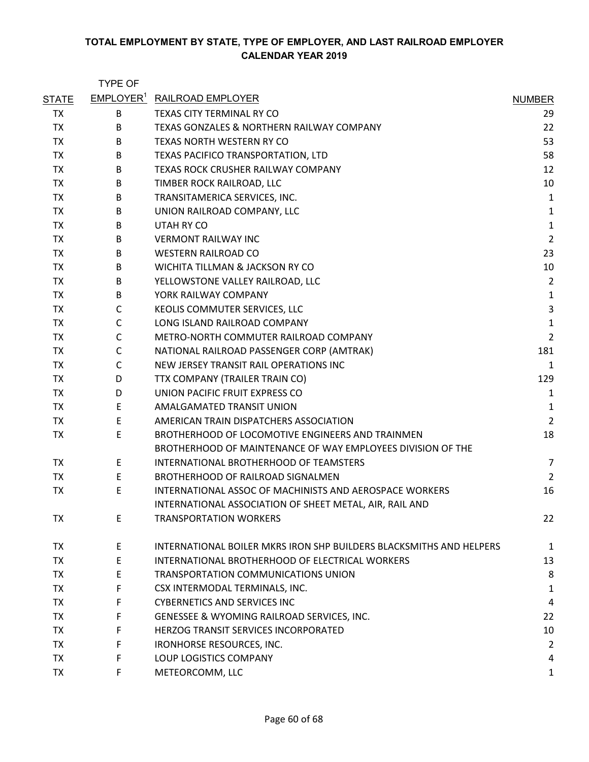|              | <b>TYPE OF</b> |                                                                                                                 |                |
|--------------|----------------|-----------------------------------------------------------------------------------------------------------------|----------------|
| <b>STATE</b> |                | <b>EMPLOYER<sup>1</sup> RAILROAD EMPLOYER</b>                                                                   | <b>NUMBER</b>  |
| <b>TX</b>    | В              | TEXAS CITY TERMINAL RY CO                                                                                       | 29             |
| <b>TX</b>    | B              | TEXAS GONZALES & NORTHERN RAILWAY COMPANY                                                                       | 22             |
| <b>TX</b>    | B              | TEXAS NORTH WESTERN RY CO                                                                                       | 53             |
| <b>TX</b>    | B              | TEXAS PACIFICO TRANSPORTATION, LTD                                                                              | 58             |
| <b>TX</b>    | B              | TEXAS ROCK CRUSHER RAILWAY COMPANY                                                                              | 12             |
| <b>TX</b>    | B              | TIMBER ROCK RAILROAD, LLC                                                                                       | 10             |
| <b>TX</b>    | B              | TRANSITAMERICA SERVICES, INC.                                                                                   | 1              |
| <b>TX</b>    | B              | UNION RAILROAD COMPANY, LLC                                                                                     | 1              |
| <b>TX</b>    | B              | UTAH RY CO                                                                                                      | $\mathbf 1$    |
| <b>TX</b>    | B              | <b>VERMONT RAILWAY INC</b>                                                                                      | $\overline{2}$ |
| <b>TX</b>    | B              | <b>WESTERN RAILROAD CO</b>                                                                                      | 23             |
| <b>TX</b>    | B              | WICHITA TILLMAN & JACKSON RY CO                                                                                 | 10             |
| TX           | B              | YELLOWSTONE VALLEY RAILROAD, LLC                                                                                | $\overline{2}$ |
| <b>TX</b>    | B              | YORK RAILWAY COMPANY                                                                                            | $\mathbf 1$    |
| TX           | C              | KEOLIS COMMUTER SERVICES, LLC                                                                                   | 3              |
| <b>TX</b>    | C              | LONG ISLAND RAILROAD COMPANY                                                                                    | $\mathbf 1$    |
| <b>TX</b>    | C              | METRO-NORTH COMMUTER RAILROAD COMPANY                                                                           | $\overline{2}$ |
| <b>TX</b>    | C              | NATIONAL RAILROAD PASSENGER CORP (AMTRAK)                                                                       | 181            |
| TX           | C              | NEW JERSEY TRANSIT RAIL OPERATIONS INC                                                                          | $\mathbf{1}$   |
| <b>TX</b>    | D              | TTX COMPANY (TRAILER TRAIN CO)                                                                                  | 129            |
| <b>TX</b>    | D              | UNION PACIFIC FRUIT EXPRESS CO                                                                                  | 1              |
| <b>TX</b>    | E              | AMALGAMATED TRANSIT UNION                                                                                       | $\mathbf{1}$   |
| <b>TX</b>    | E              | AMERICAN TRAIN DISPATCHERS ASSOCIATION                                                                          | $\overline{2}$ |
| <b>TX</b>    | E              | BROTHERHOOD OF LOCOMOTIVE ENGINEERS AND TRAINMEN<br>BROTHERHOOD OF MAINTENANCE OF WAY EMPLOYEES DIVISION OF THE | 18             |
| TX           | E              | INTERNATIONAL BROTHERHOOD OF TEAMSTERS                                                                          | 7              |
| <b>TX</b>    | E              | BROTHERHOOD OF RAILROAD SIGNALMEN                                                                               | $\overline{2}$ |
| <b>TX</b>    | E              | INTERNATIONAL ASSOC OF MACHINISTS AND AEROSPACE WORKERS                                                         | 16             |
|              |                | INTERNATIONAL ASSOCIATION OF SHEET METAL, AIR, RAIL AND                                                         |                |
| <b>TX</b>    | E              | <b>TRANSPORTATION WORKERS</b>                                                                                   | 22             |
| <b>TX</b>    | E              | INTERNATIONAL BOILER MKRS IRON SHP BUILDERS BLACKSMITHS AND HELPERS                                             | 1              |
| TX           | E              | INTERNATIONAL BROTHERHOOD OF ELECTRICAL WORKERS                                                                 | 13             |
| TX           | E              | TRANSPORTATION COMMUNICATIONS UNION                                                                             | 8              |
| <b>TX</b>    | F              | CSX INTERMODAL TERMINALS, INC.                                                                                  | 1              |
| <b>TX</b>    | F              | <b>CYBERNETICS AND SERVICES INC</b>                                                                             | 4              |
| <b>TX</b>    | F              | GENESSEE & WYOMING RAILROAD SERVICES, INC.                                                                      | 22             |
| TX           | F              | HERZOG TRANSIT SERVICES INCORPORATED                                                                            | 10             |
| <b>TX</b>    | F              | IRONHORSE RESOURCES, INC.                                                                                       | 2              |
| <b>TX</b>    | F              | LOUP LOGISTICS COMPANY                                                                                          | 4              |
| <b>TX</b>    | F              | METEORCOMM, LLC                                                                                                 | $\mathbf{1}$   |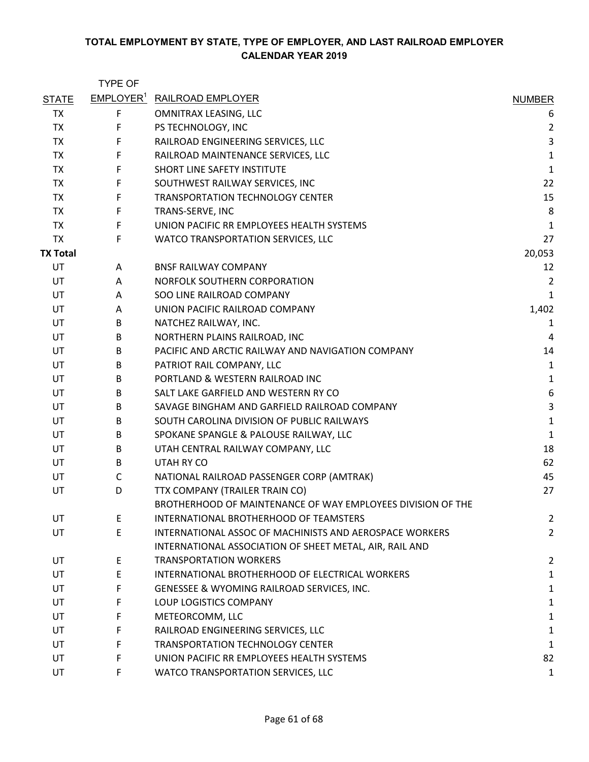|                 | <b>TYPE OF</b> |                                                             |                |
|-----------------|----------------|-------------------------------------------------------------|----------------|
| <b>STATE</b>    |                | <b>EMPLOYER<sup>1</sup> RAILROAD EMPLOYER</b>               | <b>NUMBER</b>  |
| TX              | F              | OMNITRAX LEASING, LLC                                       | 6              |
| <b>TX</b>       | F              | PS TECHNOLOGY, INC                                          | $\overline{2}$ |
| <b>TX</b>       | F              | RAILROAD ENGINEERING SERVICES, LLC                          | $\mathsf 3$    |
| <b>TX</b>       | F              | RAILROAD MAINTENANCE SERVICES, LLC                          | $\mathbf 1$    |
| <b>TX</b>       | F              | SHORT LINE SAFETY INSTITUTE                                 | $\mathbf 1$    |
| <b>TX</b>       | F              | SOUTHWEST RAILWAY SERVICES, INC                             | 22             |
| <b>TX</b>       | F              | <b>TRANSPORTATION TECHNOLOGY CENTER</b>                     | 15             |
| TX              | F              | TRANS-SERVE, INC                                            | 8              |
| <b>TX</b>       | F              | UNION PACIFIC RR EMPLOYEES HEALTH SYSTEMS                   | $\mathbf{1}$   |
| <b>TX</b>       | F              | WATCO TRANSPORTATION SERVICES, LLC                          | 27             |
| <b>TX Total</b> |                |                                                             | 20,053         |
| UT              | A              | <b>BNSF RAILWAY COMPANY</b>                                 | 12             |
| UT              | A              | NORFOLK SOUTHERN CORPORATION                                | $\overline{2}$ |
| UT              | A              | SOO LINE RAILROAD COMPANY                                   | $\mathbf{1}$   |
| UT              | Α              | UNION PACIFIC RAILROAD COMPANY                              | 1,402          |
| UT              | B              | NATCHEZ RAILWAY, INC.                                       | $\mathbf{1}$   |
| UT              | B              | NORTHERN PLAINS RAILROAD, INC                               | 4              |
| UT              | B              | PACIFIC AND ARCTIC RAILWAY AND NAVIGATION COMPANY           | 14             |
| UT              | B              | PATRIOT RAIL COMPANY, LLC                                   | $\mathbf 1$    |
| UT              | B              | PORTLAND & WESTERN RAILROAD INC                             | $\mathbf 1$    |
| UT              | B              | SALT LAKE GARFIELD AND WESTERN RY CO                        | 6              |
| UT              | B              | SAVAGE BINGHAM AND GARFIELD RAILROAD COMPANY                | 3              |
| UT              | B              | SOUTH CAROLINA DIVISION OF PUBLIC RAILWAYS                  | $\mathbf 1$    |
| UT              | B              | SPOKANE SPANGLE & PALOUSE RAILWAY, LLC                      | $\mathbf 1$    |
| UT              | B              | UTAH CENTRAL RAILWAY COMPANY, LLC                           | 18             |
| UT              | B              | <b>UTAH RY CO</b>                                           | 62             |
| UT              | $\mathsf{C}$   | NATIONAL RAILROAD PASSENGER CORP (AMTRAK)                   | 45             |
| UT              | D              | TTX COMPANY (TRAILER TRAIN CO)                              | 27             |
|                 |                | BROTHERHOOD OF MAINTENANCE OF WAY EMPLOYEES DIVISION OF THE |                |
| UT              | E              | <b>INTERNATIONAL BROTHERHOOD OF TEAMSTERS</b>               | $\overline{2}$ |
| UT              | E              | INTERNATIONAL ASSOC OF MACHINISTS AND AEROSPACE WORKERS     | $\overline{2}$ |
|                 |                | INTERNATIONAL ASSOCIATION OF SHEET METAL, AIR, RAIL AND     |                |
| UT              | E              | <b>TRANSPORTATION WORKERS</b>                               | $\overline{2}$ |
| UT              | E              | INTERNATIONAL BROTHERHOOD OF ELECTRICAL WORKERS             | 1              |
| UT              | F              | GENESSEE & WYOMING RAILROAD SERVICES, INC.                  | 1              |
| UT              | F              | LOUP LOGISTICS COMPANY                                      | $\mathbf{1}$   |
| UT              | F              | METEORCOMM, LLC                                             | $\mathbf{1}$   |
| UT              | F              | RAILROAD ENGINEERING SERVICES, LLC                          | $\mathbf{1}$   |
| UT              | F              | <b>TRANSPORTATION TECHNOLOGY CENTER</b>                     | $\mathbf 1$    |
| UT              | F              | UNION PACIFIC RR EMPLOYEES HEALTH SYSTEMS                   | 82             |
| UT              | F              | WATCO TRANSPORTATION SERVICES, LLC                          | $\mathbf{1}$   |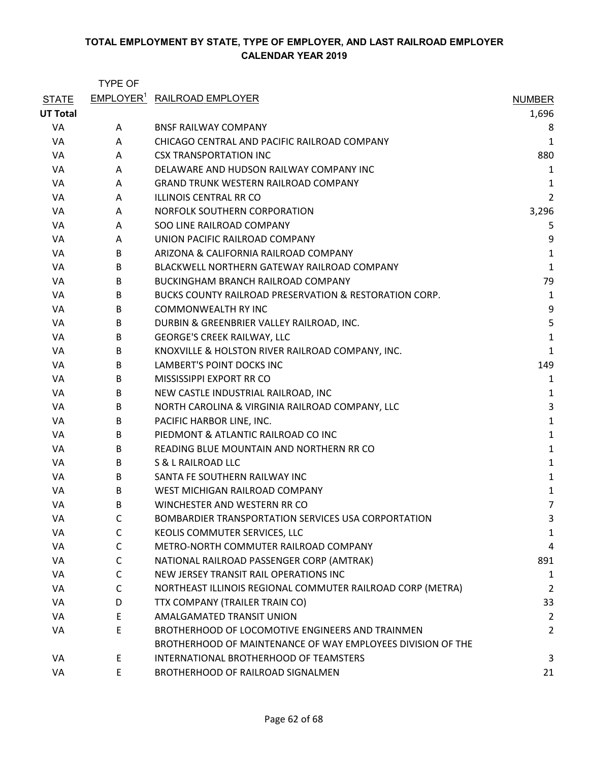|                 | TYPE OF      |                                                             |                |
|-----------------|--------------|-------------------------------------------------------------|----------------|
| <b>STATE</b>    |              | EMPLOYER <sup>1</sup> RAILROAD EMPLOYER                     | <b>NUMBER</b>  |
| <b>UT Total</b> |              |                                                             | 1,696          |
| VA              | A            | <b>BNSF RAILWAY COMPANY</b>                                 | 8              |
| VA              | A            | CHICAGO CENTRAL AND PACIFIC RAILROAD COMPANY                | 1              |
| VA              | A            | <b>CSX TRANSPORTATION INC</b>                               | 880            |
| VA              | A            | DELAWARE AND HUDSON RAILWAY COMPANY INC                     | 1              |
| VA              | A            | <b>GRAND TRUNK WESTERN RAILROAD COMPANY</b>                 | 1              |
| VA              | A            | <b>ILLINOIS CENTRAL RR CO</b>                               | $\overline{2}$ |
| VA              | A            | NORFOLK SOUTHERN CORPORATION                                | 3,296          |
| VA              | A            | SOO LINE RAILROAD COMPANY                                   | 5              |
| VA              | A            | UNION PACIFIC RAILROAD COMPANY                              | 9              |
| VA              | B            | ARIZONA & CALIFORNIA RAILROAD COMPANY                       | 1              |
| VA              | B            | BLACKWELL NORTHERN GATEWAY RAILROAD COMPANY                 | $\mathbf{1}$   |
| VA              | B            | <b>BUCKINGHAM BRANCH RAILROAD COMPANY</b>                   | 79             |
| VA              | B            | BUCKS COUNTY RAILROAD PRESERVATION & RESTORATION CORP.      | $\mathbf 1$    |
| VA              | B            | <b>COMMONWEALTH RY INC</b>                                  | 9              |
| VA              | B            | DURBIN & GREENBRIER VALLEY RAILROAD, INC.                   | 5              |
| VA              | B            | <b>GEORGE'S CREEK RAILWAY, LLC</b>                          | 1              |
| VA              | B            | KNOXVILLE & HOLSTON RIVER RAILROAD COMPANY, INC.            | $\mathbf{1}$   |
| VA              | B            | LAMBERT'S POINT DOCKS INC                                   | 149            |
| VA              | B            | MISSISSIPPI EXPORT RR CO                                    | 1              |
| VA              | B            | NEW CASTLE INDUSTRIAL RAILROAD, INC                         | 1              |
| VA              | B            | NORTH CAROLINA & VIRGINIA RAILROAD COMPANY, LLC             | 3              |
| VA              | B            | PACIFIC HARBOR LINE, INC.                                   | $\mathbf{1}$   |
| VA              | B            | PIEDMONT & ATLANTIC RAILROAD CO INC                         | $\mathbf 1$    |
| VA              | B            | READING BLUE MOUNTAIN AND NORTHERN RR CO                    | 1              |
| VA              | B            | S & L RAILROAD LLC                                          | $\mathbf 1$    |
| VA              | B            | SANTA FE SOUTHERN RAILWAY INC                               | $\mathbf 1$    |
| VA              | B            | WEST MICHIGAN RAILROAD COMPANY                              | $\mathbf 1$    |
| VA              | B            | WINCHESTER AND WESTERN RR CO                                | 7              |
| VA              | C            | BOMBARDIER TRANSPORTATION SERVICES USA CORPORTATION         | 3              |
| VA              | $\mathsf{C}$ | KEOLIS COMMUTER SERVICES, LLC                               | 1              |
| VA              | $\mathsf{C}$ | METRO-NORTH COMMUTER RAILROAD COMPANY                       | 4              |
| VA              | C            | NATIONAL RAILROAD PASSENGER CORP (AMTRAK)                   | 891            |
| VA              | $\mathsf{C}$ | NEW JERSEY TRANSIT RAIL OPERATIONS INC                      | 1              |
| VA              | $\mathsf{C}$ | NORTHEAST ILLINOIS REGIONAL COMMUTER RAILROAD CORP (METRA)  | $\overline{2}$ |
| VA              | D            | TTX COMPANY (TRAILER TRAIN CO)                              | 33             |
| VA              | E            | <b>AMALGAMATED TRANSIT UNION</b>                            | $\overline{2}$ |
| VA              | E            | BROTHERHOOD OF LOCOMOTIVE ENGINEERS AND TRAINMEN            | 2              |
|                 |              | BROTHERHOOD OF MAINTENANCE OF WAY EMPLOYEES DIVISION OF THE |                |
| VA              | E            | INTERNATIONAL BROTHERHOOD OF TEAMSTERS                      | 3              |
| VA              | E            | BROTHERHOOD OF RAILROAD SIGNALMEN                           | 21             |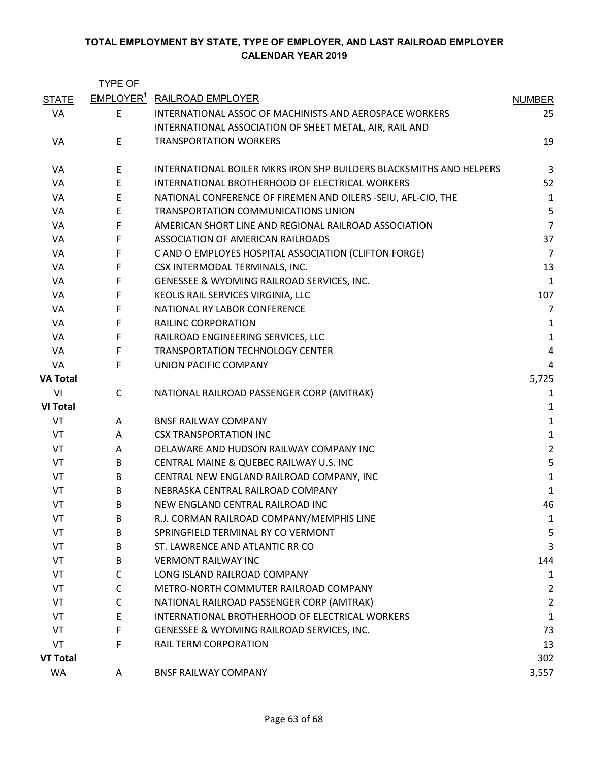|                 | <b>TYPE OF</b> |                                                                     |                |
|-----------------|----------------|---------------------------------------------------------------------|----------------|
| <b>STATE</b>    |                | <b>EMPLOYER<sup>1</sup> RAILROAD EMPLOYER</b>                       | <b>NUMBER</b>  |
| VA              | E              | INTERNATIONAL ASSOC OF MACHINISTS AND AEROSPACE WORKERS             | 25             |
|                 |                | INTERNATIONAL ASSOCIATION OF SHEET METAL, AIR, RAIL AND             |                |
| VA              | E              | <b>TRANSPORTATION WORKERS</b>                                       | 19             |
| VA              | E              | INTERNATIONAL BOILER MKRS IRON SHP BUILDERS BLACKSMITHS AND HELPERS | 3              |
| VA              | E              | INTERNATIONAL BROTHERHOOD OF ELECTRICAL WORKERS                     | 52             |
| VA              | E              | NATIONAL CONFERENCE OF FIREMEN AND OILERS -SEIU, AFL-CIO, THE       | 1              |
| VA              | $\mathsf E$    | TRANSPORTATION COMMUNICATIONS UNION                                 | 5              |
| VA              | F              | AMERICAN SHORT LINE AND REGIONAL RAILROAD ASSOCIATION               | $\overline{7}$ |
| VA              | F              | ASSOCIATION OF AMERICAN RAILROADS                                   | 37             |
| VA              | F              | C AND O EMPLOYES HOSPITAL ASSOCIATION (CLIFTON FORGE)               | $\overline{7}$ |
| VA              | F              | CSX INTERMODAL TERMINALS, INC.                                      | 13             |
| VA              | F              | GENESSEE & WYOMING RAILROAD SERVICES, INC.                          | $\mathbf{1}$   |
| VA              | F              | KEOLIS RAIL SERVICES VIRGINIA, LLC                                  | 107            |
| VA              | F              | NATIONAL RY LABOR CONFERENCE                                        | $\overline{7}$ |
| VA              | F              | <b>RAILINC CORPORATION</b>                                          | 1              |
| VA              | F              | RAILROAD ENGINEERING SERVICES, LLC                                  | $\mathbf{1}$   |
| VA              | F              | <b>TRANSPORTATION TECHNOLOGY CENTER</b>                             | $\sqrt{4}$     |
| VA              | F              | UNION PACIFIC COMPANY                                               | 4              |
| <b>VA Total</b> |                |                                                                     | 5,725          |
| VI              | $\mathsf{C}$   | NATIONAL RAILROAD PASSENGER CORP (AMTRAK)                           | 1              |
| <b>VI Total</b> |                |                                                                     | 1              |
| VT              | A              | <b>BNSF RAILWAY COMPANY</b>                                         | $\mathbf{1}$   |
| VT              | A              | <b>CSX TRANSPORTATION INC</b>                                       | $\mathbf{1}$   |
| VT              | A              | DELAWARE AND HUDSON RAILWAY COMPANY INC                             | $\overline{2}$ |
| VT              | B              | CENTRAL MAINE & QUEBEC RAILWAY U.S. INC                             | 5              |
| VT              | B              | CENTRAL NEW ENGLAND RAILROAD COMPANY, INC                           | $\mathbf{1}$   |
| VT              | B              | NEBRASKA CENTRAL RAILROAD COMPANY                                   | $\mathbf{1}$   |
| VT              | B              | NEW ENGLAND CENTRAL RAILROAD INC                                    | 46             |
| VT              | B              | R.J. CORMAN RAILROAD COMPANY/MEMPHIS LINE                           | 1              |
| VT              | B              | SPRINGFIELD TERMINAL RY CO VERMONT                                  | 5              |
| VT              | B              | ST. LAWRENCE AND ATLANTIC RR CO                                     | 3              |
| VT              | B              | <b>VERMONT RAILWAY INC</b>                                          | 144            |
| VT              | C              | LONG ISLAND RAILROAD COMPANY                                        | 1              |
| VT              | C              | METRO-NORTH COMMUTER RAILROAD COMPANY                               | 2              |
| VT              | C              | NATIONAL RAILROAD PASSENGER CORP (AMTRAK)                           | $\overline{2}$ |
| VT              | E              | INTERNATIONAL BROTHERHOOD OF ELECTRICAL WORKERS                     | 1              |
| VT              | F              | GENESSEE & WYOMING RAILROAD SERVICES, INC.                          | 73             |
| VT              | F              | RAIL TERM CORPORATION                                               | 13             |
| <b>VT Total</b> |                |                                                                     | 302            |
| WA              | A              | <b>BNSF RAILWAY COMPANY</b>                                         | 3,557          |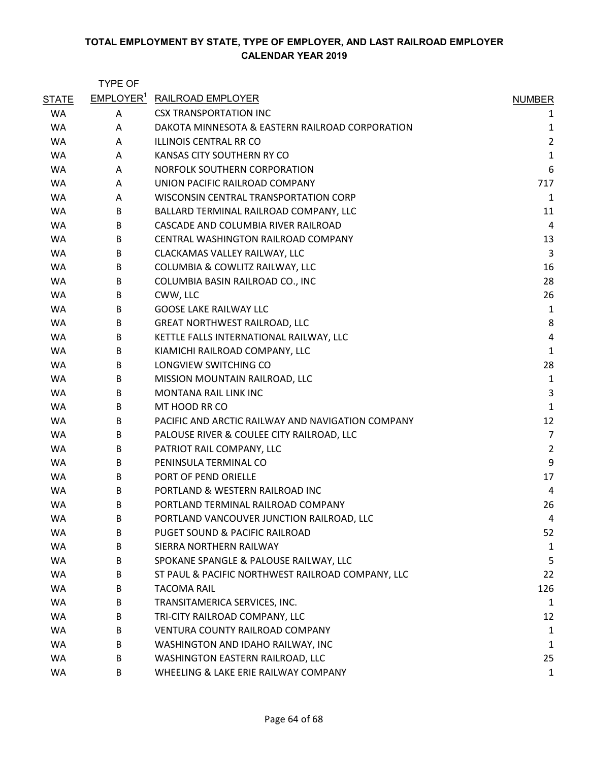|              | <b>TYPE OF</b>        |                                                   |                |
|--------------|-----------------------|---------------------------------------------------|----------------|
| <b>STATE</b> | EMPLOYER <sup>1</sup> | <b>RAILROAD EMPLOYER</b>                          | <b>NUMBER</b>  |
| <b>WA</b>    | Α                     | <b>CSX TRANSPORTATION INC</b>                     | 1              |
| <b>WA</b>    | A                     | DAKOTA MINNESOTA & EASTERN RAILROAD CORPORATION   | 1              |
| <b>WA</b>    | A                     | <b>ILLINOIS CENTRAL RR CO</b>                     | $\overline{2}$ |
| <b>WA</b>    | A                     | KANSAS CITY SOUTHERN RY CO                        | $\mathbf{1}$   |
| <b>WA</b>    | A                     | NORFOLK SOUTHERN CORPORATION                      | 6              |
| <b>WA</b>    | A                     | UNION PACIFIC RAILROAD COMPANY                    | 717            |
| WA           | A                     | WISCONSIN CENTRAL TRANSPORTATION CORP             | 1              |
| WA           | B                     | BALLARD TERMINAL RAILROAD COMPANY, LLC            | 11             |
| <b>WA</b>    | B                     | CASCADE AND COLUMBIA RIVER RAILROAD               | $\overline{4}$ |
| WA           | B                     | CENTRAL WASHINGTON RAILROAD COMPANY               | 13             |
| WA           | B                     | CLACKAMAS VALLEY RAILWAY, LLC                     | 3              |
| <b>WA</b>    | B                     | COLUMBIA & COWLITZ RAILWAY, LLC                   | 16             |
| WA           | B                     | COLUMBIA BASIN RAILROAD CO., INC                  | 28             |
| <b>WA</b>    | B                     | CWW, LLC                                          | 26             |
| <b>WA</b>    | B                     | <b>GOOSE LAKE RAILWAY LLC</b>                     | 1              |
| WA           | В                     | <b>GREAT NORTHWEST RAILROAD, LLC</b>              | 8              |
| WA           | B                     | KETTLE FALLS INTERNATIONAL RAILWAY, LLC           | 4              |
| WA           | B                     | KIAMICHI RAILROAD COMPANY, LLC                    | $\mathbf{1}$   |
| <b>WA</b>    | B                     | LONGVIEW SWITCHING CO                             | 28             |
| <b>WA</b>    | B                     | MISSION MOUNTAIN RAILROAD, LLC                    | $\mathbf{1}$   |
| WA           | B                     | MONTANA RAIL LINK INC                             | 3              |
| WA           | B                     | MT HOOD RR CO                                     | $\mathbf{1}$   |
| WA           | B                     | PACIFIC AND ARCTIC RAILWAY AND NAVIGATION COMPANY | 12             |
| <b>WA</b>    | B                     | PALOUSE RIVER & COULEE CITY RAILROAD, LLC         | $\overline{7}$ |
| WA           | B                     | PATRIOT RAIL COMPANY, LLC                         | $\overline{2}$ |
| <b>WA</b>    | B                     | PENINSULA TERMINAL CO                             | 9              |
| WA           | B                     | PORT OF PEND ORIELLE                              | 17             |
| WA           | B                     | PORTLAND & WESTERN RAILROAD INC                   | 4              |
| <b>WA</b>    | B                     | PORTLAND TERMINAL RAILROAD COMPANY                | 26             |
| <b>WA</b>    | B                     | PORTLAND VANCOUVER JUNCTION RAILROAD, LLC         | 4              |
| <b>WA</b>    | B                     | PUGET SOUND & PACIFIC RAILROAD                    | 52             |
| WA           | В                     | SIERRA NORTHERN RAILWAY                           | 1              |
| WA           | B                     | SPOKANE SPANGLE & PALOUSE RAILWAY, LLC            | 5              |
| WA           | B                     | ST PAUL & PACIFIC NORTHWEST RAILROAD COMPANY, LLC | 22             |
| WA           | B                     | <b>TACOMA RAIL</b>                                | 126            |
| WA           | B                     | TRANSITAMERICA SERVICES, INC.                     | 1              |
| WA           | В                     | TRI-CITY RAILROAD COMPANY, LLC                    | 12             |
| WA           | B                     | VENTURA COUNTY RAILROAD COMPANY                   | 1              |
| WA           | B                     | WASHINGTON AND IDAHO RAILWAY, INC                 | 1              |
| WA           | B                     | WASHINGTON EASTERN RAILROAD, LLC                  | 25             |
| WA           | B                     | WHEELING & LAKE ERIE RAILWAY COMPANY              | $\mathbf{1}$   |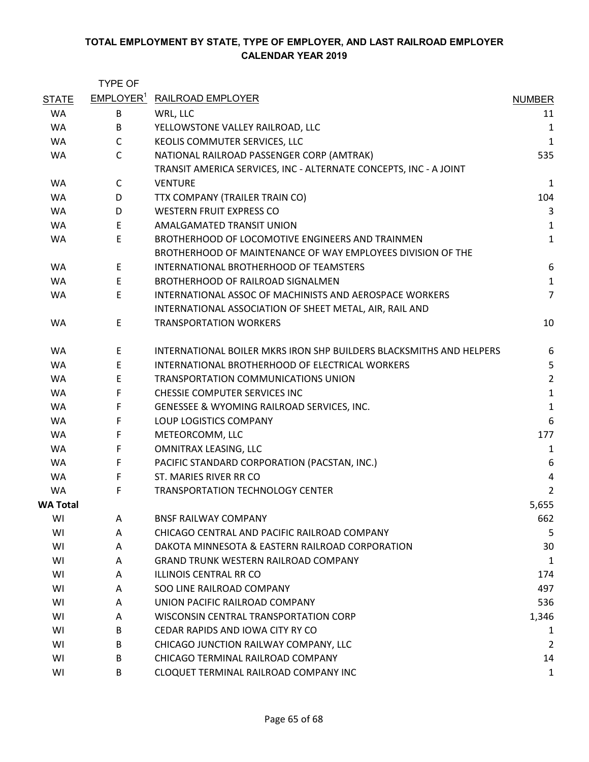|              | <b>TYPE OF</b>        |                                                                     |                |
|--------------|-----------------------|---------------------------------------------------------------------|----------------|
| <b>STATE</b> | EMPLOYER <sup>1</sup> | <b>RAILROAD EMPLOYER</b>                                            | <b>NUMBER</b>  |
| <b>WA</b>    | B                     | WRL, LLC                                                            | 11             |
| <b>WA</b>    | B                     | YELLOWSTONE VALLEY RAILROAD, LLC                                    | 1              |
| <b>WA</b>    | C                     | KEOLIS COMMUTER SERVICES, LLC                                       | $\mathbf{1}$   |
| WA           | $\mathsf{C}$          | NATIONAL RAILROAD PASSENGER CORP (AMTRAK)                           | 535            |
|              |                       | TRANSIT AMERICA SERVICES, INC - ALTERNATE CONCEPTS, INC - A JOINT   |                |
| <b>WA</b>    | $\mathsf{C}$          | <b>VENTURE</b>                                                      | $\mathbf 1$    |
| <b>WA</b>    | D                     | TTX COMPANY (TRAILER TRAIN CO)                                      | 104            |
| <b>WA</b>    | D                     | <b>WESTERN FRUIT EXPRESS CO</b>                                     | 3              |
| <b>WA</b>    | E                     | AMALGAMATED TRANSIT UNION                                           | $\mathbf{1}$   |
| WA           | E                     | BROTHERHOOD OF LOCOMOTIVE ENGINEERS AND TRAINMEN                    | $\mathbf 1$    |
|              |                       | BROTHERHOOD OF MAINTENANCE OF WAY EMPLOYEES DIVISION OF THE         |                |
| <b>WA</b>    | E                     | INTERNATIONAL BROTHERHOOD OF TEAMSTERS                              | 6              |
| <b>WA</b>    | $\mathsf E$           | BROTHERHOOD OF RAILROAD SIGNALMEN                                   | $\mathbf 1$    |
| WA           | E                     | INTERNATIONAL ASSOC OF MACHINISTS AND AEROSPACE WORKERS             | $\overline{7}$ |
|              |                       | INTERNATIONAL ASSOCIATION OF SHEET METAL, AIR, RAIL AND             |                |
| <b>WA</b>    | E                     | <b>TRANSPORTATION WORKERS</b>                                       | 10             |
| <b>WA</b>    | E                     | INTERNATIONAL BOILER MKRS IRON SHP BUILDERS BLACKSMITHS AND HELPERS | 6              |
| <b>WA</b>    | E                     | INTERNATIONAL BROTHERHOOD OF ELECTRICAL WORKERS                     | 5              |
| <b>WA</b>    | E                     | TRANSPORTATION COMMUNICATIONS UNION                                 | $\overline{2}$ |
| WA           | F                     | CHESSIE COMPUTER SERVICES INC                                       | $\mathbf{1}$   |
| <b>WA</b>    | F                     | GENESSEE & WYOMING RAILROAD SERVICES, INC.                          | $\mathbf 1$    |
| <b>WA</b>    | F                     | LOUP LOGISTICS COMPANY                                              | 6              |
| WA           | F                     | METEORCOMM, LLC                                                     | 177            |
| <b>WA</b>    | F                     | OMNITRAX LEASING, LLC                                               | $\mathbf{1}$   |
| <b>WA</b>    | $\mathsf F$           | PACIFIC STANDARD CORPORATION (PACSTAN, INC.)                        | 6              |
| <b>WA</b>    | F                     | ST. MARIES RIVER RR CO                                              | 4              |
| <b>WA</b>    | F                     | <b>TRANSPORTATION TECHNOLOGY CENTER</b>                             | 2              |
| WA Total     |                       |                                                                     | 5,655          |
| WI           | Α                     | <b>BNSF RAILWAY COMPANY</b>                                         | 662            |
| WI           | A                     | CHICAGO CENTRAL AND PACIFIC RAILROAD COMPANY                        | 5              |
| WI           | A                     | DAKOTA MINNESOTA & EASTERN RAILROAD CORPORATION                     | 30             |
| WI           | A                     | <b>GRAND TRUNK WESTERN RAILROAD COMPANY</b>                         | 1              |
| WI           | Α                     | <b>ILLINOIS CENTRAL RR CO</b>                                       | 174            |
| WI           | A                     | SOO LINE RAILROAD COMPANY                                           | 497            |
| WI           | A                     | UNION PACIFIC RAILROAD COMPANY                                      | 536            |
| WI           | Α                     | WISCONSIN CENTRAL TRANSPORTATION CORP                               | 1,346          |
| WI           | B                     | CEDAR RAPIDS AND IOWA CITY RY CO                                    | 1              |
| WI           | B                     | CHICAGO JUNCTION RAILWAY COMPANY, LLC                               | $\overline{2}$ |
| WI           | B                     | CHICAGO TERMINAL RAILROAD COMPANY                                   | 14             |
| WI           | B                     | CLOQUET TERMINAL RAILROAD COMPANY INC                               | $\mathbf 1$    |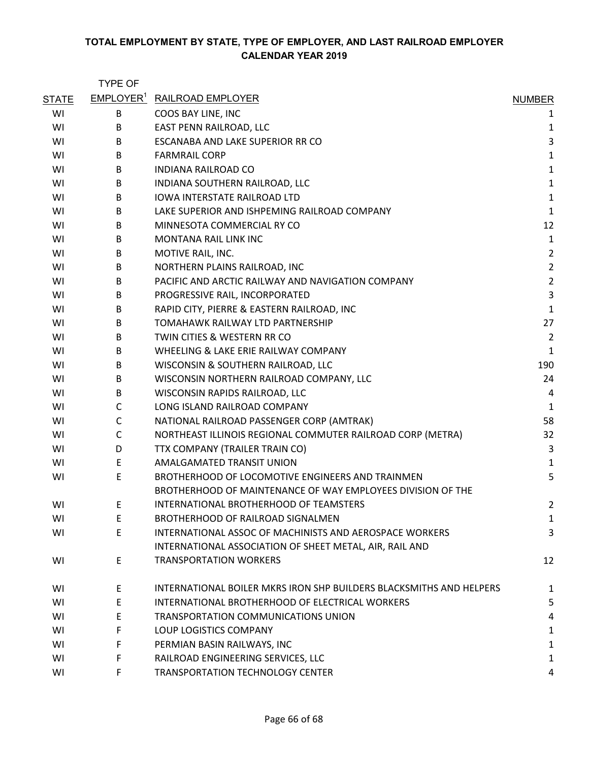|              | <b>TYPE OF</b> |                                                                     |                |
|--------------|----------------|---------------------------------------------------------------------|----------------|
| <b>STATE</b> |                | <b>EMPLOYER<sup>1</sup> RAILROAD EMPLOYER</b>                       | <b>NUMBER</b>  |
| WI           | В              | COOS BAY LINE, INC                                                  | 1              |
| WI           | B              | EAST PENN RAILROAD, LLC                                             | 1              |
| WI           | B              | ESCANABA AND LAKE SUPERIOR RR CO                                    | 3              |
| WI           | B              | <b>FARMRAIL CORP</b>                                                | $\mathbf 1$    |
| WI           | B              | <b>INDIANA RAILROAD CO</b>                                          | $\mathbf{1}$   |
| WI           | B              | INDIANA SOUTHERN RAILROAD, LLC                                      | $\mathbf 1$    |
| WI           | B              | <b>IOWA INTERSTATE RAILROAD LTD</b>                                 | $\mathbf 1$    |
| WI           | B              | LAKE SUPERIOR AND ISHPEMING RAILROAD COMPANY                        | $\mathbf 1$    |
| WI           | B              | MINNESOTA COMMERCIAL RY CO                                          | 12             |
| WI           | B              | <b>MONTANA RAIL LINK INC</b>                                        | $\mathbf{1}$   |
| WI           | B              | MOTIVE RAIL, INC.                                                   | $\overline{2}$ |
| WI           | B              | NORTHERN PLAINS RAILROAD, INC                                       | $\overline{2}$ |
| WI           | B              | PACIFIC AND ARCTIC RAILWAY AND NAVIGATION COMPANY                   | $\overline{2}$ |
| WI           | B              | PROGRESSIVE RAIL, INCORPORATED                                      | $\mathsf 3$    |
| WI           | B              | RAPID CITY, PIERRE & EASTERN RAILROAD, INC                          | $\mathbf 1$    |
| WI           | B              | TOMAHAWK RAILWAY LTD PARTNERSHIP                                    | 27             |
| WI           | B              | TWIN CITIES & WESTERN RR CO                                         | $\overline{2}$ |
| WI           | B              | WHEELING & LAKE ERIE RAILWAY COMPANY                                | $\mathbf{1}$   |
| WI           | B              | WISCONSIN & SOUTHERN RAILROAD, LLC                                  | 190            |
| WI           | B              | WISCONSIN NORTHERN RAILROAD COMPANY, LLC                            | 24             |
| WI           | B              | WISCONSIN RAPIDS RAILROAD, LLC                                      | 4              |
| WI           | C              | LONG ISLAND RAILROAD COMPANY                                        | $\mathbf{1}$   |
| WI           | C              | NATIONAL RAILROAD PASSENGER CORP (AMTRAK)                           | 58             |
| WI           | C              | NORTHEAST ILLINOIS REGIONAL COMMUTER RAILROAD CORP (METRA)          | 32             |
| WI           | D              | TTX COMPANY (TRAILER TRAIN CO)                                      | 3              |
| WI           | E              | AMALGAMATED TRANSIT UNION                                           | $\mathbf{1}$   |
| WI           | Ε              | BROTHERHOOD OF LOCOMOTIVE ENGINEERS AND TRAINMEN                    | 5              |
|              |                | BROTHERHOOD OF MAINTENANCE OF WAY EMPLOYEES DIVISION OF THE         |                |
| WI           | Ε              | INTERNATIONAL BROTHERHOOD OF TEAMSTERS                              | 2              |
| WI           | E              | BROTHERHOOD OF RAILROAD SIGNALMEN                                   | $\mathbf 1$    |
| WI           | E              | INTERNATIONAL ASSOC OF MACHINISTS AND AEROSPACE WORKERS             | 3              |
|              |                | INTERNATIONAL ASSOCIATION OF SHEET METAL, AIR, RAIL AND             |                |
| WI           | E              | <b>TRANSPORTATION WORKERS</b>                                       | 12             |
| WI           | E              | INTERNATIONAL BOILER MKRS IRON SHP BUILDERS BLACKSMITHS AND HELPERS | 1              |
| WI           | E              | INTERNATIONAL BROTHERHOOD OF ELECTRICAL WORKERS                     | 5              |
| WI           | E              | TRANSPORTATION COMMUNICATIONS UNION                                 | 4              |
| WI           | F              | <b>LOUP LOGISTICS COMPANY</b>                                       | 1              |
| WI           | F              | PERMIAN BASIN RAILWAYS, INC                                         | $\mathbf{1}$   |
| WI           | F              | RAILROAD ENGINEERING SERVICES, LLC                                  | $\mathbf 1$    |
| WI           | F              | TRANSPORTATION TECHNOLOGY CENTER                                    | 4              |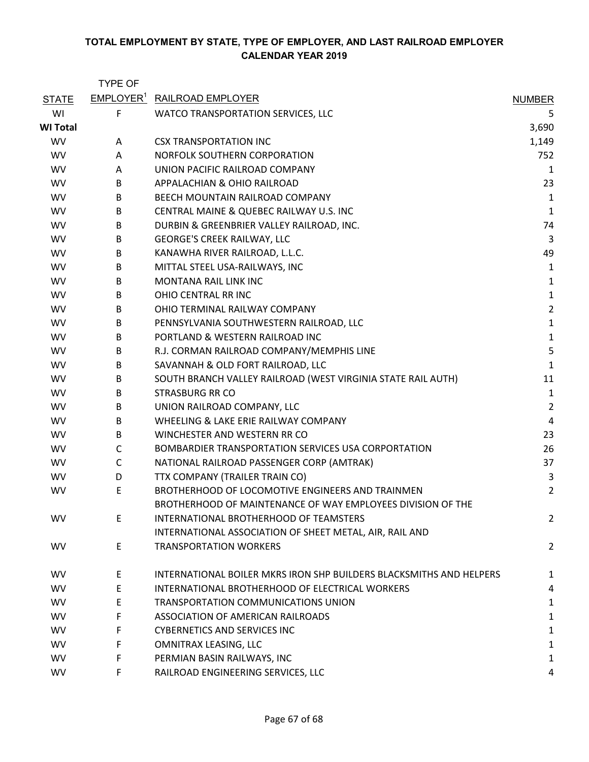|                 | <b>TYPE OF</b> |                                                                     |                |
|-----------------|----------------|---------------------------------------------------------------------|----------------|
| <b>STATE</b>    |                | EMPLOYER <sup>1</sup> RAILROAD EMPLOYER                             | <b>NUMBER</b>  |
| WI              | F              | WATCO TRANSPORTATION SERVICES, LLC                                  | 5              |
| <b>WI Total</b> |                |                                                                     | 3,690          |
| <b>WV</b>       | A              | <b>CSX TRANSPORTATION INC</b>                                       | 1,149          |
| <b>WV</b>       | A              | NORFOLK SOUTHERN CORPORATION                                        | 752            |
| <b>WV</b>       | A              | UNION PACIFIC RAILROAD COMPANY                                      | 1              |
| <b>WV</b>       | B              | APPALACHIAN & OHIO RAILROAD                                         | 23             |
| <b>WV</b>       | B              | BEECH MOUNTAIN RAILROAD COMPANY                                     | 1              |
| <b>WV</b>       | B              | CENTRAL MAINE & QUEBEC RAILWAY U.S. INC                             | 1              |
| <b>WV</b>       | B              | DURBIN & GREENBRIER VALLEY RAILROAD, INC.                           | 74             |
| <b>WV</b>       | B              | <b>GEORGE'S CREEK RAILWAY, LLC</b>                                  | 3              |
| <b>WV</b>       | B              | KANAWHA RIVER RAILROAD, L.L.C.                                      | 49             |
| <b>WV</b>       | B              | MITTAL STEEL USA-RAILWAYS, INC                                      | 1              |
| <b>WV</b>       | B              | <b>MONTANA RAIL LINK INC</b>                                        | 1              |
| <b>WV</b>       | B              | OHIO CENTRAL RR INC                                                 | $\mathbf{1}$   |
| <b>WV</b>       | B              | OHIO TERMINAL RAILWAY COMPANY                                       | $\overline{c}$ |
| <b>WV</b>       | B              | PENNSYLVANIA SOUTHWESTERN RAILROAD, LLC                             | $\mathbf{1}$   |
| <b>WV</b>       | B              | PORTLAND & WESTERN RAILROAD INC                                     | $\mathbf{1}$   |
| <b>WV</b>       | B              | R.J. CORMAN RAILROAD COMPANY/MEMPHIS LINE                           | 5              |
| <b>WV</b>       | B              | SAVANNAH & OLD FORT RAILROAD, LLC                                   | 1              |
| <b>WV</b>       | B              | SOUTH BRANCH VALLEY RAILROAD (WEST VIRGINIA STATE RAIL AUTH)        | 11             |
| <b>WV</b>       | B              | <b>STRASBURG RR CO</b>                                              | 1              |
| <b>WV</b>       | B              | UNION RAILROAD COMPANY, LLC                                         | $\overline{c}$ |
| <b>WV</b>       | B              | WHEELING & LAKE ERIE RAILWAY COMPANY                                | 4              |
| <b>WV</b>       | B              | WINCHESTER AND WESTERN RR CO                                        | 23             |
| <b>WV</b>       | $\mathsf{C}$   | BOMBARDIER TRANSPORTATION SERVICES USA CORPORTATION                 | 26             |
| <b>WV</b>       | $\mathsf{C}$   | NATIONAL RAILROAD PASSENGER CORP (AMTRAK)                           | 37             |
| <b>WV</b>       | D              | TTX COMPANY (TRAILER TRAIN CO)                                      | 3              |
| <b>WV</b>       | E              | BROTHERHOOD OF LOCOMOTIVE ENGINEERS AND TRAINMEN                    | $\overline{c}$ |
|                 |                | BROTHERHOOD OF MAINTENANCE OF WAY EMPLOYEES DIVISION OF THE         |                |
| WV              | E              | INTERNATIONAL BROTHERHOOD OF TEAMSTERS                              | $\overline{c}$ |
|                 |                | INTERNATIONAL ASSOCIATION OF SHEET METAL, AIR, RAIL AND             |                |
| <b>WV</b>       | E              | <b>TRANSPORTATION WORKERS</b>                                       | $\overline{c}$ |
| <b>WV</b>       | E.             | INTERNATIONAL BOILER MKRS IRON SHP BUILDERS BLACKSMITHS AND HELPERS | 1              |
| <b>WV</b>       | E              | INTERNATIONAL BROTHERHOOD OF ELECTRICAL WORKERS                     | 4              |
| <b>WV</b>       | E.             | TRANSPORTATION COMMUNICATIONS UNION                                 | 1              |
| <b>WV</b>       | F              | ASSOCIATION OF AMERICAN RAILROADS                                   | 1              |
| <b>WV</b>       | F.             | <b>CYBERNETICS AND SERVICES INC</b>                                 | 1              |
| <b>WV</b>       | F              | OMNITRAX LEASING, LLC                                               | 1              |
| <b>WV</b>       | F.             | PERMIAN BASIN RAILWAYS, INC                                         | 1              |
| <b>WV</b>       | F.             | RAILROAD ENGINEERING SERVICES, LLC                                  | 4              |